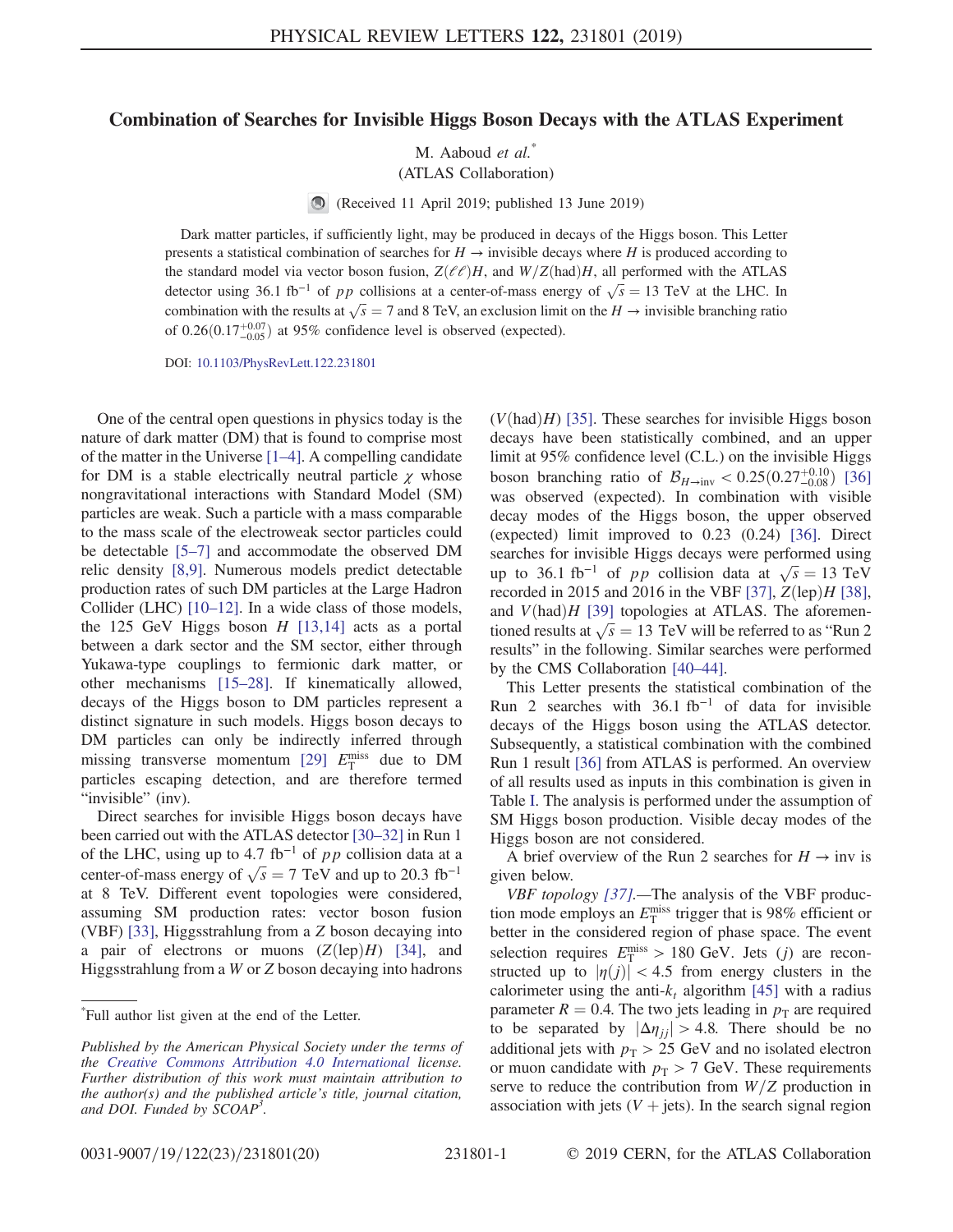## Combination of Searches for Invisible Higgs Boson Decays with the ATLAS Experiment

M. Aaboud et al.<sup>\*</sup> (ATLAS Collaboration)

 $\bigcirc$ (Received 11 April 2019; published 13 June 2019)

Dark matter particles, if sufficiently light, may be produced in decays of the Higgs boson. This Letter presents a statistical combination of searches for  $H \to$  invisible decays where H is produced according to the standard model via vector boson fusion,  $Z(\ell\ell)H$ , and  $W/Z(had)H$ , all performed with the ATLAS detector using 36.1 fb<sup>-1</sup> of pp collisions at a center-of-mass energy of  $\sqrt{s}$  = 13 TeV at the LHC. In combination with the results at  $\sqrt{s} = 7$  and 8 TeV, an exclusion limit on the  $H \rightarrow$  invisible branching ratio of  $0.26(0.17^{+0.07}_{-0.05})$  at 95% confidence level is observed (expected).

DOI: [10.1103/PhysRevLett.122.231801](https://doi.org/10.1103/PhysRevLett.122.231801)

One of the central open questions in physics today is the nature of dark matter (DM) that is found to comprise most of the matter in the Universe [1–[4\].](#page-4-0) A compelling candidate for DM is a stable electrically neutral particle  $\gamma$  whose nongravitational interactions with Standard Model (SM) particles are weak. Such a particle with a mass comparable to the mass scale of the electroweak sector particles could be detectable [5–[7\]](#page-4-1) and accommodate the observed DM relic density [\[8,9\]](#page-4-2). Numerous models predict detectable production rates of such DM particles at the Large Hadron Collider (LHC) [10–[12\].](#page-4-3) In a wide class of those models, the 125 GeV Higgs boson  $H$  [\[13,14\]](#page-4-4) acts as a portal between a dark sector and the SM sector, either through Yukawa-type couplings to fermionic dark matter, or other mechanisms [15–[28\].](#page-4-5) If kinematically allowed, decays of the Higgs boson to DM particles represent a distinct signature in such models. Higgs boson decays to DM particles can only be indirectly inferred through missing transverse momentum [\[29\]](#page-4-6)  $E_{\rm T}^{\rm miss}$  due to DM particles escaping detection, and are therefore termed "invisible" (inv).

Direct searches for invisible Higgs boson decays have been carried out with the ATLAS detector [\[30](#page-4-7)–32] in Run 1 of the LHC, using up to 4.7 fb<sup>-1</sup> of pp collision data at a center-of-mass energy of  $\sqrt{s} = 7$  TeV and up to 20.3 fb<sup>-1</sup> at 8 TeV. Different event topologies were considered, assuming SM production rates: vector boson fusion (VBF) [\[33\]](#page-4-8), Higgsstrahlung from a Z boson decaying into a pair of electrons or muons  $(Z(\text{lep})H)$  [\[34\]](#page-4-9), and Higgsstrahlung from a W or Z boson decaying into hadrons

\* Full author list given at the end of the Letter.

 $(V(had)H)$  [\[35\]](#page-5-0). These searches for invisible Higgs boson decays have been statistically combined, and an upper limit at 95% confidence level (C.L.) on the invisible Higgs boson branching ratio of  $\mathcal{B}_{H\to\text{inv}} < 0.25(0.27^{+0.10}_{-0.08})$  [\[36\]](#page-5-1) was observed (expected). In combination with visible decay modes of the Higgs boson, the upper observed (expected) limit improved to 0.23 (0.24) [\[36\]](#page-5-1). Direct searches for invisible Higgs decays were performed using up to 36.1 fb<sup>-1</sup> of *pp* collision data at  $\sqrt{s} = 13$  TeV recorded in 2015 and 2016 in the VBF [\[37\]](#page-5-2),  $Z(\text{lep})H$  [\[38\]](#page-5-3), and  $V(had)H$  [\[39\]](#page-5-4) topologies at ATLAS. The aforementioned results at  $\sqrt{s} = 13$  TeV will be referred to as "Run 2" results" in the following. Similar searches were performed by the CMS Collaboration [40–[44\].](#page-5-5)

This Letter presents the statistical combination of the Run 2 searches with  $36.1$  fb<sup>-1</sup> of data for invisible decays of the Higgs boson using the ATLAS detector. Subsequently, a statistical combination with the combined Run 1 result [\[36\]](#page-5-1) from ATLAS is performed. An overview of all results used as inputs in this combination is given in Table [I.](#page-1-0) The analysis is performed under the assumption of SM Higgs boson production. Visible decay modes of the Higgs boson are not considered.

A brief overview of the Run 2 searches for  $H \rightarrow inv$  is given below.

VBF topology [\[37\].](#page-5-2)—The analysis of the VBF production mode employs an  $E_{\rm T}^{\rm miss}$  trigger that is 98% efficient or better in the considered region of phase space. The event selection requires  $E_{\rm T}^{\rm miss} > 180$  GeV. Jets (j) are reconstructed up to  $|\eta(j)| < 4.5$  from energy clusters in the calorimeter using the anti- $k_t$  algorithm [\[45\]](#page-5-6) with a radius parameter  $R = 0.4$ . The two jets leading in  $p<sub>T</sub>$  are required to be separated by  $|\Delta \eta_{ij}| > 4.8$ . There should be no additional jets with  $p_T > 25$  GeV and no isolated electron or muon candidate with  $p_T > 7$  GeV. These requirements serve to reduce the contribution from  $W/Z$  production in association with jets  $(V + jets)$ . In the search signal region

Published by the American Physical Society under the terms of the [Creative Commons Attribution 4.0 International](https://creativecommons.org/licenses/by/4.0/) license. Further distribution of this work must maintain attribution to the author(s) and the published article's title, journal citation, and DOI. Funded by SCOAP<sup>3</sup>.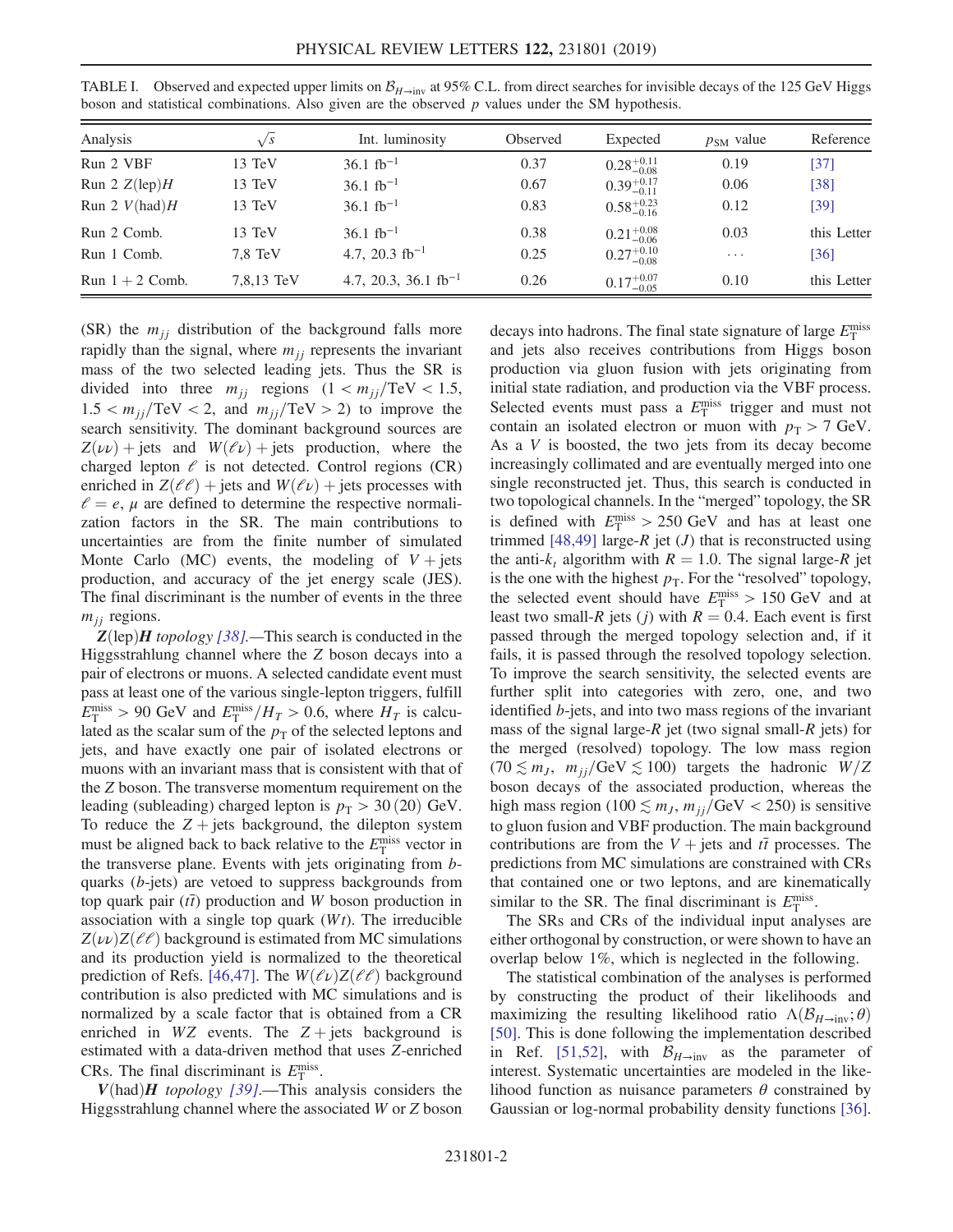| Analysis               | $\sqrt{s}$        | Int. luminosity           | Observed | Expected               | $p_{SM}$ value | Reference   |
|------------------------|-------------------|---------------------------|----------|------------------------|----------------|-------------|
| Run 2 VBF              | 13 TeV            | $36.1 \text{ fb}^{-1}$    | 0.37     | $0.28_{-0.08}^{+0.11}$ | 0.19           | $[37]$      |
| Run 2 $Z(\text{lep})H$ | 13 TeV            | $36.1~{\rm fb}^{-1}$      | 0.67     | $0.39_{-0.11}^{+0.17}$ | 0.06           | [38]        |
| Run 2 $V(had)H$        | 13 TeV            | 36.1 $\rm fb^{-1}$        | 0.83     | $0.58^{+0.23}_{-0.16}$ | 0.12           | [39]        |
| Run 2 Comb.            | 13 TeV            | $36.1 \text{ fb}^{-1}$    | 0.38     | $0.21_{-0.06}^{+0.08}$ | 0.03           | this Letter |
| Run 1 Comb.            | $7.8 \text{ TeV}$ | 4.7, 20.3 $fb^{-1}$       | 0.25     | $0.27^{+0.10}_{-0.08}$ | $\cdots$       | [36]        |
| Run $1 + 2$ Comb.      | 7,8,13 TeV        | 4.7, 20.3, 36.1 $fb^{-1}$ | 0.26     | $0.17^{+0.07}_{-0.05}$ | 0.10           | this Letter |

<span id="page-1-0"></span>TABLE I. Observed and expected upper limits on  $\mathcal{B}_{H\to\text{inv}}$  at 95% C.L. from direct searches for invisible decays of the 125 GeV Higgs boson and statistical combinations. Also given are the observed  $p$  values under the SM hypothesis.

(SR) the  $m_{ij}$  distribution of the background falls more rapidly than the signal, where  $m_{jj}$  represents the invariant mass of the two selected leading jets. Thus the SR is divided into three  $m_{jj}$  regions  $(1 < m_{jj}/\text{TeV} < 1.5,$  $1.5 < m_{ii}/\text{TeV} < 2$ , and  $m_{jj}/\text{TeV} > 2$ ) to improve the search sensitivity. The dominant background sources are  $Z(\nu\nu)$  + jets and  $W(\ell\nu)$  + jets production, where the charged lepton  $\ell$  is not detected. Control regions (CR) enriched in  $Z(\ell\ell)$  + jets and  $W(\ell\nu)$  + jets processes with  $l = e$ ,  $\mu$  are defined to determine the respective normalization factors in the SR. The main contributions to uncertainties are from the finite number of simulated Monte Carlo (MC) events, the modeling of  $V + jets$ production, and accuracy of the jet energy scale (JES). The final discriminant is the number of events in the three  $m_{ij}$  regions.

 $Z$ (lep)*H* topology [\[38\].](#page-5-3)—This search is conducted in the Higgsstrahlung channel where the Z boson decays into a pair of electrons or muons. A selected candidate event must pass at least one of the various single-lepton triggers, fulfill  $E_{\rm T}^{\rm miss} > 90$  GeV and  $E_{\rm T}^{\rm miss}/H_T > 0.6$ , where  $H_T$  is calculated as the scalar sum of the  $p<sub>T</sub>$  of the selected leptons and jets, and have exactly one pair of isolated electrons or muons with an invariant mass that is consistent with that of the Z boson. The transverse momentum requirement on the leading (subleading) charged lepton is  $p_T > 30 (20)$  GeV. To reduce the  $Z + jets$  background, the dilepton system must be aligned back to back relative to the  $E_{\text{T}}^{\text{miss}}$  vector in the transverse plane. Events with jets originating from bquarks (b-jets) are vetoed to suppress backgrounds from top quark pair  $(t\bar{t})$  production and W boson production in association with a single top quark  $(Wt)$ . The irreducible  $Z(\nu\nu)Z(\ell\ell)$  background is estimated from MC simulations and its production yield is normalized to the theoretical prediction of Refs. [\[46,47\]](#page-5-7). The  $W(\ell \nu)Z(\ell \ell)$  background contribution is also predicted with MC simulations and is normalized by a scale factor that is obtained from a CR enriched in WZ events. The  $Z + j$  jets background is estimated with a data-driven method that uses Z-enriched CRs. The final discriminant is  $E_{\rm T}^{\rm miss}$ .

 $V(had)$ H topology [\[39\]](#page-5-4).—This analysis considers the Higgsstrahlung channel where the associated W or Z boson

decays into hadrons. The final state signature of large  $E_{\rm T}^{\rm miss}$ and jets also receives contributions from Higgs boson production via gluon fusion with jets originating from initial state radiation, and production via the VBF process. Selected events must pass a  $E_{\rm T}^{\rm miss}$  trigger and must not contain an isolated electron or muon with  $p_T > 7$  GeV. As a V is boosted, the two jets from its decay become increasingly collimated and are eventually merged into one single reconstructed jet. Thus, this search is conducted in two topological channels. In the "merged" topology, the SR is defined with  $E_{\rm T}^{\rm miss} > 250$  GeV and has at least one trimmed  $[48,49]$  large-R jet (*J*) that is reconstructed using the anti- $k_t$  algorithm with  $R = 1.0$ . The signal large-R jet is the one with the highest  $p<sub>T</sub>$ . For the "resolved" topology, the selected event should have  $E_{\rm T}^{\rm miss} > 150 \text{ GeV}$  and at least two small-R jets (j) with  $R = 0.4$ . Each event is first passed through the merged topology selection and, if it fails, it is passed through the resolved topology selection. To improve the search sensitivity, the selected events are further split into categories with zero, one, and two identified b-jets, and into two mass regions of the invariant mass of the signal large- $R$  jet (two signal small- $R$  jets) for the merged (resolved) topology. The low mass region  $(70 \lesssim m_J, m_{jj}/GeV \lesssim 100)$  targets the hadronic  $W/Z$ boson decays of the associated production, whereas the high mass region (100  $\lesssim m_j$ ,  $m_{jj}/\text{GeV} < 250$ ) is sensitive to gluon fusion and VBF production. The main background contributions are from the  $V +$  jets and  $t\bar{t}$  processes. The predictions from MC simulations are constrained with CRs that contained one or two leptons, and are kinematically similar to the SR. The final discriminant is  $E_{\rm T}^{\rm miss}$ .

The SRs and CRs of the individual input analyses are either orthogonal by construction, or were shown to have an overlap below 1%, which is neglected in the following.

The statistical combination of the analyses is performed by constructing the product of their likelihoods and maximizing the resulting likelihood ratio  $\Lambda(\mathcal{B}_{H\to\text{inv}};\theta)$ [\[50\]](#page-5-9). This is done following the implementation described in Ref. [\[51,52\],](#page-5-10) with  $\mathcal{B}_{H\to\text{inv}}$  as the parameter of interest. Systematic uncertainties are modeled in the likelihood function as nuisance parameters  $\theta$  constrained by Gaussian or log-normal probability density functions [\[36\]](#page-5-1).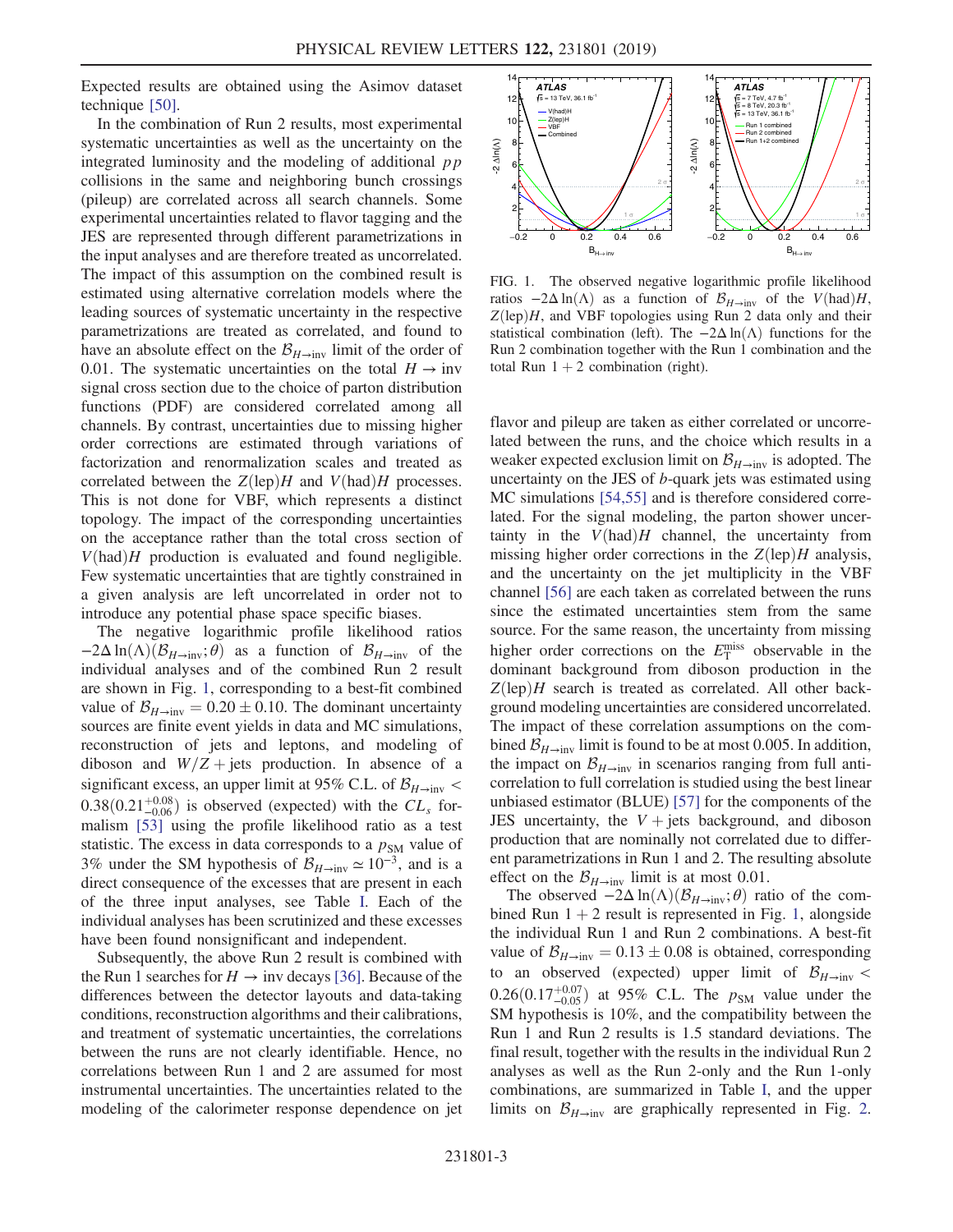Expected results are obtained using the Asimov dataset technique [\[50\]](#page-5-9).

In the combination of Run 2 results, most experimental systematic uncertainties as well as the uncertainty on the integrated luminosity and the modeling of additional  $pp$ collisions in the same and neighboring bunch crossings (pileup) are correlated across all search channels. Some experimental uncertainties related to flavor tagging and the JES are represented through different parametrizations in the input analyses and are therefore treated as uncorrelated. The impact of this assumption on the combined result is estimated using alternative correlation models where the leading sources of systematic uncertainty in the respective parametrizations are treated as correlated, and found to have an absolute effect on the  $\mathcal{B}_{H\to\text{inv}}$  limit of the order of 0.01. The systematic uncertainties on the total  $H \rightarrow inv$ signal cross section due to the choice of parton distribution functions (PDF) are considered correlated among all channels. By contrast, uncertainties due to missing higher order corrections are estimated through variations of factorization and renormalization scales and treated as correlated between the  $Z(\text{lep})H$  and  $V(\text{had})H$  processes. This is not done for VBF, which represents a distinct topology. The impact of the corresponding uncertainties on the acceptance rather than the total cross section of  $V(had)H$  production is evaluated and found negligible. Few systematic uncertainties that are tightly constrained in a given analysis are left uncorrelated in order not to introduce any potential phase space specific biases.

The negative logarithmic profile likelihood ratios  $-2\Delta \ln(\Lambda)(\mathcal{B}_{H\to inv}; \theta)$  as a function of  $\mathcal{B}_{H\to inv}$  of the individual analyses and of the combined Run 2 result are shown in Fig. [1](#page-2-0), corresponding to a best-fit combined value of  $\mathcal{B}_{H\to\text{inv}} = 0.20 \pm 0.10$ . The dominant uncertainty sources are finite event yields in data and MC simulations, reconstruction of jets and leptons, and modeling of diboson and  $W/Z$  + jets production. In absence of a significant excess, an upper limit at 95% C.L. of  $\mathcal{B}_{H\to\text{inv}}$  <  $0.38(0.21_{-0.06}^{+0.08})$  is observed (expected) with the  $CL<sub>s</sub>$  formalism [\[53\]](#page-5-11) using the profile likelihood ratio as a test statistic. The excess in data corresponds to a  $p_{SM}$  value of 3% under the SM hypothesis of  $\mathcal{B}_{H\to\text{inv}} \simeq 10^{-3}$ , and is a direct consequence of the excesses that are present in each of the three input analyses, see Table [I](#page-1-0). Each of the individual analyses has been scrutinized and these excesses have been found nonsignificant and independent.

Subsequently, the above Run 2 result is combined with the Run 1 searches for  $H \rightarrow \text{inv}$  decays [\[36\]](#page-5-1). Because of the differences between the detector layouts and data-taking conditions, reconstruction algorithms and their calibrations, and treatment of systematic uncertainties, the correlations between the runs are not clearly identifiable. Hence, no correlations between Run 1 and 2 are assumed for most instrumental uncertainties. The uncertainties related to the modeling of the calorimeter response dependence on jet

<span id="page-2-0"></span>

FIG. 1. The observed negative logarithmic profile likelihood ratios  $-2\Delta \ln(\Lambda)$  as a function of  $\mathcal{B}_{H\to\text{inv}}$  of the  $V(\text{had})H$ ,  $Z(\text{lep})H$ , and VBF topologies using Run 2 data only and their statistical combination (left). The  $-2\Delta \ln(\Lambda)$  functions for the Run 2 combination together with the Run 1 combination and the total Run  $1 + 2$  combination (right).

flavor and pileup are taken as either correlated or uncorrelated between the runs, and the choice which results in a weaker expected exclusion limit on  $\mathcal{B}_{H\to\text{inv}}$  is adopted. The uncertainty on the JES of b-quark jets was estimated using MC simulations [\[54,55\]](#page-5-12) and is therefore considered correlated. For the signal modeling, the parton shower uncertainty in the  $V(had)H$  channel, the uncertainty from missing higher order corrections in the  $Z(\text{lep})H$  analysis, and the uncertainty on the jet multiplicity in the VBF channel [\[56\]](#page-5-13) are each taken as correlated between the runs since the estimated uncertainties stem from the same source. For the same reason, the uncertainty from missing higher order corrections on the  $E_{\rm T}^{\rm miss}$  observable in the dominant background from diboson production in the  $Z(\text{lep})H$  search is treated as correlated. All other background modeling uncertainties are considered uncorrelated. The impact of these correlation assumptions on the combined  $\mathcal{B}_{H\to\text{inv}}$  limit is found to be at most 0.005. In addition, the impact on  $\mathcal{B}_{H\to\text{inv}}$  in scenarios ranging from full anticorrelation to full correlation is studied using the best linear unbiased estimator (BLUE) [\[57\]](#page-5-14) for the components of the JES uncertainty, the  $V +$  jets background, and diboson production that are nominally not correlated due to different parametrizations in Run 1 and 2. The resulting absolute effect on the  $\mathcal{B}_{H\to\text{inv}}$  limit is at most 0.01.

The observed  $-2\Delta \ln(\Lambda)(\mathcal{B}_{H\to\text{inv}};\theta)$  ratio of the combined Run  $1 + 2$  $1 + 2$  result is represented in Fig. 1, alongside the individual Run 1 and Run 2 combinations. A best-fit value of  $\mathcal{B}_{H\to\text{inv}} = 0.13 \pm 0.08$  is obtained, corresponding to an observed (expected) upper limit of  $\mathcal{B}_{H\to\text{inv}}$  <  $0.26(0.17_{-0.05}^{+0.07})$  at 95% C.L. The  $p_{SM}$  value under the SM hypothesis is 10%, and the compatibility between the Run 1 and Run 2 results is 1.5 standard deviations. The final result, together with the results in the individual Run 2 analyses as well as the Run 2-only and the Run 1-only combinations, are summarized in Table [I,](#page-1-0) and the upper limits on  $\mathcal{B}_{H\to\text{inv}}$  are graphically represented in Fig. [2](#page-3-0).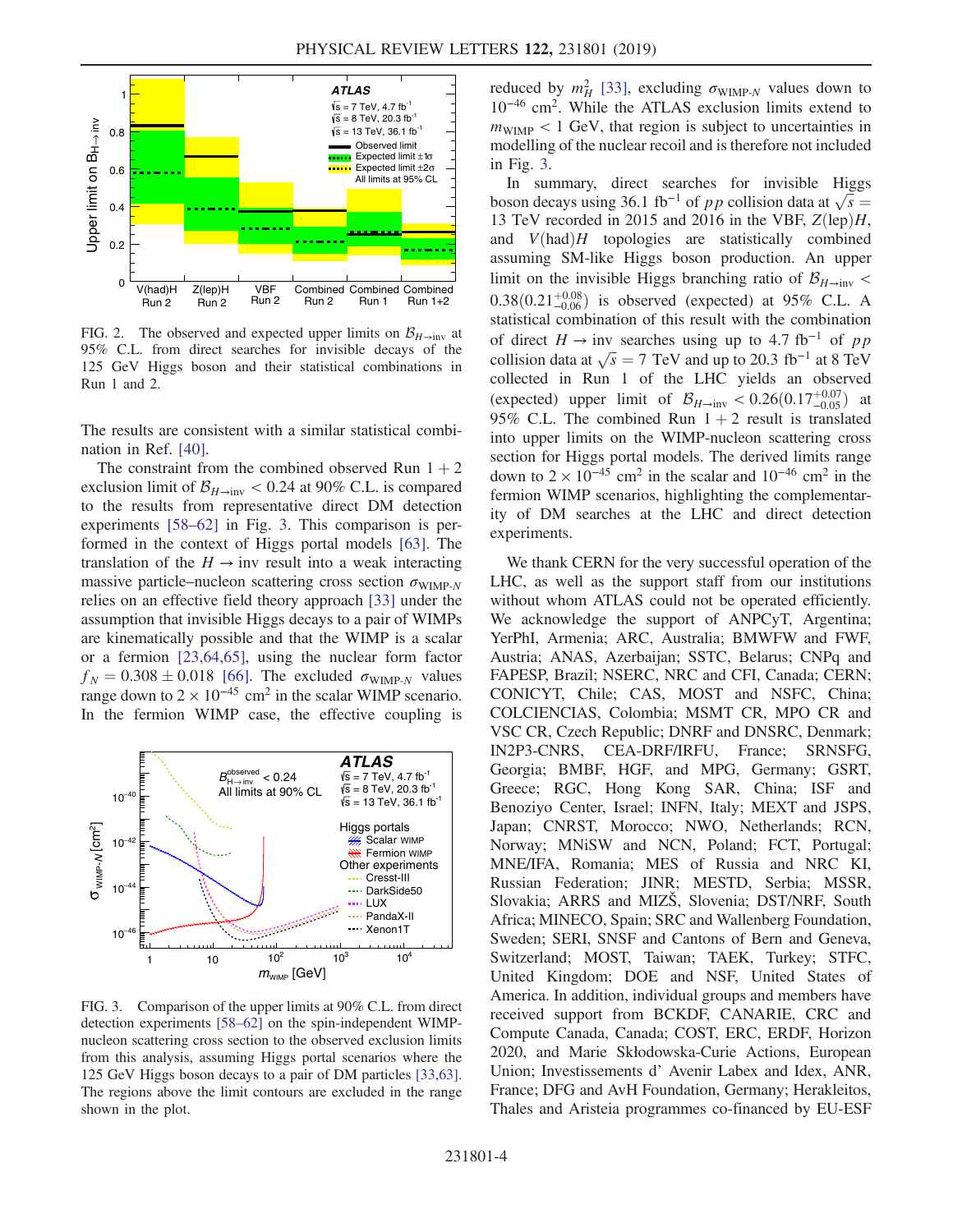<span id="page-3-0"></span>

FIG. 2. The observed and expected upper limits on  $\mathcal{B}_{H\to\text{inv}}$  at 95% C.L. from direct searches for invisible decays of the 125 GeV Higgs boson and their statistical combinations in Run 1 and 2.

The results are consistent with a similar statistical combination in Ref. [\[40\].](#page-5-5)

The constraint from the combined observed Run  $1 + 2$ exclusion limit of  $\mathcal{B}_{H\to\text{inv}} < 0.24$  at 90% C.L. is compared to the results from representative direct DM detection experiments [\[58](#page-5-15)–62] in Fig. [3.](#page-3-1) This comparison is performed in the context of Higgs portal models [\[63\].](#page-5-16) The translation of the  $H \rightarrow inv$  result into a weak interacting massive particle–nucleon scattering cross section  $\sigma_{\text{WIMP-}N}$ relies on an effective field theory approach [\[33\]](#page-4-8) under the assumption that invisible Higgs decays to a pair of WIMPs are kinematically possible and that the WIMP is a scalar or a fermion [\[23,64,65\],](#page-4-10) using the nuclear form factor  $f_N = 0.308 \pm 0.018$  [\[66\]](#page-5-17). The excluded  $\sigma_{\text{WIMP-}N}$  values range down to  $2 \times 10^{-45}$  cm<sup>2</sup> in the scalar WIMP scenario. In the fermion WIMP case, the effective coupling is

<span id="page-3-1"></span>

FIG. 3. Comparison of the upper limits at 90% C.L. from direct detection experiments [\[58](#page-5-15)–62] on the spin-independent WIMPnucleon scattering cross section to the observed exclusion limits from this analysis, assuming Higgs portal scenarios where the 125 GeV Higgs boson decays to a pair of DM particles [\[33,63\].](#page-4-8) The regions above the limit contours are excluded in the range shown in the plot.

reduced by  $m_H^2$  [\[33\]](#page-4-8), excluding  $\sigma_{\text{WIMP-}N}$  values down to 10<sup>−</sup><sup>46</sup> cm<sup>2</sup>. While the ATLAS exclusion limits extend to  $m_{\text{WIMP}} < 1$  GeV, that region is subject to uncertainties in modelling of the nuclear recoil and is therefore not included in Fig. [3](#page-3-1).

In summary, direct searches for invisible Higgs boson decays using 36.1 fb<sup>-1</sup> of *pp* collision data at  $\sqrt{s}$ 13 TeV recorded in 2015 and 2016 in the VBF,  $Z(\text{lep})H$ , and  $V(had)H$  topologies are statistically combined assuming SM-like Higgs boson production. An upper limit on the invisible Higgs branching ratio of  $\mathcal{B}_{H\to\text{inv}}$  <  $0.38(0.21_{-0.06}^{+0.08})$  is observed (expected) at 95% C.L. A statistical combination of this result with the combination of direct  $H \rightarrow inv$  searches using up to 4.7 fb<sup>-1</sup> of pp collision data at  $\sqrt{s} = 7$  TeV and up to 20.3 fb<sup>-1</sup> at 8 TeV collected in Run 1 of the LHC yields an observed (expected) upper limit of  $\mathcal{B}_{H\to\text{inv}} < 0.26(0.17^{+0.07}_{-0.05})$  at 95% C.L. The combined Run  $1 + 2$  result is translated into upper limits on the WIMP-nucleon scattering cross section for Higgs portal models. The derived limits range down to  $2 \times 10^{-45}$  cm<sup>2</sup> in the scalar and  $10^{-46}$  cm<sup>2</sup> in the fermion WIMP scenarios, highlighting the complementarity of DM searches at the LHC and direct detection experiments.

We thank CERN for the very successful operation of the LHC, as well as the support staff from our institutions without whom ATLAS could not be operated efficiently. We acknowledge the support of ANPCyT, Argentina; YerPhI, Armenia; ARC, Australia; BMWFW and FWF, Austria; ANAS, Azerbaijan; SSTC, Belarus; CNPq and FAPESP, Brazil; NSERC, NRC and CFI, Canada; CERN; CONICYT, Chile; CAS, MOST and NSFC, China; COLCIENCIAS, Colombia; MSMT CR, MPO CR and VSC CR, Czech Republic; DNRF and DNSRC, Denmark; IN2P3-CNRS, CEA-DRF/IRFU, France; SRNSFG, Georgia; BMBF, HGF, and MPG, Germany; GSRT, Greece; RGC, Hong Kong SAR, China; ISF and Benoziyo Center, Israel; INFN, Italy; MEXT and JSPS, Japan; CNRST, Morocco; NWO, Netherlands; RCN, Norway; MNiSW and NCN, Poland; FCT, Portugal; MNE/IFA, Romania; MES of Russia and NRC KI, Russian Federation; JINR; MESTD, Serbia; MSSR, Slovakia; ARRS and MIZŠ, Slovenia; DST/NRF, South Africa; MINECO, Spain; SRC and Wallenberg Foundation, Sweden; SERI, SNSF and Cantons of Bern and Geneva, Switzerland; MOST, Taiwan; TAEK, Turkey; STFC, United Kingdom; DOE and NSF, United States of America. In addition, individual groups and members have received support from BCKDF, CANARIE, CRC and Compute Canada, Canada; COST, ERC, ERDF, Horizon 2020, and Marie Skłodowska-Curie Actions, European Union; Investissements d' Avenir Labex and Idex, ANR, France; DFG and AvH Foundation, Germany; Herakleitos, Thales and Aristeia programmes co-financed by EU-ESF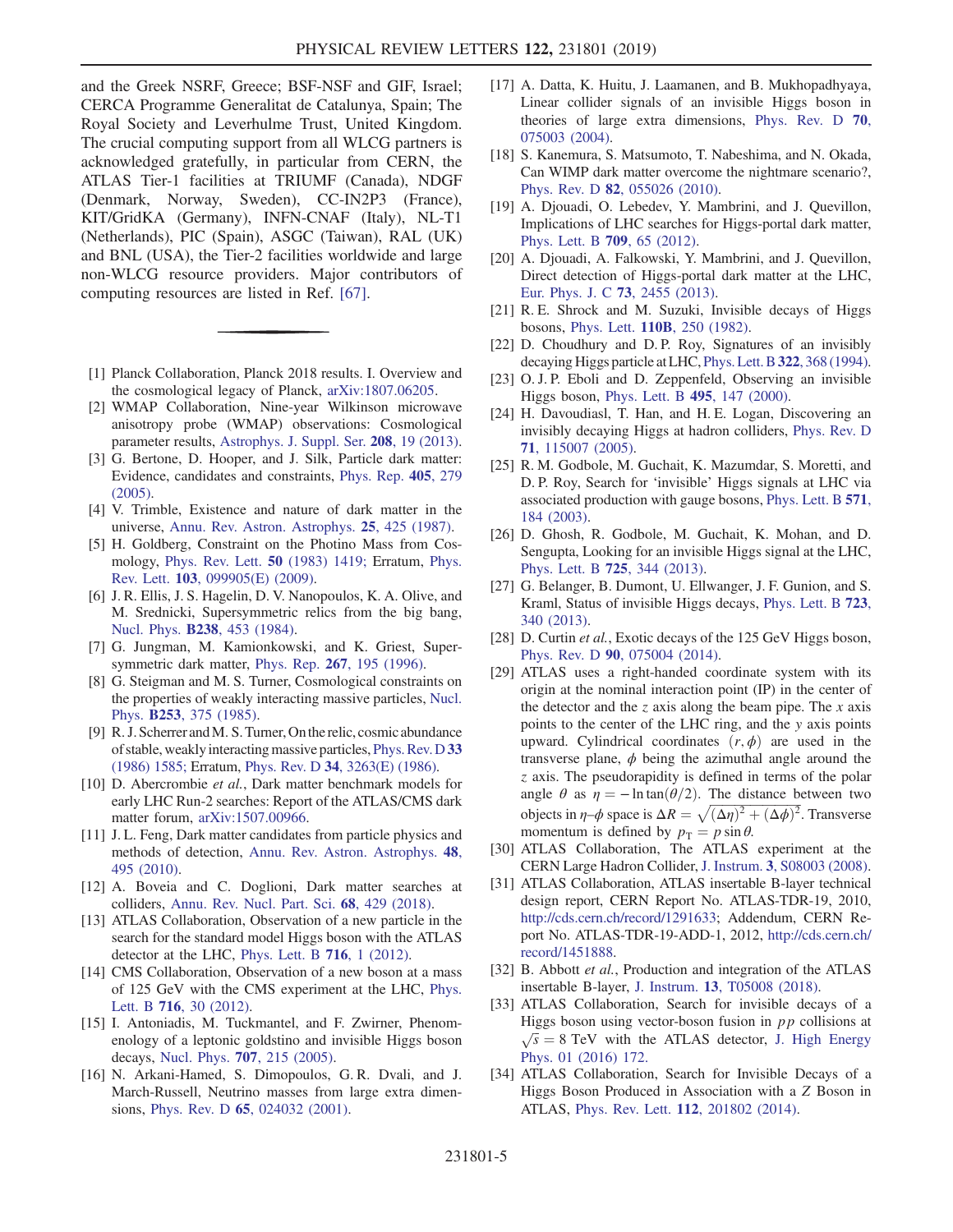and the Greek NSRF, Greece; BSF-NSF and GIF, Israel; CERCA Programme Generalitat de Catalunya, Spain; The Royal Society and Leverhulme Trust, United Kingdom. The crucial computing support from all WLCG partners is acknowledged gratefully, in particular from CERN, the ATLAS Tier-1 facilities at TRIUMF (Canada), NDGF (Denmark, Norway, Sweden), CC-IN2P3 (France), KIT/GridKA (Germany), INFN-CNAF (Italy), NL-T1 (Netherlands), PIC (Spain), ASGC (Taiwan), RAL (UK) and BNL (USA), the Tier-2 facilities worldwide and large non-WLCG resource providers. Major contributors of computing resources are listed in Ref. [\[67\].](#page-5-18)

- <span id="page-4-0"></span>[1] Planck Collaboration, Planck 2018 results. I. Overview and the cosmological legacy of Planck, [arXiv:1807.06205](http://arXiv.org/abs/1807.06205).
- [2] WMAP Collaboration, Nine-year Wilkinson microwave anisotropy probe (WMAP) observations: Cosmological parameter results, [Astrophys. J. Suppl. Ser.](https://doi.org/10.1088/0067-0049/208/2/19) 208, 19 (2013).
- [3] G. Bertone, D. Hooper, and J. Silk, Particle dark matter: Evidence, candidates and constraints, [Phys. Rep.](https://doi.org/10.1016/j.physrep.2004.08.031) 405, 279 [\(2005\).](https://doi.org/10.1016/j.physrep.2004.08.031)
- <span id="page-4-1"></span>[4] V. Trimble, Existence and nature of dark matter in the universe, [Annu. Rev. Astron. Astrophys.](https://doi.org/10.1146/annurev.aa.25.090187.002233) 25, 425 (1987).
- [5] H. Goldberg, Constraint on the Photino Mass from Cosmology, [Phys. Rev. Lett.](https://doi.org/10.1103/PhysRevLett.50.1419) 50 (1983) 1419; Erratum, [Phys.](https://doi.org/10.1103/PhysRevLett.103.099905) Rev. Lett. 103[, 099905\(E\) \(2009\).](https://doi.org/10.1103/PhysRevLett.103.099905)
- [6] J. R. Ellis, J. S. Hagelin, D. V. Nanopoulos, K. A. Olive, and M. Srednicki, Supersymmetric relics from the big bang, Nucl. Phys. B238[, 453 \(1984\).](https://doi.org/10.1016/0550-3213(84)90461-9)
- <span id="page-4-2"></span>[7] G. Jungman, M. Kamionkowski, and K. Griest, Super-symmetric dark matter, Phys. Rep. 267[, 195 \(1996\).](https://doi.org/10.1016/0370-1573(95)00058-5)
- [8] G. Steigman and M. S. Turner, Cosmological constraints on the properties of weakly interacting massive particles, [Nucl.](https://doi.org/10.1016/0550-3213(85)90537-1) Phys. B253[, 375 \(1985\).](https://doi.org/10.1016/0550-3213(85)90537-1)
- [9] R. J. Scherrer and M. S. Turner, On the relic, cosmic abundance of stable, weakly interacting massive particles, [Phys. Rev. D](https://doi.org/10.1103/PhysRevD.33.1585) 33 [\(1986\) 1585;](https://doi.org/10.1103/PhysRevD.33.1585) Erratum, Phys. Rev. D 34[, 3263\(E\) \(1986\)](https://doi.org/10.1103/PhysRevD.34.3263).
- <span id="page-4-3"></span>[10] D. Abercrombie et al., Dark matter benchmark models for early LHC Run-2 searches: Report of the ATLAS/CMS dark matter forum, [arXiv:1507.00966.](http://arXiv.org/abs/1507.00966)
- [11] J. L. Feng, Dark matter candidates from particle physics and methods of detection, [Annu. Rev. Astron. Astrophys.](https://doi.org/10.1146/annurev-astro-082708-101659) 48, [495 \(2010\)](https://doi.org/10.1146/annurev-astro-082708-101659).
- <span id="page-4-4"></span>[12] A. Boveia and C. Doglioni, Dark matter searches at colliders, [Annu. Rev. Nucl. Part. Sci.](https://doi.org/10.1146/annurev-nucl-101917-021008) 68, 429 (2018).
- [13] ATLAS Collaboration, Observation of a new particle in the search for the standard model Higgs boson with the ATLAS detector at the LHC, [Phys. Lett. B](https://doi.org/10.1016/j.physletb.2012.08.020) 716, 1 (2012).
- [14] CMS Collaboration, Observation of a new boson at a mass of 125 GeV with the CMS experiment at the LHC, [Phys.](https://doi.org/10.1016/j.physletb.2012.08.021) Lett. B 716[, 30 \(2012\)](https://doi.org/10.1016/j.physletb.2012.08.021).
- <span id="page-4-5"></span>[15] I. Antoniadis, M. Tuckmantel, and F. Zwirner, Phenomenology of a leptonic goldstino and invisible Higgs boson decays, Nucl. Phys. 707[, 215 \(2005\)](https://doi.org/10.1016/j.nuclphysb.2004.11.061).
- [16] N. Arkani-Hamed, S. Dimopoulos, G. R. Dvali, and J. March-Russell, Neutrino masses from large extra dimensions, Phys. Rev. D 65[, 024032 \(2001\).](https://doi.org/10.1103/PhysRevD.65.024032)
- [17] A. Datta, K. Huitu, J. Laamanen, and B. Mukhopadhyaya, Linear collider signals of an invisible Higgs boson in theories of large extra dimensions, [Phys. Rev. D](https://doi.org/10.1103/PhysRevD.70.075003) 70, [075003 \(2004\).](https://doi.org/10.1103/PhysRevD.70.075003)
- [18] S. Kanemura, S. Matsumoto, T. Nabeshima, and N. Okada, Can WIMP dark matter overcome the nightmare scenario?, Phys. Rev. D 82[, 055026 \(2010\)](https://doi.org/10.1103/PhysRevD.82.055026).
- [19] A. Djouadi, O. Lebedev, Y. Mambrini, and J. Quevillon, Implications of LHC searches for Higgs-portal dark matter, [Phys. Lett. B](https://doi.org/10.1016/j.physletb.2012.01.062) 709, 65 (2012).
- [20] A. Djouadi, A. Falkowski, Y. Mambrini, and J. Quevillon, Direct detection of Higgs-portal dark matter at the LHC, [Eur. Phys. J. C](https://doi.org/10.1140/epjc/s10052-013-2455-1) 73, 2455 (2013).
- [21] R. E. Shrock and M. Suzuki, Invisible decays of Higgs bosons, Phys. Lett. 110B[, 250 \(1982\).](https://doi.org/10.1016/0370-2693(82)91247-3)
- [22] D. Choudhury and D. P. Roy, Signatures of an invisibly decaying Higgs particle at LHC,[Phys. Lett. B](https://doi.org/10.1016/0370-2693(94)91167-3)322, 368 (1994).
- <span id="page-4-10"></span>[23] O. J. P. Eboli and D. Zeppenfeld, Observing an invisible Higgs boson, [Phys. Lett. B](https://doi.org/10.1016/S0370-2693(00)01213-2) 495, 147 (2000).
- [24] H. Davoudiasl, T. Han, and H. E. Logan, Discovering an invisibly decaying Higgs at hadron colliders, [Phys. Rev. D](https://doi.org/10.1103/PhysRevD.71.115007) 71[, 115007 \(2005\).](https://doi.org/10.1103/PhysRevD.71.115007)
- [25] R. M. Godbole, M. Guchait, K. Mazumdar, S. Moretti, and D. P. Roy, Search for 'invisible' Higgs signals at LHC via associated production with gauge bosons, [Phys. Lett. B](https://doi.org/10.1016/j.physletb.2003.06.066) 571, [184 \(2003\)](https://doi.org/10.1016/j.physletb.2003.06.066).
- [26] D. Ghosh, R. Godbole, M. Guchait, K. Mohan, and D. Sengupta, Looking for an invisible Higgs signal at the LHC, [Phys. Lett. B](https://doi.org/10.1016/j.physletb.2013.07.042) 725, 344 (2013).
- [27] G. Belanger, B. Dumont, U. Ellwanger, J. F. Gunion, and S. Kraml, Status of invisible Higgs decays, [Phys. Lett. B](https://doi.org/10.1016/j.physletb.2013.05.024) 723, [340 \(2013\)](https://doi.org/10.1016/j.physletb.2013.05.024).
- [28] D. Curtin et al., Exotic decays of the 125 GeV Higgs boson, Phys. Rev. D 90[, 075004 \(2014\)](https://doi.org/10.1103/PhysRevD.90.075004).
- <span id="page-4-6"></span>[29] ATLAS uses a right-handed coordinate system with its origin at the nominal interaction point (IP) in the center of the detector and the z axis along the beam pipe. The  $x$  axis points to the center of the LHC ring, and the y axis points upward. Cylindrical coordinates  $(r, \phi)$  are used in the transverse plane,  $\phi$  being the azimuthal angle around the z axis. The pseudorapidity is defined in terms of the polar angle  $\theta$  as  $\eta = -\ln \tan(\theta/2)$ . The distance between two objects in  $\eta$ - $\phi$  space is  $\Delta R = \sqrt{(\Delta \eta)^2 + (\Delta \phi)^2}$ . Transverse momentum is defined by  $p_T = p \sin \theta$ .
- <span id="page-4-7"></span>[30] ATLAS Collaboration, The ATLAS experiment at the CERN Large Hadron Collider, J. Instrum. 3[, S08003 \(2008\).](https://doi.org/10.1088/1748-0221/3/08/S08003)
- [31] ATLAS Collaboration, ATLAS insertable B-layer technical design report, CERN Report No. ATLAS-TDR-19, 2010, <http://cds.cern.ch/record/1291633>; Addendum, CERN Report No. ATLAS-TDR-19-ADD-1, 2012, [http://cds.cern.ch/](http://cds.cern.ch/record/1451888) [record/1451888.](http://cds.cern.ch/record/1451888)
- [32] B. Abbott et al., Production and integration of the ATLAS insertable B-layer, J. Instrum. 13[, T05008 \(2018\).](https://doi.org/10.1088/1748-0221/13/05/T05008)
- <span id="page-4-8"></span>[33] ATLAS Collaboration, Search for invisible decays of a Higgs boson using vector-boson fusion in  $p p$  collisions at  $\sqrt{s}$  = 8 TeV with the ATLAS detector, [J. High Energy](https://doi.org/10.1007/JHEP01(2016)172) [Phys. 01 \(2016\) 172.](https://doi.org/10.1007/JHEP01(2016)172)
- <span id="page-4-9"></span>[34] ATLAS Collaboration, Search for Invisible Decays of a Higgs Boson Produced in Association with a Z Boson in ATLAS, Phys. Rev. Lett. 112[, 201802 \(2014\).](https://doi.org/10.1103/PhysRevLett.112.201802)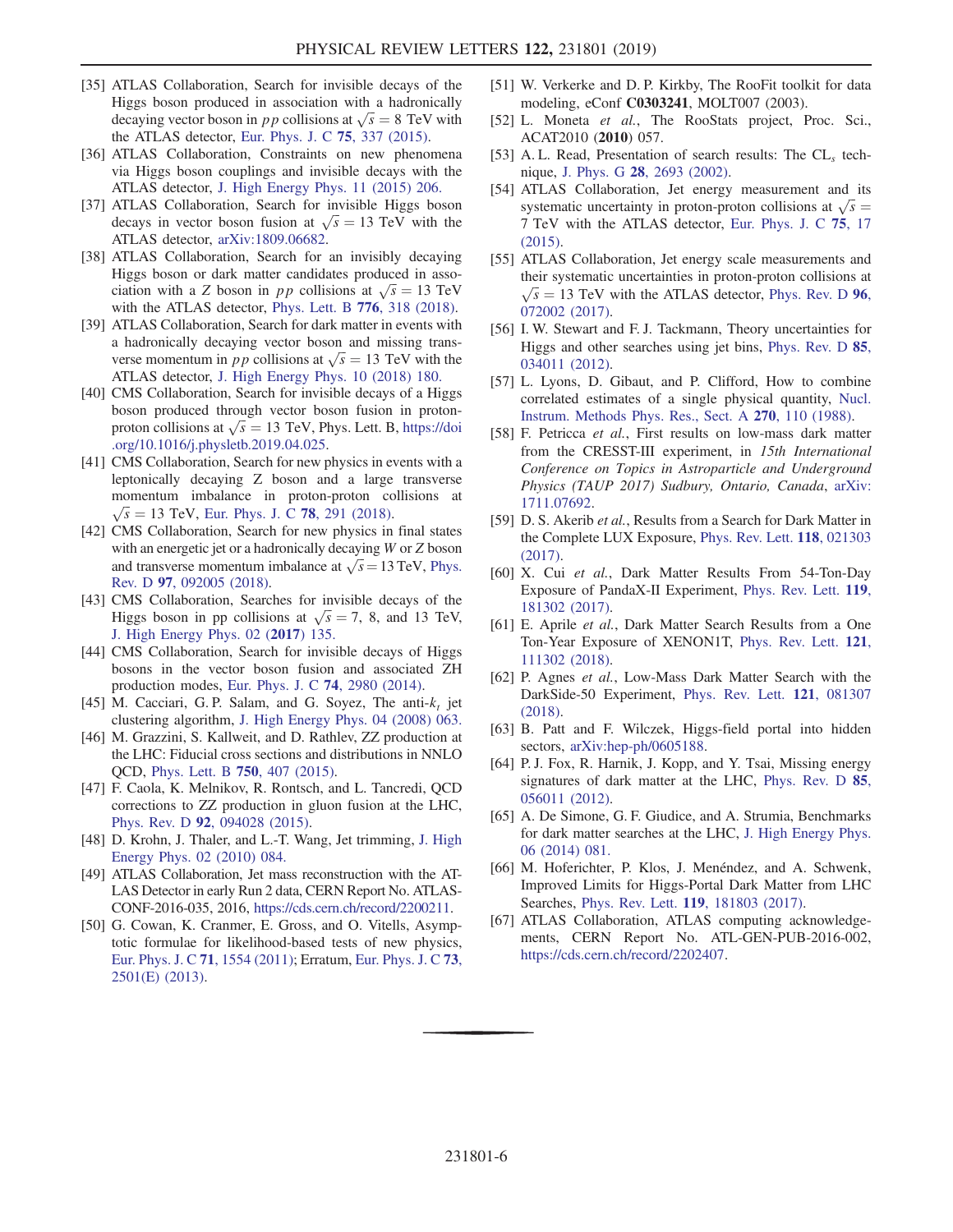- <span id="page-5-0"></span>[35] ATLAS Collaboration, Search for invisible decays of the Higgs boson produced in association with a hadronically decaying vector boson in pp collisions at  $\sqrt{s} = 8$  TeV with the ATLAS detector, [Eur. Phys. J. C](https://doi.org/10.1140/epjc/s10052-015-3551-1) 75, 337 (2015).
- <span id="page-5-1"></span>[36] ATLAS Collaboration, Constraints on new phenomena via Higgs boson couplings and invisible decays with the ATLAS detector, [J. High Energy Phys. 11 \(2015\) 206.](https://doi.org/10.1007/JHEP11(2015)206)
- <span id="page-5-2"></span>[37] ATLAS Collaboration, Search for invisible Higgs boson decays in vector boson fusion at  $\sqrt{s} = 13 \text{ TeV}$  with the ATLAS detector, [arXiv:1809.06682](http://arXiv.org/abs/1809.06682).
- <span id="page-5-3"></span>[38] ATLAS Collaboration, Search for an invisibly decaying Higgs boson or dark matter candidates produced in association with a Z boson in pp collisions at  $\sqrt{s} = 13$  TeV with the ATLAS detector, [Phys. Lett. B](https://doi.org/10.1016/j.physletb.2017.11.049) 776, 318 (2018).
- <span id="page-5-4"></span>[39] ATLAS Collaboration, Search for dark matter in events with a hadronically decaying vector boson and missing transverse momentum in pp collisions at  $\sqrt{s} = 13$  TeV with the ATLAS detector, [J. High Energy Phys. 10 \(2018\) 180.](https://doi.org/10.1007/JHEP10(2018)180)
- <span id="page-5-5"></span>[40] CMS Collaboration, Search for invisible decays of a Higgs boson produced through vector boson fusion in protonproton collisions at  $\sqrt{s} = 13$  TeV, Phys. Lett. B, [https://doi](https://doi.org/10.1016/j.physletb.2019.04.025) [.org/10.1016/j.physletb.2019.04.025](https://doi.org/10.1016/j.physletb.2019.04.025).
- [41] CMS Collaboration, Search for new physics in events with a leptonically decaying Z boson and a large transverse momentum imbalance in proton-proton collisions at  $\sqrt{s}$  = 13 TeV, [Eur. Phys. J. C](https://doi.org/10.1140/epjc/s10052-018-5740-1) 78, 291 (2018).<br>CMS Collaboration. Search for new physics in
- [42] CMS Collaboration, Search for new physics in final states with an energetic jet or a hadronically decaying W or Z boson and transverse momentum imbalance at  $\sqrt{s}$  = 13 TeV, [Phys.](https://doi.org/10.1103/PhysRevD.97.092005) Rev. D 97[, 092005 \(2018\)](https://doi.org/10.1103/PhysRevD.97.092005).
- [43] CMS Collaboration, Searches for invisible decays of the Higgs boson in pp collisions at  $\sqrt{s} = 7$ , 8, and 13 TeV, [J. High Energy Phys. 02 \(](https://doi.org/10.1007/JHEP02(2017)135)2017) 135.
- [44] CMS Collaboration, Search for invisible decays of Higgs bosons in the vector boson fusion and associated ZH production modes, [Eur. Phys. J. C](https://doi.org/10.1140/epjc/s10052-014-2980-6) 74, 2980 (2014).
- <span id="page-5-6"></span>[45] M. Cacciari, G. P. Salam, and G. Soyez, The anti- $k_t$  jet clustering algorithm, [J. High Energy Phys. 04 \(2008\) 063.](https://doi.org/10.1088/1126-6708/2008/04/063)
- <span id="page-5-7"></span>[46] M. Grazzini, S. Kallweit, and D. Rathlev, ZZ production at the LHC: Fiducial cross sections and distributions in NNLO QCD, [Phys. Lett. B](https://doi.org/10.1016/j.physletb.2015.09.055) 750, 407 (2015).
- [47] F. Caola, K. Melnikov, R. Rontsch, and L. Tancredi, QCD corrections to ZZ production in gluon fusion at the LHC, Phys. Rev. D 92[, 094028 \(2015\)](https://doi.org/10.1103/PhysRevD.92.094028).
- <span id="page-5-8"></span>[48] D. Krohn, J. Thaler, and L.-T. Wang, Jet trimming, [J. High](https://doi.org/10.1007/JHEP02(2010)084) [Energy Phys. 02 \(2010\) 084.](https://doi.org/10.1007/JHEP02(2010)084)
- [49] ATLAS Collaboration, Jet mass reconstruction with the AT-LAS Detector in early Run 2 data, CERN Report No. ATLAS-CONF-2016-035, 2016, <https://cds.cern.ch/record/2200211>.
- <span id="page-5-9"></span>[50] G. Cowan, K. Cranmer, E. Gross, and O. Vitells, Asymptotic formulae for likelihood-based tests of new physics, [Eur. Phys. J. C](https://doi.org/10.1140/epjc/s10052-011-1554-0) 71, 1554 (2011); Erratum, [Eur. Phys. J. C](https://doi.org/10.1140/epjc/s10052-013-2501-z) 73, [2501\(E\) \(2013\)](https://doi.org/10.1140/epjc/s10052-013-2501-z).
- <span id="page-5-10"></span>[51] W. Verkerke and D. P. Kirkby, The RooFit toolkit for data modeling, eConf C0303241, MOLT007 (2003).
- [52] L. Moneta et al., The RooStats project, Proc. Sci., ACAT2010 (2010) 057.
- <span id="page-5-11"></span>[53] A. L. Read, Presentation of search results: The  $CL<sub>s</sub>$  technique, J. Phys. G 28[, 2693 \(2002\).](https://doi.org/10.1088/0954-3899/28/10/313)
- <span id="page-5-12"></span>[54] ATLAS Collaboration, Jet energy measurement and its systematic uncertainty in proton-proton collisions at  $\sqrt{s}$  = <sup>7</sup> TeV with the ATLAS detector, [Eur. Phys. J. C](https://doi.org/10.1140/epjc/s10052-014-3190-y) 75, 17 [\(2015\).](https://doi.org/10.1140/epjc/s10052-014-3190-y)
- [55] ATLAS Collaboration, Jet energy scale measurements and their systematic uncertainties in proton-proton collisions at  $\sqrt{s}$  = 13 TeV with the ATLAS detector, [Phys. Rev. D](https://doi.org/10.1103/PhysRevD.96.072002) 96, 072002 (2017) [072002 \(2017\).](https://doi.org/10.1103/PhysRevD.96.072002)
- <span id="page-5-13"></span>[56] I. W. Stewart and F. J. Tackmann, Theory uncertainties for Higgs and other searches using jet bins, [Phys. Rev. D](https://doi.org/10.1103/PhysRevD.85.034011) 85, [034011 \(2012\).](https://doi.org/10.1103/PhysRevD.85.034011)
- <span id="page-5-14"></span>[57] L. Lyons, D. Gibaut, and P. Clifford, How to combine correlated estimates of a single physical quantity, [Nucl.](https://doi.org/10.1016/0168-9002(88)90018-6) [Instrum. Methods Phys. Res., Sect. A](https://doi.org/10.1016/0168-9002(88)90018-6) 270, 110 (1988).
- <span id="page-5-15"></span>[58] F. Petricca et al., First results on low-mass dark matter from the CRESST-III experiment, in 15th International Conference on Topics in Astroparticle and Underground Physics (TAUP 2017) Sudbury, Ontario, Canada, [arXiv:](http://arXiv.org/abs/1711.07692) [1711.07692.](http://arXiv.org/abs/1711.07692)
- [59] D. S. Akerib et al., Results from a Search for Dark Matter in the Complete LUX Exposure, [Phys. Rev. Lett.](https://doi.org/10.1103/PhysRevLett.118.021303) 118, 021303 [\(2017\).](https://doi.org/10.1103/PhysRevLett.118.021303)
- [60] X. Cui et al., Dark Matter Results From 54-Ton-Day Exposure of PandaX-II Experiment, [Phys. Rev. Lett.](https://doi.org/10.1103/PhysRevLett.119.181302) 119, [181302 \(2017\).](https://doi.org/10.1103/PhysRevLett.119.181302)
- [61] E. Aprile et al., Dark Matter Search Results from a One Ton-Year Exposure of XENON1T, [Phys. Rev. Lett.](https://doi.org/10.1103/PhysRevLett.121.111302) 121, [111302 \(2018\).](https://doi.org/10.1103/PhysRevLett.121.111302)
- [62] P. Agnes et al., Low-Mass Dark Matter Search with the DarkSide-50 Experiment, [Phys. Rev. Lett.](https://doi.org/10.1103/PhysRevLett.121.081307) 121, 081307 [\(2018\).](https://doi.org/10.1103/PhysRevLett.121.081307)
- <span id="page-5-16"></span>[63] B. Patt and F. Wilczek, Higgs-field portal into hidden sectors, [arXiv:hep-ph/0605188](http://arXiv.org/abs/hep-ph/0605188).
- [64] P. J. Fox, R. Harnik, J. Kopp, and Y. Tsai, Missing energy signatures of dark matter at the LHC, [Phys. Rev. D](https://doi.org/10.1103/PhysRevD.85.056011) 85, [056011 \(2012\).](https://doi.org/10.1103/PhysRevD.85.056011)
- [65] A. De Simone, G. F. Giudice, and A. Strumia, Benchmarks for dark matter searches at the LHC, [J. High Energy Phys.](https://doi.org/10.1007/JHEP06(2014)081) [06 \(2014\) 081.](https://doi.org/10.1007/JHEP06(2014)081)
- <span id="page-5-17"></span>[66] M. Hoferichter, P. Klos, J. Menéndez, and A. Schwenk, Improved Limits for Higgs-Portal Dark Matter from LHC Searches, Phys. Rev. Lett. 119[, 181803 \(2017\).](https://doi.org/10.1103/PhysRevLett.119.181803)
- <span id="page-5-18"></span>[67] ATLAS Collaboration, ATLAS computing acknowledgements, CERN Report No. ATL-GEN-PUB-2016-002, [https://cds.cern.ch/record/2202407.](https://cds.cern.ch/record/2202407)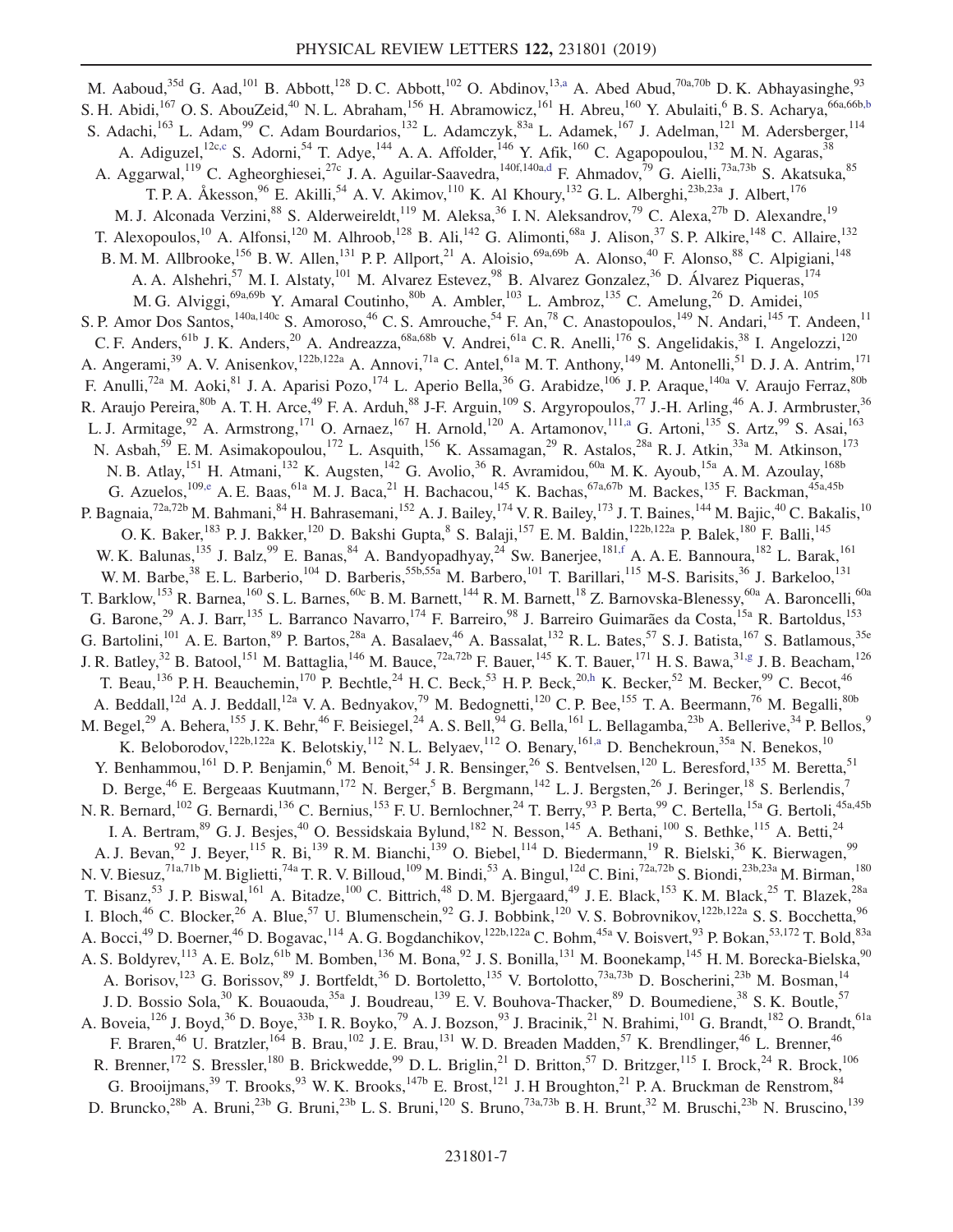<span id="page-6-7"></span><span id="page-6-6"></span><span id="page-6-5"></span><span id="page-6-4"></span><span id="page-6-3"></span><span id="page-6-2"></span><span id="page-6-1"></span><span id="page-6-0"></span>M. Aaboud,<sup>35d</sup> G. Aad,<sup>101</sup> B. Abbott,<sup>128</sup> D. C. Abbott,<sup>102</sup> O. Abdinov,<sup>13[,a](#page-18-0)</sup> A. Abed Abud,<sup>70a,70b</sup> D. K. Abhayasinghe,<sup>93</sup> S. H. Abidi,<sup>167</sup> O. S. AbouZeid,<sup>40</sup> N. L. Abraham,<sup>156</sup> H. Abramowicz,<sup>161</sup> H. Abreu,<sup>160</sup> Y. Abulaiti,<sup>6</sup> B. S. Acharya,<sup>66a,66b[,b](#page-18-1)</sup> S. Adachi,<sup>163</sup> L. Adam,<sup>99</sup> C. Adam Bourdarios,<sup>132</sup> L. Adamczyk,<sup>83a</sup> L. Adamek,<sup>167</sup> J. Adelman,<sup>121</sup> M. Adersberger,<sup>114</sup> A. Adiguzel,<sup>12c[,c](#page-18-2)</sup> S. Adorni,<sup>54</sup> T. Adye,<sup>144</sup> A. A. Affolder,<sup>146</sup> Y. Afik,<sup>160</sup> C. Agapopoulou,<sup>132</sup> M. N. Agaras,<sup>38</sup> A. Aggarwal,<sup>119</sup> C. Agheorghiesei,<sup>27c</sup> J. A. Aguilar-Saavedra,<sup>140f,140[a,d](#page-18-3)</sup> F. Ahmadov,<sup>79</sup> G. Aielli,<sup>73a,73b</sup> S. Akatsuka,<sup>85</sup> T. P. A. Åkesson,  $96$  E. Akilli,  $54$  A. V. Akimov,  $110$  K. Al Khoury,  $132$  G. L. Alberghi,  $23b,23a$  J. Albert,  $176$ M. J. Alconada Verzini,<sup>88</sup> S. Alderweireldt,<sup>119</sup> M. Aleksa,<sup>36</sup> I. N. Aleksandrov,<sup>79</sup> C. Alexa,<sup>27b</sup> D. Alexandre,<sup>19</sup> T. Alexopoulos,<sup>10</sup> A. Alfonsi,<sup>120</sup> M. Alhroob,<sup>128</sup> B. Ali,<sup>142</sup> G. Alimonti,<sup>68a</sup> J. Alison,<sup>37</sup> S. P. Alkire,<sup>148</sup> C. Allaire,<sup>132</sup> B. M. M. Allbrooke,<sup>156</sup> B. W. Allen,<sup>131</sup> P. P. Allport,<sup>21</sup> A. Aloisio,<sup>69a,69b</sup> A. Alonso,<sup>40</sup> F. Alonso,<sup>88</sup> C. Alpigiani,<sup>148</sup> A. A. Alshehri,<sup>57</sup> M. I. Alstaty,<sup>101</sup> M. Alvarez Estevez,<sup>98</sup> B. Alvarez Gonzalez,<sup>36</sup> D. Álvarez Piqueras,<sup>174</sup> M. G. Alviggi,<sup>69a,69b</sup> Y. Amaral Coutinho,<sup>80b</sup> A. Ambler,<sup>103</sup> L. Ambroz,<sup>135</sup> C. Amelung,<sup>26</sup> D. Amidei,<sup>105</sup> S. P. Amor Dos Santos,<sup>140a,140c</sup> S. Amoroso,<sup>46</sup> C. S. Amrouche,<sup>54</sup> F. An,<sup>78</sup> C. Anastopoulos,<sup>149</sup> N. Andari,<sup>145</sup> T. Andeen,<sup>11</sup> C. F. Anders, <sup>61b</sup> J. K. Anders, <sup>20</sup> A. Andreazza, <sup>68a, 68b</sup> V. Andrei, <sup>61a</sup> C. R. Anelli, <sup>176</sup> S. Angelidakis, <sup>38</sup> I. Angelozzi, <sup>120</sup> A. Angerami,<sup>39</sup> A. V. Anisenkov,<sup>122b,122a</sup> A. Annovi,<sup>71a</sup> C. Antel,<sup>61a</sup> M. T. Anthony,<sup>149</sup> M. Antonelli,<sup>51</sup> D. J. A. Antrim,<sup>171</sup> F. Anulli,<sup>72a</sup> M. Aoki,<sup>81</sup> J. A. Aparisi Pozo,<sup>174</sup> L. Aperio Bella,<sup>36</sup> G. Arabidze,<sup>106</sup> J. P. Araque,<sup>140a</sup> V. Araujo Ferraz,<sup>80b</sup> R. Araujo Pereira, <sup>80b</sup> A. T. H. Arce,<sup>49</sup> F. A. Arduh, <sup>88</sup> J-F. Arguin, <sup>109</sup> S. Argyropoulos, <sup>77</sup> J.-H. Arling, <sup>46</sup> A. J. Armbruster, <sup>36</sup> L. J. Armitage,<sup>92</sup> A. Armstrong,<sup>171</sup> O. Arnaez,<sup>167</sup> H. Arnold,<sup>120</sup> A. Artamonov,<sup>111[,a](#page-18-0)</sup> G. Artoni,<sup>135</sup> S. Artz,<sup>99</sup> S. Asai,<sup>163</sup> N. Asbah,<sup>59</sup> E.M. Asimakopoulou,<sup>172</sup> L. Asquith,<sup>156</sup> K. Assamagan,<sup>29</sup> R. Astalos,<sup>28a</sup> R. J. Atkin,<sup>33a</sup> M. Atkinson,<sup>173</sup> N. B. Atlay, <sup>151</sup> H. Atmani, <sup>132</sup> K. Augsten, <sup>142</sup> G. Avolio, <sup>36</sup> R. Avramidou, <sup>60a</sup> M. K. Ayoub, <sup>15a</sup> A. M. Azoulay, <sup>168b</sup> G. Azuelos,<sup>109[,e](#page-18-4)</sup> A. E. Baas,<sup>61a</sup> M. J. Baca,<sup>21</sup> H. Bachacou,<sup>145</sup> K. Bachas,<sup>67a,67b</sup> M. Backes,<sup>135</sup> F. Backman,<sup>45a,45b</sup> P. Bagnaia,<sup>72a,72b</sup> M. Bahmani,<sup>84</sup> H. Bahrasemani,<sup>152</sup> A. J. Bailey,<sup>174</sup> V. R. Bailey,<sup>173</sup> J. T. Baines,<sup>144</sup> M. Bajic,<sup>40</sup> C. Bakalis,<sup>10</sup> O. K. Baker,<sup>183</sup> P. J. Bakker,<sup>120</sup> D. Bakshi Gupta, <sup>8</sup> S. Balaji,<sup>157</sup> E. M. Baldin,<sup>122b,122a</sup> P. Balek,<sup>180</sup> F. Balli,<sup>145</sup> W. K. Balunas,<sup>135</sup> J. Balz,<sup>99</sup> E. Banas,<sup>84</sup> A. Bandyopadhyay,<sup>24</sup> Sw. Banerjee,<sup>18[1,f](#page-18-5)</sup> A. A. E. Bannoura,<sup>182</sup> L. Barak,<sup>161</sup> W. M. Barbe,<sup>38</sup> E. L. Barberio,<sup>104</sup> D. Barberis,<sup>55b,55a</sup> M. Barbero,<sup>101</sup> T. Barillari,<sup>115</sup> M-S. Barisits,<sup>36</sup> J. Barkeloo,<sup>131</sup> T. Barklow,<sup>153</sup> R. Barnea,<sup>160</sup> S. L. Barnes,<sup>60c</sup> B. M. Barnett,<sup>144</sup> R. M. Barnett,<sup>18</sup> Z. Barnovska-Blenessy,<sup>60a</sup> A. Baroncelli,<sup>60a</sup> G. Barone,<sup>29</sup> A. J. Barr,<sup>135</sup> L. Barranco Navarro,<sup>174</sup> F. Barreiro,<sup>98</sup> J. Barreiro Guimarães da Costa,<sup>15a</sup> R. Bartoldus,<sup>153</sup> G. Bartolini,<sup>101</sup> A. E. Barton,<sup>89</sup> P. Bartos,<sup>28a</sup> A. Basalaev,<sup>46</sup> A. Bassalat,<sup>132</sup> R. L. Bates,<sup>57</sup> S. J. Batista,<sup>167</sup> S. Batlamous,<sup>35e</sup> J. R. Batley,<sup>32</sup> B. Batool,<sup>151</sup> M. Battaglia,<sup>146</sup> M. Bauce,<sup>72a,72b</sup> F. Bauer,<sup>145</sup> K. T. Bauer,<sup>171</sup> H. S. Bawa,<sup>31[,g](#page-18-6)</sup> J. B. Beacham,<sup>126</sup> T. Beau,<sup>136</sup> P. H. Beauchemin,<sup>170</sup> P. Bechtle,<sup>24</sup> H. C. Beck,<sup>53</sup> H. P. Beck,<sup>2[0,h](#page-18-7)</sup> K. Becker,<sup>52</sup> M. Becker,<sup>99</sup> C. Becot,<sup>46</sup> A. Beddall,<sup>12d</sup> A. J. Beddall,<sup>12a</sup> V. A. Bednyakov,<sup>79</sup> M. Bedognetti,<sup>120</sup> C. P. Bee,<sup>155</sup> T. A. Beermann,<sup>76</sup> M. Begalli,<sup>80b</sup> M. Begel,<sup>29</sup> A. Behera,<sup>155</sup> J. K. Behr,<sup>46</sup> F. Beisiegel,<sup>24</sup> A. S. Bell,<sup>94</sup> G. Bella,<sup>161</sup> L. Bellagamba,<sup>23b</sup> A. Bellerive,<sup>34</sup> P. Bellos,<sup>9</sup> K. Beloborodov,<sup>122b,122a</sup> K. Belotskiy,<sup>112</sup> N. L. Belyaev,<sup>112</sup> O. Benary,<sup>161[,a](#page-18-0)</sup> D. Benchekroun,<sup>35a</sup> N. Benekos,<sup>10</sup> Y. Benhammou,<sup>161</sup> D. P. Benjamin,<sup>6</sup> M. Benoit,<sup>54</sup> J. R. Bensinger,<sup>26</sup> S. Bentvelsen,<sup>120</sup> L. Beresford,<sup>135</sup> M. Beretta,<sup>51</sup> D. Berge,<sup>46</sup> E. Bergeaas Kuutmann,<sup>172</sup> N. Berger,<sup>5</sup> B. Bergmann,<sup>142</sup> L. J. Bergsten,<sup>26</sup> J. Beringer,<sup>18</sup> S. Berlendis,<sup>7</sup> N. R. Bernard,<sup>102</sup> G. Bernardi,<sup>136</sup> C. Bernius,<sup>153</sup> F. U. Bernlochner,<sup>24</sup> T. Berry,<sup>93</sup> P. Berta,<sup>99</sup> C. Bertella,<sup>15a</sup> G. Bertoli,<sup>45a,45b</sup> I. A. Bertram,<sup>89</sup> G. J. Besjes,<sup>40</sup> O. Bessidskaia Bylund,<sup>182</sup> N. Besson,<sup>145</sup> A. Bethani,<sup>100</sup> S. Bethke,<sup>115</sup> A. Betti,<sup>24</sup> A. J. Bevan, <sup>92</sup> J. Beyer, <sup>115</sup> R. Bi, <sup>139</sup> R. M. Bianchi, <sup>139</sup> O. Biebel, <sup>114</sup> D. Biedermann, <sup>19</sup> R. Bielski, <sup>36</sup> K. Bierwagen, <sup>99</sup> N. V. Biesuz,<sup>71a,71b</sup> M. Biglietti,<sup>74a</sup> T. R. V. Billoud,<sup>109</sup> M. Bindi,<sup>53</sup> A. Bingul,<sup>12d</sup> C. Bini,<sup>72a,72b</sup> S. Biondi,<sup>23b,23a</sup> M. Birman,<sup>180</sup> T. Bisanz,<sup>53</sup> J. P. Biswal,<sup>161</sup> A. Bitadze,<sup>100</sup> C. Bittrich,<sup>48</sup> D. M. Bjergaard,<sup>49</sup> J. E. Black,<sup>153</sup> K. M. Black,<sup>25</sup> T. Blazek,<sup>28a</sup> I. Bloch,<sup>46</sup> C. Blocker,<sup>26</sup> A. Blue,<sup>57</sup> U. Blumenschein,<sup>92</sup> G. J. Bobbink,<sup>120</sup> V. S. Bobrovnikov,<sup>122b,122a</sup> S. S. Bocchetta,<sup>96</sup> A. Bocci,<sup>49</sup> D. Boerner,<sup>46</sup> D. Bogavac,<sup>114</sup> A. G. Bogdanchikov,<sup>122b,122a</sup> C. Bohm,<sup>45a</sup> V. Boisvert,<sup>93</sup> P. Bokan,<sup>53,172</sup> T. Bold,<sup>83a</sup> A. S. Boldyrev,<sup>113</sup> A. E. Bolz,<sup>61b</sup> M. Bomben,<sup>136</sup> M. Bona,<sup>92</sup> J. S. Bonilla,<sup>131</sup> M. Boonekamp,<sup>145</sup> H. M. Borecka-Bielska,<sup>90</sup> A. Borisov,<sup>123</sup> G. Borissov,<sup>89</sup> J. Bortfeldt,<sup>36</sup> D. Bortoletto,<sup>135</sup> V. Bortolotto,<sup>73a,73b</sup> D. Boscherini,<sup>23b</sup> M. Bosman,<sup>14</sup> J. D. Bossio Sola,<sup>30</sup> K. Bouaouda,<sup>35a</sup> J. Boudreau,<sup>139</sup> E. V. Bouhova-Thacker,<sup>89</sup> D. Boumediene,<sup>38</sup> S. K. Boutle,<sup>57</sup> A. Boveia,<sup>126</sup> J. Boyd,<sup>36</sup> D. Boye,<sup>33b</sup> I. R. Boyko,<sup>79</sup> A. J. Bozson,<sup>93</sup> J. Bracinik,<sup>21</sup> N. Brahimi,<sup>101</sup> G. Brandt,<sup>182</sup> O. Brandt,<sup>61a</sup> F. Braren,<sup>46</sup> U. Bratzler,<sup>164</sup> B. Brau,<sup>102</sup> J. E. Brau,<sup>131</sup> W. D. Breaden Madden,<sup>57</sup> K. Brendlinger,<sup>46</sup> L. Brenner,<sup>46</sup> R. Brenner,  $^{172}$  S. Bressler,  $^{180}$  B. Brickwedde,  $^{99}$  D. L. Briglin,  $^{21}$  D. Britton,  $^{57}$  D. Britzger,  $^{115}$  I. Brock,  $^{24}$  R. Brock,  $^{106}$ G. Brooijmans,<sup>39</sup> T. Brooks,<sup>93</sup> W. K. Brooks,<sup>147b</sup> E. Brost,<sup>121</sup> J. H Broughton,<sup>21</sup> P. A. Bruckman de Renstrom,<sup>84</sup> D. Bruncko,<sup>28b</sup> A. Bruni,<sup>23b</sup> G. Bruni,<sup>23b</sup> L. S. Bruni,<sup>120</sup> S. Bruno,<sup>73a,73b</sup> B. H. Brunt,<sup>32</sup> M. Bruschi,<sup>23b</sup> N. Bruscino,<sup>139</sup>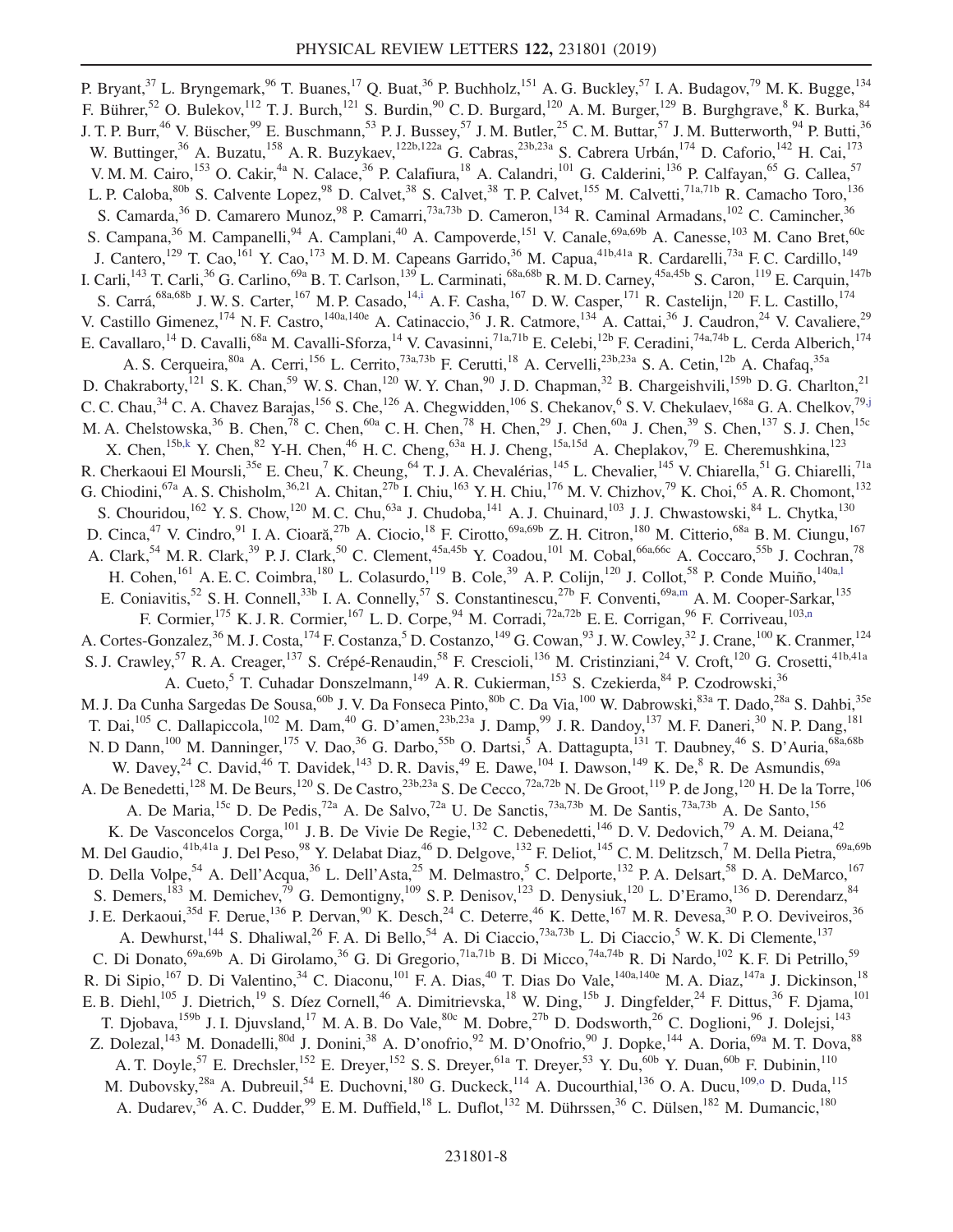<span id="page-7-6"></span><span id="page-7-5"></span><span id="page-7-4"></span><span id="page-7-3"></span><span id="page-7-2"></span><span id="page-7-1"></span><span id="page-7-0"></span>P. Bryant,  $37$  L. Bryngemark,  $96$  T. Buanes,  $17$  Q. Buat,  $36$  P. Buchholz,  $151$  A. G. Buckley,  $57$  I. A. Budagov,  $79$  M. K. Bugge,  $134$ F. Bührer,<sup>52</sup> O. Bulekov,<sup>112</sup> T. J. Burch,<sup>121</sup> S. Burdin,<sup>90</sup> C. D. Burgard,<sup>120</sup> A. M. Burger,<sup>129</sup> B. Burghgrave,<sup>8</sup> K. Burka,<sup>84</sup> J. T. P. Burr,<sup>46</sup> V. Büscher,<sup>99</sup> E. Buschmann,<sup>53</sup> P. J. Bussey,<sup>57</sup> J. M. Butter,<sup>25</sup> C. M. Buttar,<sup>57</sup> J. M. Butterworth,<sup>94</sup> P. Butti,<sup>36</sup> W. Buttinger,<sup>36</sup> A. Buzatu,<sup>158</sup> A. R. Buzykaev,<sup>122b,122a</sup> G. Cabras,<sup>23b,23a</sup> S. Cabrera Urbán,<sup>174</sup> D. Caforio,<sup>142</sup> H. Cai,<sup>173</sup> V. M. M. Cairo,<sup>153</sup> O. Cakir,<sup>4a</sup> N. Calace,<sup>36</sup> P. Calafiura,<sup>18</sup> A. Calandri,<sup>101</sup> G. Calderini,<sup>136</sup> P. Calfayan,<sup>65</sup> G. Callea,<sup>57</sup> L. P. Caloba, <sup>80b</sup> S. Calvente Lopez, <sup>98</sup> D. Calvet, <sup>38</sup> S. Calvet, <sup>38</sup> T. P. Calvet, <sup>155</sup> M. Calvetti, <sup>71a,71b</sup> R. Camacho Toro, <sup>136</sup> S. Camarda,<sup>36</sup> D. Camarero Munoz,<sup>98</sup> P. Camarri,<sup>73a,73b</sup> D. Cameron,<sup>134</sup> R. Caminal Armadans,<sup>102</sup> C. Camincher,<sup>36</sup> S. Campana,<sup>36</sup> M. Campanelli,<sup>94</sup> A. Camplani,<sup>40</sup> A. Campoverde,<sup>151</sup> V. Canale,<sup>69a,69b</sup> A. Canesse,<sup>103</sup> M. Cano Bret,<sup>60c</sup> J. Cantero,<sup>129</sup> T. Cao,<sup>161</sup> Y. Cao,<sup>173</sup> M. D. M. Capeans Garrido,<sup>36</sup> M. Capua,<sup>41b,41a</sup> R. Cardarelli,<sup>73a</sup> F. C. Cardillo,<sup>149</sup> I. Carli,<sup>143</sup> T. Carli,<sup>36</sup> G. Carlino,<sup>69a</sup> B. T. Carlson,<sup>139</sup> L. Carminati,<sup>68a,68b</sup> R. M. D. Carney,<sup>45a,45b</sup> S. Caron,<sup>119</sup> E. Carquin,<sup>147b</sup> S. Carrá,<sup>68a,68b</sup> J. W. S. Carter,<sup>167</sup> M. P. Casado,<sup>14[,i](#page-18-8)</sup> A. F. Casha,<sup>167</sup> D. W. Casper,<sup>171</sup> R. Castelijn,<sup>120</sup> F. L. Castillo,<sup>174</sup> V. Castillo Gimenez,<sup>174</sup> N. F. Castro,<sup>140a,140e</sup> A. Catinaccio,<sup>36</sup> J. R. Catmore,<sup>134</sup> A. Cattai,<sup>36</sup> J. Caudron,<sup>24</sup> V. Cavaliere,<sup>29</sup> E. Cavallaro,<sup>14</sup> D. Cavalli,<sup>68a</sup> M. Cavalli-Sforza,<sup>14</sup> V. Cavasinni,<sup>71a,71b</sup> E. Celebi,<sup>12b</sup> F. Ceradini,<sup>74a,74b</sup> L. Cerda Alberich,<sup>174</sup> A. S. Cerqueira,<sup>80a</sup> A. Cerri,<sup>156</sup> L. Cerrito,<sup>73a,73b</sup> F. Cerutti,<sup>18</sup> A. Cervelli,<sup>23b,23a</sup> S. A. Cetin,<sup>12b</sup> A. Chafaq,<sup>35a</sup> D. Chakraborty,<sup>121</sup> S. K. Chan,<sup>59</sup> W. S. Chan,<sup>120</sup> W. Y. Chan,<sup>90</sup> J. D. Chapman,<sup>32</sup> B. Chargeishvili,<sup>159b</sup> D. G. Charlton,<sup>21</sup> C. C. Chau,<sup>34</sup> C. A. Chavez Barajas,<sup>156</sup> S. Che,<sup>126</sup> A. Chegwidden,<sup>106</sup> S. Chekanov,<sup>6</sup> S. V. Chekulaev,<sup>168a</sup> G. A. Chelkov,<sup>7[9,j](#page-18-9)</sup> M. A. Chelstowska,  $36$  B. Chen,  $78$  C. Chen,  $60a$  C. H. Chen,  $78$  H. Chen,  $29$  J. Chen,  $60a$  J. Chen,  $39$  S. Chen,  $137$  S. J. Chen,  $15c$ X. Chen,<sup>15[b,k](#page-18-10)</sup> Y. Chen,<sup>82</sup> Y-H. Chen,<sup>46</sup> H. C. Cheng,<sup>63a</sup> H. J. Cheng,<sup>15a,15d</sup> A. Cheplakov,<sup>79</sup> E. Cheremushkina,<sup>123</sup> R. Cherkaoui El Moursli,<sup>35e</sup> E. Cheu,<sup>7</sup> K. Cheung,<sup>64</sup> T. J. A. Chevalérias,<sup>145</sup> L. Chevalier,<sup>145</sup> V. Chiarelli,<sup>51</sup> G. Chiarelli,<sup>71a</sup> G. Chiodini,<sup>67a</sup> A. S. Chisholm,<sup>36,21</sup> A. Chitan,<sup>27b</sup> I. Chiu,<sup>163</sup> Y. H. Chiu,<sup>176</sup> M. V. Chizhov,<sup>79</sup> K. Choi,<sup>65</sup> A. R. Chomont,<sup>132</sup> S. Chouridou,<sup>162</sup> Y. S. Chow,<sup>120</sup> M. C. Chu,<sup>63a</sup> J. Chudoba,<sup>141</sup> A. J. Chuinard,<sup>103</sup> J. J. Chwastowski,<sup>84</sup> L. Chytka,<sup>130</sup> D. Cinca,<sup>47</sup> V. Cindro,<sup>91</sup> I. A. Cioară,<sup>27b</sup> A. Ciocio,<sup>18</sup> F. Cirotto,<sup>69a,69b</sup> Z. H. Citron,<sup>180</sup> M. Citterio,<sup>68a</sup> B. M. Ciungu,<sup>167</sup> A. Clark,<sup>54</sup> M. R. Clark,<sup>39</sup> P. J. Clark,<sup>50</sup> C. Clement,<sup>45a,45b</sup> Y. Coadou,<sup>101</sup> M. Cobal,<sup>66a,66c</sup> A. Coccaro,<sup>55b</sup> J. Cochran,<sup>78</sup> H. Cohen,<sup>161</sup> A. E. C. Coimbra,<sup>180</sup> L. Colasurdo,<sup>119</sup> B. Cole,<sup>39</sup> A. P. Colijn,<sup>120</sup> J. Collot,<sup>58</sup> P. Conde Muiño,<sup>140a,1</sup> E. Coniavitis,<sup>52</sup> S. H. Connell,<sup>33b</sup> I. A. Connelly,<sup>57</sup> S. Constantinescu,<sup>27b</sup> F. Conventi,<sup>69a[,m](#page-18-12)</sup> A. M. Cooper-Sarkar,<sup>135</sup> F. Cormier,<sup>175</sup> K. J. R. Cormier,<sup>167</sup> L. D. Corpe,<sup>94</sup> M. Corradi,<sup>72a,72b</sup> E. E. Corrigan,<sup>96</sup> F. Corriveau,<sup>103[,n](#page-18-13)</sup> A. Cortes-Gonzalez,<sup>36</sup> M. J. Costa,<sup>174</sup> F. Costanza,<sup>5</sup> D. Costanzo,<sup>149</sup> G. Cowan,<sup>93</sup> J. W. Cowley,<sup>32</sup> J. Crane,<sup>100</sup> K. Cranmer,<sup>124</sup> S. J. Crawley,<sup>57</sup> R. A. Creager,<sup>137</sup> S. Crépé-Renaudin,<sup>58</sup> F. Crescioli,<sup>136</sup> M. Cristinziani,<sup>24</sup> V. Croft,<sup>120</sup> G. Crosetti,<sup>41b,41a</sup> A. Cueto,<sup>5</sup> T. Cuhadar Donszelmann,<sup>149</sup> A. R. Cukierman,<sup>153</sup> S. Czekierda,<sup>84</sup> P. Czodrowski,<sup>36</sup> M. J. Da Cunha Sargedas De Sousa,<sup>60b</sup> J. V. Da Fonseca Pinto,<sup>80b</sup> C. Da Via,<sup>100</sup> W. Dabrowski,<sup>83a</sup> T. Dado,<sup>28a</sup> S. Dahbi,<sup>35e</sup> T. Dai,  $^{105}$  C. Dallapiccola,  $^{102}$  M. Dam,  $^{40}$  G. D'amen,  $^{23b,23a}$  J. Damp,  $^{99}$  J. R. Dandoy,  $^{137}$  M. F. Daneri,  $^{30}$  N. P. Dang,  $^{181}$ N. D Dann,<sup>100</sup> M. Danninger,<sup>175</sup> V. Dao,<sup>36</sup> G. Darbo,<sup>55b</sup> O. Dartsi,<sup>5</sup> A. Dattagupta,<sup>131</sup> T. Daubney,<sup>46</sup> S. D'Auria,<sup>68a,68b</sup> W. Davey,<sup>24</sup> C. David,<sup>46</sup> T. Davidek,<sup>143</sup> D. R. Davis,<sup>49</sup> E. Dawe,<sup>104</sup> I. Dawson,<sup>149</sup> K. De,<sup>8</sup> R. De Asmundis,<sup>69a</sup> A. De Benedetti,<sup>128</sup> M. De Beurs,<sup>120</sup> S. De Castro,<sup>23b,23a</sup> S. De Cecco,<sup>72a,72b</sup> N. De Groot,<sup>119</sup> P. de Jong,<sup>120</sup> H. De la Torre,<sup>106</sup> A. De Maria,<sup>15c</sup> D. De Pedis,<sup>72a</sup> A. De Salvo,<sup>72a</sup> U. De Sanctis,<sup>73a,73b</sup> M. De Santis,<sup>73a,73b</sup> A. De Santo,<sup>156</sup> K. De Vasconcelos Corga,<sup>101</sup> J. B. De Vivie De Regie,<sup>132</sup> C. Debenedetti,<sup>146</sup> D. V. Dedovich,<sup>79</sup> A. M. Deiana,<sup>42</sup> M. Del Gaudio,<sup>41b,41a</sup> J. Del Peso,<sup>98</sup> Y. Delabat Diaz,<sup>46</sup> D. Delgove,<sup>132</sup> F. Deliot,<sup>145</sup> C. M. Delitzsch,<sup>7</sup> M. Della Pietra,<sup>69a,69b</sup> D. Della Volpe,<sup>54</sup> A. Dell'Acqua,<sup>36</sup> L. Dell'Asta,<sup>25</sup> M. Delmastro,<sup>5</sup> C. Delporte,<sup>132</sup> P. A. Delsart,<sup>58</sup> D. A. DeMarco,<sup>167</sup> S. Demers,<sup>183</sup> M. Demichev,<sup>79</sup> G. Demontigny,<sup>109</sup> S. P. Denisov,<sup>123</sup> D. Denysiuk,<sup>120</sup> L. D'Eramo,<sup>136</sup> D. Derendarz,<sup>84</sup> J. E. Derkaoui,<sup>35d</sup> F. Derue,<sup>136</sup> P. Dervan,<sup>90</sup> K. Desch,<sup>24</sup> C. Deterre,<sup>46</sup> K. Dette,<sup>167</sup> M. R. Devesa,<sup>30</sup> P. O. Deviveiros,<sup>36</sup> A. Dewhurst,<sup>144</sup> S. Dhaliwal,<sup>26</sup> F. A. Di Bello,<sup>54</sup> A. Di Ciaccio,<sup>73a,73b</sup> L. Di Ciaccio,<sup>5</sup> W. K. Di Clemente,<sup>137</sup> C. Di Donato,<sup>69a,69b</sup> A. Di Girolamo,<sup>36</sup> G. Di Gregorio,<sup>71a,71b</sup> B. Di Micco,<sup>74a,74b</sup> R. Di Nardo,<sup>102</sup> K. F. Di Petrillo,<sup>59</sup> R. Di Sipio,<sup>167</sup> D. Di Valentino,<sup>34</sup> C. Diaconu,<sup>101</sup> F. A. Dias,<sup>40</sup> T. Dias Do Vale,<sup>140a,140e</sup> M. A. Diaz,<sup>147a</sup> J. Dickinson,<sup>18</sup> E. B. Diehl,<sup>105</sup> J. Dietrich,<sup>19</sup> S. Díez Cornell,<sup>46</sup> A. Dimitrievska,<sup>18</sup> W. Ding,<sup>15b</sup> J. Dingfelder,<sup>24</sup> F. Dittus,<sup>36</sup> F. Djama,<sup>101</sup> T. Djobava, <sup>159b</sup> J. I. Djuvsland, <sup>17</sup> M. A. B. Do Vale, <sup>80c</sup> M. Dobre, <sup>27b</sup> D. Dodsworth, <sup>26</sup> C. Doglioni, <sup>96</sup> J. Dolejsi, <sup>143</sup> Z. Dolezal,<sup>143</sup> M. Donadelli,<sup>80d</sup> J. Donini,<sup>38</sup> A. D'onofrio,<sup>92</sup> M. D'Onofrio,<sup>90</sup> J. Dopke,<sup>144</sup> A. Doria,<sup>69a</sup> M. T. Dova,<sup>88</sup> A. T. Doyle,<sup>57</sup> E. Drechsler,<sup>152</sup> E. Dreyer,<sup>152</sup> S. S. Dreyer,<sup>61a</sup> T. Dreyer,<sup>53</sup> Y. Du,<sup>60b</sup> Y. Duan,<sup>60b</sup> F. Dubinin,<sup>110</sup> M. Dubovsky,<sup>28a</sup> A. Dubreuil,<sup>54</sup> E. Duchovni,<sup>180</sup> G. Duckeck,<sup>114</sup> A. Ducourthial,<sup>136</sup> O. A. Ducu,<sup>109,0</sup> D. Duda,<sup>115</sup> A. Dudarev,  $36$  A. C. Dudder,  $99$  E. M. Duffield,  $18$  L. Duflot,  $132$  M. Dührssen,  $36$  C. Dülsen,  $182$  M. Dumancic,  $180$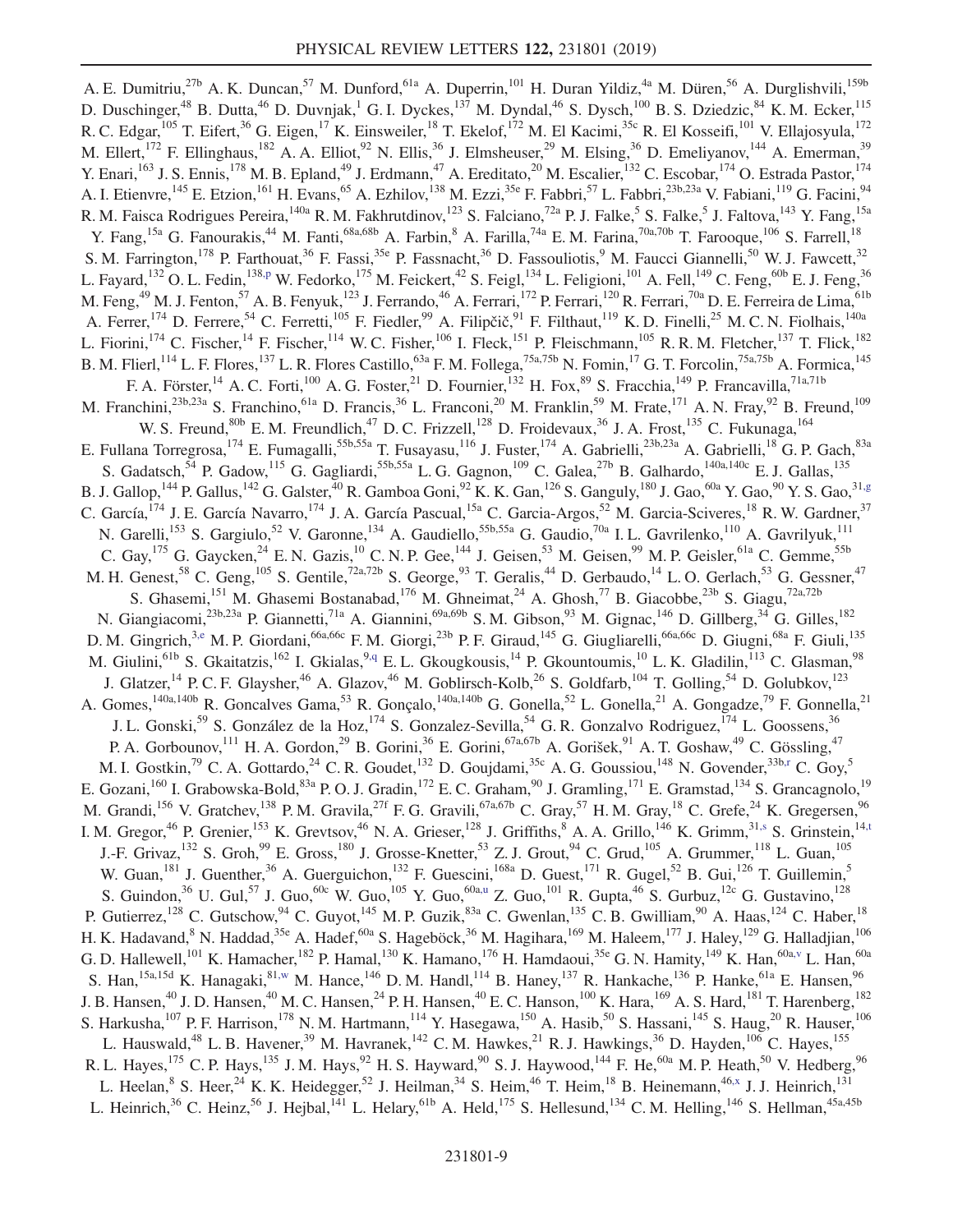<span id="page-8-7"></span><span id="page-8-6"></span><span id="page-8-5"></span><span id="page-8-4"></span><span id="page-8-3"></span><span id="page-8-2"></span><span id="page-8-1"></span><span id="page-8-0"></span>A. E. Dumitriu,<sup>27b</sup> A. K. Duncan,<sup>57</sup> M. Dunford,<sup>61a</sup> A. Duperrin,<sup>101</sup> H. Duran Yildiz,<sup>4a</sup> M. Düren,<sup>56</sup> A. Durglishvili,<sup>159b</sup> D. Duschinger,<sup>48</sup> B. Dutta,<sup>46</sup> D. Duvnjak,<sup>1</sup> G. I. Dyckes,<sup>137</sup> M. Dyndal,<sup>46</sup> S. Dysch,<sup>100</sup> B. S. Dziedzic,<sup>84</sup> K. M. Ecker,<sup>115</sup> R. C. Edgar,<sup>105</sup> T. Eifert,<sup>36</sup> G. Eigen,<sup>17</sup> K. Einsweiler,<sup>18</sup> T. Ekelof,<sup>172</sup> M. El Kacimi,<sup>35c</sup> R. El Kosseifi,<sup>101</sup> V. Ellajosyula,<sup>172</sup> M. Ellert,<sup>172</sup> F. Ellinghaus,<sup>182</sup> A. A. Elliot,<sup>92</sup> N. Ellis,<sup>36</sup> J. Elmsheuser,<sup>29</sup> M. Elsing,<sup>36</sup> D. Emeliyanov,<sup>144</sup> A. Emerman,<sup>39</sup> Y. Enari,<sup>163</sup> J. S. Ennis,<sup>178</sup> M. B. Epland,<sup>49</sup> J. Erdmann,<sup>47</sup> A. Ereditato,<sup>20</sup> M. Escalier,<sup>132</sup> C. Escobar,<sup>174</sup> O. Estrada Pastor,<sup>174</sup> A. I. Etienvre, <sup>145</sup> E. Etzion, <sup>161</sup> H. Evans, <sup>65</sup> A. Ezhilov, <sup>138</sup> M. Ezzi, <sup>35e</sup> F. Fabbri, <sup>57</sup> L. Fabbri, <sup>23b, 23a</sup> V. Fabiani, <sup>119</sup> G. Facini, <sup>94</sup> R. M. Faisca Rodrigues Pereira, <sup>140a</sup> R. M. Fakhrutdinov, <sup>123</sup> S. Falciano, <sup>72a</sup> P. J. Falke, <sup>5</sup> S. Falke, <sup>5</sup> J. Faltova, <sup>143</sup> Y. Fang, <sup>15a</sup> Y. Fang,<sup>15a</sup> G. Fanourakis,<sup>44</sup> M. Fanti,<sup>68a,68b</sup> A. Farbin,<sup>8</sup> A. Farilla,<sup>74a</sup> E. M. Farina,<sup>70a,70b</sup> T. Farooque,<sup>106</sup> S. Farrell,<sup>18</sup> S. M. Farrington,<sup>178</sup> P. Farthouat,<sup>36</sup> F. Fassi,<sup>35e</sup> P. Fassnacht,<sup>36</sup> D. Fassouliotis,<sup>9</sup> M. Faucci Giannelli,<sup>50</sup> W. J. Fawcett,<sup>32</sup> L. Fayard,<sup>132</sup> O. L. Fedin,<sup>138[,p](#page-18-15)</sup> W. Fedorko,<sup>175</sup> M. Feickert,<sup>42</sup> S. Feigl,<sup>134</sup> L. Feligioni,<sup>101</sup> A. Fell,<sup>149</sup> C. Feng,<sup>60b</sup> E. J. Feng,<sup>36</sup> M. Feng, $^{49}$  M. J. Fenton, $^{57}$  A. B. Fenyuk, $^{123}$  J. Ferrando, $^{46}$  A. Ferrari, $^{172}$  P. Ferrari, $^{120}$  R. Ferrari, $^{70a}$  D. E. Ferreira de Lima, $^{61b}$ A. Ferrer, <sup>174</sup> D. Ferrere, <sup>54</sup> C. Ferretti, <sup>105</sup> F. Fiedler, <sup>99</sup> A. Filipčič, <sup>91</sup> F. Filthaut, <sup>119</sup> K. D. Finelli, <sup>25</sup> M. C. N. Fiolhais, <sup>140a</sup> L. Fiorini,<sup>174</sup> C. Fischer,<sup>14</sup> F. Fischer,<sup>114</sup> W. C. Fisher,<sup>106</sup> I. Fleck,<sup>151</sup> P. Fleischmann,<sup>105</sup> R. R. M. Fletcher,<sup>137</sup> T. Flick,<sup>182</sup> B. M. Flierl,<sup>114</sup> L. F. Flores,<sup>137</sup> L. R. Flores Castillo,<sup>63a</sup> F. M. Follega,<sup>75a,75b</sup> N. Fomin,<sup>17</sup> G. T. Forcolin,<sup>75a,75b</sup> A. Formica,<sup>145</sup> F. A. Förster,<sup>14</sup> A. C. Forti,<sup>100</sup> A. G. Foster,<sup>21</sup> D. Fournier,<sup>132</sup> H. Fox,<sup>89</sup> S. Fracchia,<sup>149</sup> P. Francavilla,<sup>71a,71b</sup> M. Franchini,<sup>23b,23a</sup> S. Franchino,<sup>61a</sup> D. Francis,<sup>36</sup> L. Franconi,<sup>20</sup> M. Franklin,<sup>59</sup> M. Frate,<sup>171</sup> A. N. Fray,<sup>92</sup> B. Freund,<sup>109</sup> W. S. Freund,<sup>80b</sup> E. M. Freundlich,<sup>47</sup> D. C. Frizzell,<sup>128</sup> D. Froidevaux,<sup>36</sup> J. A. Frost,<sup>135</sup> C. Fukunaga,<sup>164</sup> E. Fullana Torregrosa,<sup>174</sup> E. Fumagalli,<sup>55b,55a</sup> T. Fusayasu,<sup>116</sup> J. Fuster,<sup>174</sup> A. Gabrielli,<sup>23b,23a</sup> A. Gabrielli,<sup>18</sup> G. P. Gach,<sup>83a</sup> S. Gadatsch,<sup>54</sup> P. Gadow,<sup>115</sup> G. Gagliardi,<sup>55b,55a</sup> L. G. Gagnon,<sup>109</sup> C. Galea,<sup>27b</sup> B. Galhardo,<sup>140a,140c</sup> E. J. Gallas,<sup>135</sup> B. J. Gallop,<sup>144</sup> P. Gallus,<sup>142</sup> G. Galster,<sup>40</sup> R. Gamboa Goni,<sup>92</sup> K. K. Gan,<sup>126</sup> S. Ganguly,<sup>180</sup> J. Gao,<sup>60a</sup> Y. Gao,<sup>90</sup> Y. S. Gao,<sup>31[,g](#page-18-6)</sup> C. García,<sup>174</sup> J. E. García Navarro,<sup>174</sup> J. A. García Pascual,<sup>15a</sup> C. Garcia-Argos,<sup>52</sup> M. Garcia-Sciveres,<sup>18</sup> R. W. Gardner,<sup>37</sup> N. Garelli,<sup>153</sup> S. Gargiulo,<sup>52</sup> V. Garonne,<sup>134</sup> A. Gaudiello,<sup>55b,55a</sup> G. Gaudio,<sup>70a</sup> I. L. Gavrilenko,<sup>110</sup> A. Gavrilyuk,<sup>111</sup> C. Gay,  $^{175}$  G. Gaycken,  $^{24}$  E. N. Gazis,  $^{10}$  C. N. P. Gee,  $^{144}$  J. Geisen,  $^{53}$  M. Geisen,  $^{99}$  M. P. Geisler,  $^{61a}$  C. Gemme,  $^{55b}$ M. H. Genest, <sup>58</sup> C. Geng, <sup>105</sup> S. Gentile, <sup>72a, 72b</sup> S. George, <sup>93</sup> T. Geralis, <sup>44</sup> D. Gerbaudo, <sup>14</sup> L. O. Gerlach, 53 G. Gessner, <sup>47</sup> S. Ghasemi,<sup>151</sup> M. Ghasemi Bostanabad,<sup>176</sup> M. Ghneimat,<sup>24</sup> A. Ghosh,<sup>77</sup> B. Giacobbe,<sup>23b</sup> S. Giagu,<sup>72a,72b</sup> N. Giangiacomi,<sup>23b,23a</sup> P. Giannetti,<sup>71a</sup> A. Giannini,<sup>69a,69b</sup> S. M. Gibson,<sup>93</sup> M. Gignac,<sup>146</sup> D. Gillberg,<sup>34</sup> G. Gilles,<sup>182</sup> D. M. Gingrich,<sup>3[,e](#page-18-4)</sup> M. P. Giordani,<sup>66a,66c</sup> F. M. Giorgi,<sup>23b</sup> P. F. Giraud,<sup>145</sup> G. Giugliarelli,<sup>66a,66c</sup> D. Giugni,<sup>68a</sup> F. Giuli,<sup>135</sup> M. Giulini, <sup>61b</sup> S. Gkaitatzis, <sup>162</sup> I. Gkialas, <sup>[9,q](#page-18-16)</sup> E. L. Gkougkousis, <sup>14</sup> P. Gkountoumis, <sup>10</sup> L. K. Gladilin, <sup>113</sup> C. Glasman, <sup>98</sup> J. Glatzer,<sup>14</sup> P. C. F. Glaysher,<sup>46</sup> A. Glazov,<sup>46</sup> M. Goblirsch-Kolb,<sup>26</sup> S. Goldfarb,<sup>104</sup> T. Golling,<sup>54</sup> D. Golubkov,<sup>123</sup> A. Gomes,<sup>140a,140b</sup> R. Goncalves Gama,<sup>53</sup> R. Gonçalo,<sup>140a,140b</sup> G. Gonella,<sup>52</sup> L. Gonella,<sup>21</sup> A. Gongadze,<sup>79</sup> F. Gonnella,<sup>21</sup> J. L. Gonski,<sup>59</sup> S. González de la Hoz,<sup>174</sup> S. Gonzalez-Sevilla,<sup>54</sup> G. R. Gonzalvo Rodriguez,<sup>174</sup> L. Goossens,<sup>36</sup> P. A. Gorbounov,<sup>111</sup> H. A. Gordon,<sup>29</sup> B. Gorini,<sup>36</sup> E. Gorini,<sup>67a,67b</sup> A. Gorišek,<sup>91</sup> A. T. Goshaw,<sup>49</sup> C. Gössling,<sup>47</sup> M. I. Gostkin,<sup>79</sup> C. A. Gottardo,<sup>24</sup> C. R. Goudet,<sup>132</sup> D. Goujdami,<sup>35c</sup> A. G. Goussiou,<sup>148</sup> N. Govender,<sup>33b[,r](#page-18-17)</sup> C. Goy,<sup>5</sup> E. Gozani,<sup>160</sup> I. Grabowska-Bold,<sup>83a</sup> P. O. J. Gradin,<sup>172</sup> E. C. Graham,<sup>90</sup> J. Gramling,<sup>171</sup> E. Gramstad,<sup>134</sup> S. Grancagnolo,<sup>19</sup> M. Grandi,<sup>156</sup> V. Gratchev,<sup>138</sup> P. M. Gravila,<sup>27f</sup> F. G. Gravili,<sup>67a,67b</sup> C. Gray,<sup>57</sup> H. M. Gray,<sup>18</sup> C. Grefe,<sup>24</sup> K. Gregersen,<sup>96</sup> I. M. Gregor,<sup>46</sup> P. Grenier,<sup>153</sup> K. Grevtsov,<sup>46</sup> N. A. Grieser,<sup>128</sup> J. Griffiths,<sup>8</sup> A. A. Grillo,<sup>146</sup> K. Grimm,<sup>3[1,s](#page-18-18)</sup> S. Grinstein,<sup>1[4,t](#page-18-19)</sup> J.-F. Grivaz,  $^{132}$  S. Groh,  $^{99}$  E. Gross,  $^{180}$  J. Grosse-Knetter,  $^{53}$  Z. J. Grout,  $^{94}$  C. Grud,  $^{105}$  A. Grummer,  $^{118}$  L. Guan,  $^{105}$ W. Guan,<sup>181</sup> J. Guenther,<sup>36</sup> A. Guerguichon,<sup>132</sup> F. Guescini,<sup>168a</sup> D. Guest,<sup>171</sup> R. Gugel,<sup>52</sup> B. Gui,<sup>126</sup> T. Guillemin,<sup>5</sup> S. Guindon,  $36$  U. Gul,  $57$  J. Guo,  $60c$  W. Guo,  $105$  Y. Guo,  $60a,u$  $60a,u$  Z. Guo,  $101$  R. Gupta,  $46$  S. Gurbuz,  $12c$  G. Gustavino,  $128$ P. Gutierrez,<sup>128</sup> C. Gutschow,<sup>94</sup> C. Guyot,<sup>145</sup> M. P. Guzik,<sup>83a</sup> C. Gwenlan,<sup>135</sup> C. B. Gwilliam,<sup>90</sup> A. Haas,<sup>124</sup> C. Haber,<sup>18</sup> H. K. Hadavand, <sup>8</sup> N. Haddad, <sup>35e</sup> A. Hadef, <sup>60a</sup> S. Hageböck, <sup>36</sup> M. Hagihara, <sup>169</sup> M. Haleem, <sup>177</sup> J. Haley, <sup>129</sup> G. Halladjian, <sup>106</sup> G. D. Hallewell,<sup>101</sup> K. Hamacher,<sup>182</sup> P. Hamal,<sup>130</sup> K. Hamano,<sup>176</sup> H. Hamdaoui,<sup>35e</sup> G. N. Hamity,<sup>149</sup> K. Han,<sup>60a[,v](#page-18-21)</sup> L. Han,<sup>60a</sup> S. Han,<sup>15a,15d</sup> K. Hanagaki,<sup>81[,w](#page-18-22)</sup> M. Hance,<sup>146</sup> D. M. Handl,<sup>114</sup> B. Haney,<sup>137</sup> R. Hankache,<sup>136</sup> P. Hanke,<sup>61a</sup> E. Hansen,<sup>96</sup> J. B. Hansen,<sup>40</sup> J. D. Hansen,<sup>40</sup> M. C. Hansen,<sup>24</sup> P. H. Hansen,<sup>40</sup> E. C. Hanson,<sup>100</sup> K. Hara,<sup>169</sup> A. S. Hard,<sup>181</sup> T. Harenberg,<sup>182</sup> S. Harkusha,<sup>107</sup> P. F. Harrison,<sup>178</sup> N. M. Hartmann,<sup>114</sup> Y. Hasegawa,<sup>150</sup> A. Hasib,<sup>50</sup> S. Hassani,<sup>145</sup> S. Haug,<sup>20</sup> R. Hauser,<sup>106</sup> L. Hauswald,<sup>48</sup> L. B. Havener,<sup>39</sup> M. Havranek,<sup>142</sup> C. M. Hawkes,<sup>21</sup> R. J. Hawkings,<sup>36</sup> D. Hayden,<sup>106</sup> C. Hayes,<sup>155</sup> R. L. Hayes,<sup>175</sup> C. P. Hays,<sup>135</sup> J. M. Hays,<sup>92</sup> H. S. Hayward,<sup>90</sup> S. J. Haywood,<sup>144</sup> F. He,<sup>60a</sup> M. P. Heath,<sup>50</sup> V. Hedberg,<sup>96</sup> L. Heelan, <sup>8</sup> S. Heer, <sup>24</sup> K. K. Heidegger, <sup>52</sup> J. Heilman, <sup>34</sup> S. Heim, <sup>46</sup> T. Heim, <sup>18</sup> B. Heinemann, <sup>4[6,x](#page-18-23)</sup> J. J. Heinrich, <sup>131</sup> L. Heinrich,<sup>36</sup> C. Heinz,<sup>56</sup> J. Hejbal,<sup>141</sup> L. Helary,<sup>61b</sup> A. Held,<sup>175</sup> S. Hellesund,<sup>134</sup> C. M. Helling,<sup>146</sup> S. Hellman,<sup>45a,45b</sup>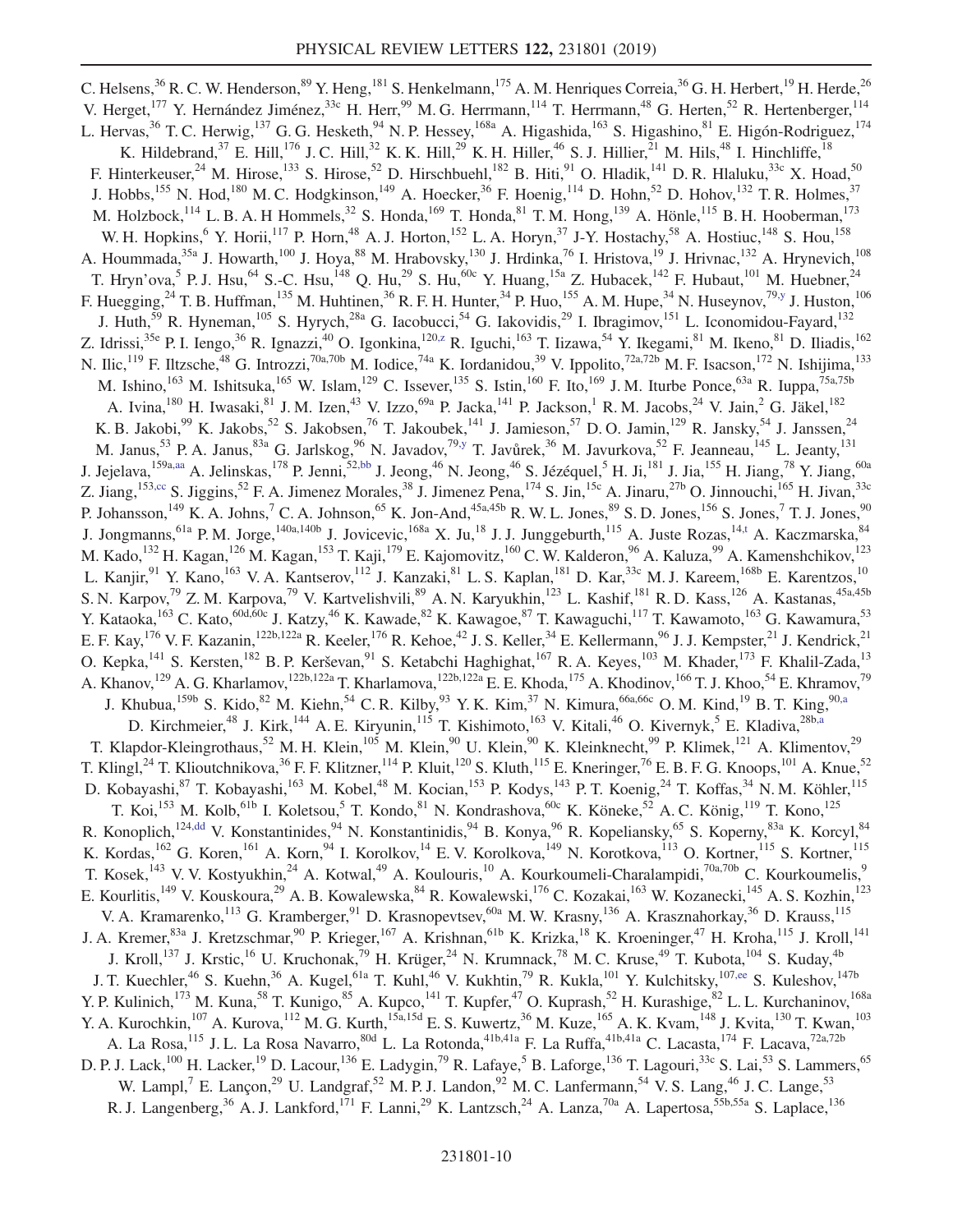<span id="page-9-5"></span><span id="page-9-4"></span><span id="page-9-3"></span><span id="page-9-2"></span><span id="page-9-1"></span><span id="page-9-0"></span>C. Helsens,  $36$  R. C. W. Henderson,  $89$  Y. Heng,  $181$  S. Henkelmann,  $175$  A. M. Henriques Correia,  $36$  G. H. Herbert,  $19$  H. Herde,  $26$ V. Herget,<sup>177</sup> Y. Hernández Jiménez,<sup>33c</sup> H. Herr,<sup>99</sup> M. G. Herrmann,<sup>114</sup> T. Herrmann,<sup>48</sup> G. Herten,<sup>52</sup> R. Hertenberger,<sup>114</sup> L. Hervas,<sup>36</sup> T. C. Herwig,<sup>137</sup> G. G. Hesketh,<sup>94</sup> N. P. Hessey,<sup>168a</sup> A. Higashida,<sup>163</sup> S. Higashino,<sup>81</sup> E. Higón-Rodriguez,<sup>174</sup> K. Hildebrand,<sup>37</sup> E. Hill,<sup>176</sup> J. C. Hill,<sup>32</sup> K. K. Hill,<sup>29</sup> K. H. Hiller,<sup>46</sup> S. J. Hillier,<sup>21</sup> M. Hils,<sup>48</sup> I. Hinchliffe,<sup>18</sup> F. Hinterkeuser,<sup>24</sup> M. Hirose,<sup>133</sup> S. Hirose,<sup>52</sup> D. Hirschbuehl,<sup>182</sup> B. Hiti,<sup>91</sup> O. Hladik,<sup>141</sup> D. R. Hlaluku,<sup>33c</sup> X. Hoad,<sup>50</sup> J. Hobbs,<sup>155</sup> N. Hod,<sup>180</sup> M. C. Hodgkinson,<sup>149</sup> A. Hoecker,<sup>36</sup> F. Hoenig,<sup>114</sup> D. Hohn,<sup>52</sup> D. Hohov,<sup>132</sup> T. R. Holmes,<sup>37</sup> M. Holzbock,<sup>114</sup> L. B. A. H Hommels,<sup>32</sup> S. Honda,<sup>169</sup> T. Honda,<sup>81</sup> T. M. Hong,<sup>139</sup> A. Hönle,<sup>115</sup> B. H. Hooberman,<sup>173</sup> W. H. Hopkins,<sup>6</sup> Y. Horii,<sup>117</sup> P. Horn,<sup>48</sup> A. J. Horton,<sup>152</sup> L. A. Horyn,<sup>37</sup> J-Y. Hostachy,<sup>58</sup> A. Hostiuc,<sup>148</sup> S. Hou,<sup>158</sup> A. Hoummada,<sup>35a</sup> J. Howarth,<sup>100</sup> J. Hoya,<sup>88</sup> M. Hrabovsky,<sup>130</sup> J. Hrdinka,<sup>76</sup> I. Hristova,<sup>19</sup> J. Hrivnac,<sup>132</sup> A. Hrynevich,<sup>108</sup> T. Hryn'ova,<sup>5</sup> P. J. Hsu,<sup>64</sup> S.-C. Hsu,<sup>148</sup> Q. Hu,<sup>29</sup> S. Hu,<sup>60c</sup> Y. Huang,<sup>15a</sup> Z. Hubacek,<sup>142</sup> F. Hubaut,<sup>101</sup> M. Huebner,<sup>24</sup> F. Huegging,<sup>24</sup> T. B. Huffman,<sup>135</sup> M. Huhtinen,<sup>36</sup> R. F. H. Hunter,<sup>34</sup> P. Huo,<sup>155</sup> A. M. Hupe,<sup>34</sup> N. Huseynov,<sup>79[,y](#page-18-24)</sup> J. Huston,<sup>106</sup> J. Huth,<sup>59</sup> R. Hyneman,<sup>105</sup> S. Hyrych,<sup>28a</sup> G. Iacobucci,<sup>54</sup> G. Iakovidis,<sup>29</sup> I. Ibragimov,<sup>151</sup> L. Iconomidou-Fayard,<sup>132</sup> Z. Idrissi,<sup>35e</sup> P. I. Iengo,<sup>36</sup> R. Ignazzi,<sup>40</sup> O. Igonkina,<sup>12[0,z](#page-18-25)</sup> R. Iguchi,<sup>163</sup> T. Iizawa,<sup>54</sup> Y. Ikegami,<sup>81</sup> M. Ikeno,<sup>81</sup> D. Iliadis,<sup>162</sup> N. Ilic,<sup>119</sup> F. Iltzsche,<sup>48</sup> G. Introzzi,<sup>70a,70b</sup> M. Iodice,<sup>74a</sup> K. Iordanidou,<sup>39</sup> V. Ippolito,<sup>72a,72b</sup> M. F. Isacson,<sup>172</sup> N. Ishijima,<sup>133</sup> M. Ishino,<sup>163</sup> M. Ishitsuka,<sup>165</sup> W. Islam,<sup>129</sup> C. Issever,<sup>135</sup> S. Istin,<sup>160</sup> F. Ito,<sup>169</sup> J. M. Iturbe Ponce,<sup>63a</sup> R. Iuppa,<sup>75a,75b</sup> A. Ivina,<sup>180</sup> H. Iwasaki,<sup>81</sup> J. M. Izen,<sup>43</sup> V. Izzo,<sup>69a</sup> P. Jacka,<sup>141</sup> P. Jackson,<sup>1</sup> R. M. Jacobs,<sup>24</sup> V. Jain,<sup>2</sup> G. Jäkel,<sup>182</sup> K. B. Jakobi,<sup>99</sup> K. Jakobs,<sup>52</sup> S. Jakobsen,<sup>76</sup> T. Jakoubek,<sup>141</sup> J. Jamieson,<sup>57</sup> D. O. Jamin,<sup>129</sup> R. Jansky,<sup>54</sup> J. Janssen,<sup>24</sup> M. Janus,<sup>53</sup> P. A. Janus,<sup>83a</sup> G. Jarlskog,<sup>96</sup> N. Javadov,<sup>79[,y](#page-18-24)</sup> T. Javůrek,<sup>36</sup> M. Javurkova,<sup>52</sup> F. Jeanneau,<sup>145</sup> L. Jeanty,<sup>131</sup> J. Jejelava,<sup>159a[,aa](#page-18-26)</sup> A. Jelinskas,<sup>178</sup> P. Jenni,<sup>52[,bb](#page-18-27)</sup> J. Jeong,<sup>46</sup> N. Jeong,<sup>46</sup> S. Jézéquel,<sup>5</sup> H. Ji,<sup>181</sup> J. Jia,<sup>155</sup> H. Jiang,<sup>78</sup> Y. Jiang,<sup>60a</sup> Z. Jiang,<sup>153[,cc](#page-18-28)</sup> S. Jiggins,<sup>52</sup> F. A. Jimenez Morales,<sup>38</sup> J. Jimenez Pena,<sup>174</sup> S. Jin,<sup>15c</sup> A. Jinaru,<sup>27b</sup> O. Jinnouchi,<sup>165</sup> H. Jivan,<sup>33c</sup> P. Johansson,<sup>149</sup> K. A. Johns,<sup>7</sup> C. A. Johnson,<sup>65</sup> K. Jon-And,<sup>45a,45b</sup> R. W. L. Jones,<sup>89</sup> S. D. Jones,<sup>156</sup> S. Jones,<sup>7</sup> T. J. Jones,<sup>90</sup> J. Jongmanns, <sup>61a</sup> P. M. Jorge, <sup>140a, 140b</sup> J. Jovicevic, <sup>168a</sup> X. Ju, <sup>18</sup> J. J. Junggeburth, <sup>115</sup> A. Juste Rozas, <sup>14[,t](#page-18-19)</sup> A. Kaczmarska, <sup>84</sup> M. Kado,<sup>132</sup> H. Kagan,<sup>126</sup> M. Kagan,<sup>153</sup> T. Kaji,<sup>179</sup> E. Kajomovitz,<sup>160</sup> C. W. Kalderon,<sup>96</sup> A. Kaluza,<sup>99</sup> A. Kamenshchikov,<sup>123</sup> L. Kanjir,<sup>91</sup> Y. Kano,<sup>163</sup> V. A. Kantserov,<sup>112</sup> J. Kanzaki,<sup>81</sup> L. S. Kaplan,<sup>181</sup> D. Kar,<sup>33c</sup> M. J. Kareem,<sup>168b</sup> E. Karentzos,<sup>10</sup> S. N. Karpov,<sup>79</sup> Z. M. Karpova,<sup>79</sup> V. Kartvelishvili,<sup>89</sup> A. N. Karyukhin,<sup>123</sup> L. Kashif,<sup>181</sup> R. D. Kass,<sup>126</sup> A. Kastanas,<sup>45a,45b</sup> Y. Kataoka, <sup>163</sup> C. Kato, <sup>60d, 60c</sup> J. Katzy, <sup>46</sup> K. Kawade, <sup>82</sup> K. Kawagoe, <sup>87</sup> T. Kawaguchi, <sup>117</sup> T. Kawamoto, <sup>163</sup> G. Kawamura, <sup>53</sup> E. F. Kay, <sup>176</sup> V. F. Kazanin, <sup>122b, 122a</sup> R. Keeler, <sup>176</sup> R. Kehoe, <sup>42</sup> J. S. Keller, <sup>34</sup> E. Kellermann, <sup>96</sup> J. J. Kempster, <sup>21</sup> J. Kendrick, <sup>21</sup> O. Kepka,<sup>141</sup> S. Kersten,<sup>182</sup> B. P. Kerševan,<sup>91</sup> S. Ketabchi Haghighat,<sup>167</sup> R. A. Keyes,<sup>103</sup> M. Khader,<sup>173</sup> F. Khalil-Zada,<sup>13</sup> A. Khanov,<sup>129</sup> A. G. Kharlamov,<sup>122b,122a</sup> T. Kharlamova,<sup>122b,122a</sup> E. E. Khoda,<sup>175</sup> A. Khodinov,<sup>166</sup> T. J. Khoo,<sup>54</sup> E. Khramov,<sup>79</sup> J. Khubua,<sup>159b</sup> S. Kido,<sup>82</sup> M. Kiehn,<sup>54</sup> C. R. Kilby,<sup>93</sup> Y. K. Kim,<sup>37</sup> N. Kimura,<sup>66a,66c</sup> O. M. Kind,<sup>19</sup> B. T. King,<sup>90[,a](#page-18-0)</sup> D. Kirchmeier,<sup>48</sup> J. Kirk,<sup>144</sup> A. E. Kiryunin,<sup>115</sup> T. Kishimoto,<sup>163</sup> V. Kitali,<sup>46</sup> O. Kivernyk,<sup>5</sup> E. Kladiva,<sup>28b[,a](#page-18-0)</sup> T. Klapdor-Kleingrothaus,<sup>52</sup> M. H. Klein,<sup>105</sup> M. Klein,<sup>90</sup> U. Klein,<sup>90</sup> K. Kleinknecht,<sup>99</sup> P. Klimek,<sup>121</sup> A. Klimentov,<sup>29</sup> T. Klingl,<sup>24</sup> T. Klioutchnikova,<sup>36</sup> F. F. Klitzner,<sup>114</sup> P. Kluit,<sup>120</sup> S. Kluth,<sup>115</sup> E. Kneringer,<sup>76</sup> E. B. F. G. Knoops,<sup>101</sup> A. Knue,<sup>52</sup> D. Kobayashi, <sup>87</sup> T. Kobayashi, <sup>163</sup> M. Kobel, <sup>48</sup> M. Kocian, <sup>153</sup> P. Kodys, <sup>143</sup> P. T. Koenig, <sup>24</sup> T. Koffas, <sup>34</sup> N. M. Köhler, <sup>115</sup> T. Koi,<sup>153</sup> M. Kolb,<sup>61b</sup> I. Koletsou,<sup>5</sup> T. Kondo,<sup>81</sup> N. Kondrashova,<sup>60c</sup> K. Köneke,<sup>52</sup> A. C. König,<sup>119</sup> T. Kono,<sup>125</sup> R. Konoplich,<sup>12[4,dd](#page-18-29)</sup> V. Konstantinides,<sup>94</sup> N. Konstantinidis,<sup>94</sup> B. Konya,<sup>96</sup> R. Kopeliansky,<sup>65</sup> S. Koperny,<sup>83a</sup> K. Korcyl,<sup>84</sup> K. Kordas, <sup>162</sup> G. Koren, <sup>161</sup> A. Korn, <sup>94</sup> I. Korolkov, <sup>14</sup> E. V. Korolkova, <sup>149</sup> N. Korotkova, <sup>113</sup> O. Kortner, <sup>115</sup> S. Kortner, <sup>115</sup> T. Kosek,<sup>143</sup> V. V. Kostyukhin,<sup>24</sup> A. Kotwal,<sup>49</sup> A. Koulouris,<sup>10</sup> A. Kourkoumeli-Charalampidi,<sup>70a,70b</sup> C. Kourkoumelis,<sup>9</sup> E. Kourlitis,<sup>149</sup> V. Kouskoura,<sup>29</sup> A. B. Kowalewska,<sup>84</sup> R. Kowalewski,<sup>176</sup> C. Kozakai,<sup>163</sup> W. Kozanecki,<sup>145</sup> A. S. Kozhin,<sup>123</sup> V. A. Kramarenko, $^{113}$  G. Kramberger, $^{91}$  D. Krasnopevtsev, $^{60a}$  M. W. Krasny,<sup>136</sup> A. Krasznahorkay,<sup>36</sup> D. Krauss,<sup>115</sup> J. A. Kremer,<sup>83a</sup> J. Kretzschmar,<sup>90</sup> P. Krieger,<sup>167</sup> A. Krishnan,<sup>61b</sup> K. Krizka,<sup>18</sup> K. Kroeninger,<sup>47</sup> H. Kroha,<sup>115</sup> J. Kroll,<sup>141</sup> J. Kroll,<sup>137</sup> J. Krstic,<sup>16</sup> U. Kruchonak,<sup>79</sup> H. Krüger,<sup>24</sup> N. Krumnack,<sup>78</sup> M. C. Kruse,<sup>49</sup> T. Kubota,<sup>104</sup> S. Kuday,<sup>4b</sup> J. T. Kuechler,<sup>46</sup> S. Kuehn,<sup>36</sup> A. Kugel,<sup>61a</sup> T. Kuhl,<sup>46</sup> V. Kukhtin,<sup>79</sup> R. Kukla,<sup>101</sup> Y. Kulchitsky,<sup>10[7,ee](#page-18-30)</sup> S. Kuleshov,<sup>147b</sup> Y. P. Kulinich,<sup>173</sup> M. Kuna,<sup>58</sup> T. Kunigo,<sup>85</sup> A. Kupco,<sup>141</sup> T. Kupfer,<sup>47</sup> O. Kuprash,<sup>52</sup> H. Kurashige,<sup>82</sup> L. L. Kurchaninov,<sup>168a</sup> Y. A. Kurochkin,  $^{107}$  A. Kurova,  $^{112}$  M. G. Kurth,  $^{15a,15d}$  E. S. Kuwertz,  $^{36}$  M. Kuze,  $^{165}$  A. K. Kvam,  $^{148}$  J. Kvita,  $^{130}$  T. Kwan,  $^{103}$ A. La Rosa,<sup>115</sup> J. L. La Rosa Navarro,<sup>80d</sup> L. La Rotonda,<sup>41b,41a</sup> F. La Ruffa,<sup>41b,41a</sup> C. Lacasta,<sup>174</sup> F. Lacava,<sup>72a,72b</sup> D. P. J. Lack,<sup>100</sup> H. Lacker,<sup>19</sup> D. Lacour,<sup>136</sup> E. Ladygin,<sup>79</sup> R. Lafaye,<sup>5</sup> B. Laforge,<sup>136</sup> T. Lagouri,<sup>33c</sup> S. Lai,<sup>53</sup> S. Lammers,<sup>65</sup> W. Lampl,<sup>7</sup> E. Lançon,<sup>29</sup> U. Landgraf,<sup>52</sup> M. P. J. Landon,<sup>92</sup> M. C. Lanfermann,<sup>54</sup> V. S. Lang,<sup>46</sup> J. C. Lange,<sup>53</sup> R. J. Langenberg,<sup>36</sup> A. J. Lankford,<sup>171</sup> F. Lanni,<sup>29</sup> K. Lantzsch,<sup>24</sup> A. Lanza,<sup>70a</sup> A. Lapertosa,<sup>55b,55a</sup> S. Laplace,<sup>136</sup>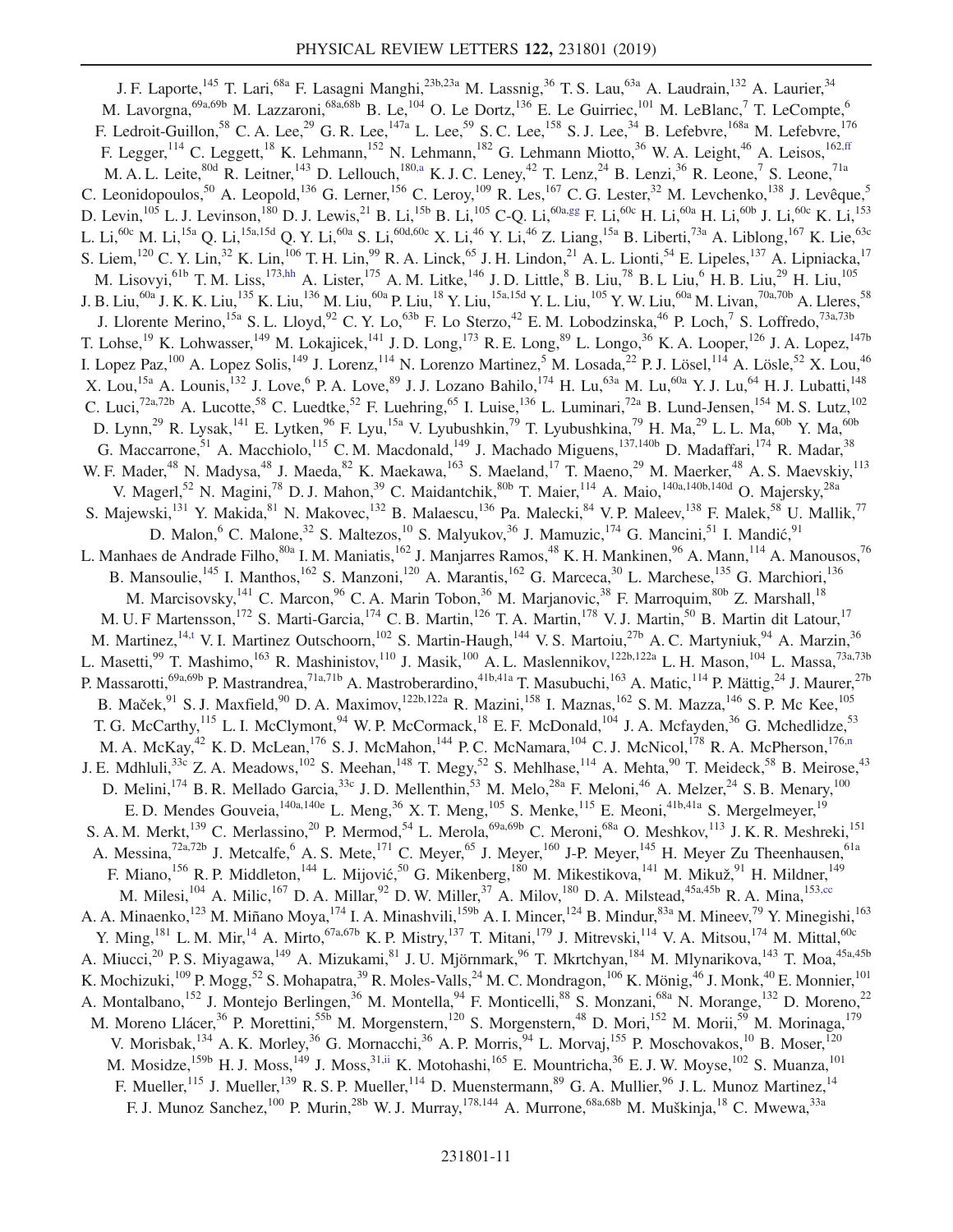<span id="page-10-3"></span><span id="page-10-2"></span><span id="page-10-1"></span><span id="page-10-0"></span>J. F. Laporte,<sup>145</sup> T. Lari,<sup>68a</sup> F. Lasagni Manghi,<sup>23b,23a</sup> M. Lassnig,<sup>36</sup> T. S. Lau,<sup>63a</sup> A. Laudrain,<sup>132</sup> A. Laurier,<sup>34</sup> M. Lavorgna,<sup>69a,69b</sup> M. Lazzaroni,<sup>68a,68b</sup> B. Le,<sup>104</sup> O. Le Dortz,<sup>136</sup> E. Le Guirriec,<sup>101</sup> M. LeBlanc,<sup>7</sup> T. LeCompte,<sup>6</sup> F. Ledroit-Guillon,  $^{58}$  C. A. Lee,  $^{29}$  G. R. Lee,  $^{147a}$  L. Lee,  $^{59}$  S. C. Lee,  $^{158}$  S. J. Lee,  $^{34}$  B. Lefebvre,  $^{168a}$  M. Lefebvre,  $^{176}$ F. Legger,<sup>114</sup> C. Leggett,<sup>18</sup> K. Lehmann,<sup>152</sup> N. Lehmann,<sup>182</sup> G. Lehmann Miotto,<sup>36</sup> W. A. Leight,<sup>46</sup> A. Leisos,<sup>162[,ff](#page-18-31)</sup> M. A. L. Leite,<sup>80d</sup> R. Leitner,<sup>143</sup> D. Lellouch,<sup>180[,a](#page-18-0)</sup> K. J. C. Leney,<sup>42</sup> T. Lenz,<sup>24</sup> B. Lenzi,<sup>36</sup> R. Leone,<sup>7</sup> S. Leone,<sup>71a</sup> C. Leonidopoulos,<sup>50</sup> A. Leopold,<sup>136</sup> G. Lerner,<sup>156</sup> C. Leroy,<sup>109</sup> R. Les,<sup>167</sup> C. G. Lester,<sup>32</sup> M. Levchenko,<sup>138</sup> J. Levêque,<sup>5</sup> D. Levin,  $^{105}$  L. J. Levinson,  $^{180}$  D. J. Lewis,  $^{21}$  B. Li,  $^{15b}$  B. Li,  $^{105}$  C-Q. Li,  $^{60a}$  F. Li,  $^{60c}$  H. Li,  $^{60a}$  H. Li,  $^{60b}$  J. Li,  $^{60c}$  K. Li,  $^{153}$ L. Li,<sup>60c</sup> M. Li,<sup>15a</sup> Q. Li,<sup>15a,15d</sup> Q. Y. Li,<sup>60a</sup> S. Li,<sup>60d,60c</sup> X. Li,<sup>46</sup> Y. Li,<sup>46</sup> Z. Liang,<sup>15a</sup> B. Liberti,<sup>73a</sup> A. Liblong,<sup>167</sup> K. Lie,<sup>63c</sup> S. Liem,<sup>120</sup> C. Y. Lin,<sup>32</sup> K. Lin,<sup>106</sup> T. H. Lin,<sup>99</sup> R. A. Linck,<sup>65</sup> J. H. Lindon,<sup>21</sup> A. L. Lionti,<sup>54</sup> E. Lipeles,<sup>137</sup> A. Lipniacka,<sup>17</sup> M. Lisovyi,<sup>61b</sup> T. M. Liss,<sup>17[3,hh](#page-18-33)</sup> A. Lister,<sup>175</sup> A. M. Litke,<sup>146</sup> J. D. Little,<sup>8</sup> B. Liu,<sup>78</sup> B. L Liu,<sup>6</sup> H. B. Liu,<sup>29</sup> H. Liu,<sup>105</sup> J. B. Liu,<sup>60a</sup> J. K. K. Liu,<sup>135</sup> K. Liu,<sup>136</sup> M. Liu,<sup>60a</sup> P. Liu,<sup>18</sup> Y. Liu,<sup>15a,15d</sup> Y. L. Liu,<sup>105</sup> Y. W. Liu,<sup>60a</sup> M. Livan,<sup>70a,70b</sup> A. Lleres,<sup>58</sup> J. Llorente Merino, <sup>15a</sup> S. L. Lloyd, <sup>92</sup> C. Y. Lo, <sup>63b</sup> F. Lo Sterzo, <sup>42</sup> E. M. Lobodzinska, <sup>46</sup> P. Loch, <sup>7</sup> S. Loffredo, <sup>73a,73b</sup> T. Lohse,<sup>19</sup> K. Lohwasser,<sup>149</sup> M. Lokajicek,<sup>141</sup> J.D. Long,<sup>173</sup> R. E. Long,<sup>89</sup> L. Longo,<sup>36</sup> K. A. Looper,<sup>126</sup> J. A. Lopez,<sup>147b</sup> I. Lopez Paz,<sup>100</sup> A. Lopez Solis,<sup>149</sup> J. Lorenz,<sup>114</sup> N. Lorenzo Martinez,<sup>5</sup> M. Losada,<sup>22</sup> P. J. Lösel,<sup>114</sup> A. Lösle,<sup>52</sup> X. Lou,<sup>46</sup> X. Lou,<sup>15a</sup> A. Lounis,<sup>132</sup> J. Love,<sup>6</sup> P. A. Love,<sup>89</sup> J. J. Lozano Bahilo,<sup>174</sup> H. Lu,<sup>63a</sup> M. Lu,<sup>60a</sup> Y. J. Lu,<sup>64</sup> H. J. Lubatti,<sup>148</sup> C. Luci,<sup>72a,72b</sup> A. Lucotte,<sup>58</sup> C. Luedtke,<sup>52</sup> F. Luehring,<sup>65</sup> I. Luise,<sup>136</sup> L. Luminari,<sup>72a</sup> B. Lund-Jensen,<sup>154</sup> M. S. Lutz,<sup>102</sup> D. Lynn,<sup>29</sup> R. Lysak,<sup>141</sup> E. Lytken,<sup>96</sup> F. Lyu,<sup>15a</sup> V. Lyubushkin,<sup>79</sup> T. Lyubushkina,<sup>79</sup> H. Ma,<sup>29</sup> L. L. Ma,<sup>60b</sup> Y. Ma,<sup>60b</sup> G. Maccarrone,<sup>51</sup> A. Macchiolo,<sup>115</sup> C. M. Macdonald,<sup>149</sup> J. Machado Miguens,<sup>137,140b</sup> D. Madaffari,<sup>174</sup> R. Madar,<sup>38</sup> W. F. Mader,<sup>48</sup> N. Madysa,<sup>48</sup> J. Maeda,<sup>82</sup> K. Maekawa,<sup>163</sup> S. Maeland,<sup>17</sup> T. Maeno,<sup>29</sup> M. Maerker,<sup>48</sup> A. S. Maevskiy,<sup>113</sup> V. Magerl,<sup>52</sup> N. Magini,<sup>78</sup> D. J. Mahon,<sup>39</sup> C. Maidantchik,<sup>80b</sup> T. Maier,<sup>114</sup> A. Maio,<sup>140a,140b,140d</sup> O. Majersky,<sup>28a</sup> S. Majewski,<sup>131</sup> Y. Makida,<sup>81</sup> N. Makovec,<sup>132</sup> B. Malaescu,<sup>136</sup> Pa. Malecki,<sup>84</sup> V. P. Maleev,<sup>138</sup> F. Malek,<sup>58</sup> U. Mallik,<sup>77</sup> D. Malon, <sup>6</sup> C. Malone, <sup>32</sup> S. Maltezos, <sup>10</sup> S. Malyukov, <sup>36</sup> J. Mamuzic, <sup>174</sup> G. Mancini, <sup>51</sup> I. Mandić, <sup>91</sup> L. Manhaes de Andrade Filho,<sup>80a</sup> I. M. Maniatis,<sup>162</sup> J. Manjarres Ramos,<sup>48</sup> K. H. Mankinen,<sup>96</sup> A. Mann,<sup>114</sup> A. Manousos,<sup>76</sup> B. Mansoulie,<sup>145</sup> I. Manthos,<sup>162</sup> S. Manzoni,<sup>120</sup> A. Marantis,<sup>162</sup> G. Marceca,<sup>30</sup> L. Marchese,<sup>135</sup> G. Marchiori,<sup>136</sup> M. Marcisovsky,<sup>141</sup> C. Marcon,<sup>96</sup> C. A. Marin Tobon,<sup>36</sup> M. Marjanovic,<sup>38</sup> F. Marroquim,<sup>80b</sup> Z. Marshall,<sup>18</sup> M. U. F Martensson,<sup>172</sup> S. Marti-Garcia,<sup>174</sup> C. B. Martin,<sup>126</sup> T. A. Martin,<sup>178</sup> V. J. Martin,<sup>50</sup> B. Martin dit Latour,<sup>17</sup> M. Martinez,<sup>1[4,t](#page-18-19)</sup> V. I. Martinez Outschoorn,<sup>102</sup> S. Martin-Haugh,<sup>144</sup> V. S. Martoiu,<sup>27b</sup> A. C. Martyniuk,<sup>94</sup> A. Marzin,<sup>36</sup> L. Masetti,<sup>99</sup> T. Mashimo,<sup>163</sup> R. Mashinistov,<sup>110</sup> J. Masik,<sup>100</sup> A. L. Maslennikov,<sup>122b,122a</sup> L. H. Mason,<sup>104</sup> L. Massa,<sup>73a,73b</sup> P. Massarotti,<sup>69a,69b</sup> P. Mastrandrea,<sup>71a,71b</sup> A. Mastroberardino,<sup>41b,41a</sup> T. Masubuchi,<sup>163</sup> A. Matic,<sup>114</sup> P. Mättig,<sup>24</sup> J. Maurer,<sup>27b</sup> B. Maček,<sup>91</sup> S. J. Maxfield,<sup>90</sup> D. A. Maximov,<sup>122b,122a</sup> R. Mazini,<sup>158</sup> I. Maznas,<sup>162</sup> S. M. Mazza,<sup>146</sup> S. P. Mc Kee,<sup>105</sup> T. G. McCarthy,<sup>115</sup> L. I. McClymont,<sup>94</sup> W. P. McCormack,<sup>18</sup> E. F. McDonald,<sup>104</sup> J. A. Mcfayden,<sup>36</sup> G. Mchedlidze,<sup>53</sup> M. A. McKay,<sup>42</sup> K. D. McLean,<sup>176</sup> S. J. McMahon,<sup>144</sup> P. C. McNamara,<sup>104</sup> C. J. McNicol,<sup>178</sup> R. A. McPherson,<sup>176[,n](#page-18-13)</sup> J. E. Mdhluli,<sup>33c</sup> Z. A. Meadows,<sup>102</sup> S. Meehan,<sup>148</sup> T. Megy,<sup>52</sup> S. Mehlhase,<sup>114</sup> A. Mehta,<sup>90</sup> T. Meideck,<sup>58</sup> B. Meirose,<sup>43</sup> D. Melini,<sup>174</sup> B. R. Mellado Garcia,<sup>33c</sup> J. D. Mellenthin,<sup>53</sup> M. Melo,<sup>28a</sup> F. Meloni,<sup>46</sup> A. Melzer,<sup>24</sup> S. B. Menary,<sup>100</sup> E. D. Mendes Gouveia,  $^{140a,140e}$  L. Meng,  $^{36}$  X. T. Meng,  $^{105}$  S. Menke,  $^{115}$  E. Meoni,  $^{41b,41a}$  S. Mergelmeyer,  $^{19}$ S. A. M. Merkt,<sup>139</sup> C. Merlassino,<sup>20</sup> P. Mermod,<sup>54</sup> L. Merola,<sup>69a,69b</sup> C. Meroni,<sup>68a</sup> O. Meshkov,<sup>113</sup> J. K. R. Meshreki,<sup>151</sup> A. Messina,<sup>72a,72b</sup> J. Metcalfe,<sup>6</sup> A. S. Mete,<sup>171</sup> C. Meyer,<sup>65</sup> J. Meyer,<sup>160</sup> J-P. Meyer,<sup>145</sup> H. Meyer Zu Theenhausen,<sup>61a</sup> F. Miano, <sup>156</sup> R. P. Middleton, <sup>144</sup> L. Mijović, <sup>50</sup> G. Mikenberg, <sup>180</sup> M. Mikestikova, <sup>141</sup> M. Mikuž, <sup>91</sup> H. Mildner, <sup>149</sup> M. Milesi,<sup>104</sup> A. Milic,<sup>167</sup> D. A. Millar,<sup>92</sup> D. W. Miller,<sup>37</sup> A. Milov,<sup>180</sup> D. A. Milstead,<sup>45a,45b</sup> R. A. Mina,<sup>15[3,cc](#page-18-28)</sup> A. A. Minaenko,<sup>123</sup> M. Miñano Moya,<sup>174</sup> I. A. Minashvili,<sup>159b</sup> A. I. Mincer,<sup>124</sup> B. Mindur,<sup>83a</sup> M. Mineev,<sup>79</sup> Y. Minegishi,<sup>163</sup> Y. Ming,<sup>181</sup> L. M. Mir,<sup>14</sup> A. Mirto,<sup>67a,67b</sup> K. P. Mistry,<sup>137</sup> T. Mitani,<sup>179</sup> J. Mitrevski,<sup>114</sup> V. A. Mitsou,<sup>174</sup> M. Mittal,<sup>60c</sup> A. Miucci,<sup>20</sup> P. S. Miyagawa,<sup>149</sup> A. Mizukami,<sup>81</sup> J. U. Mjörnmark,<sup>96</sup> T. Mkrtchyan,<sup>184</sup> M. Mlynarikova,<sup>143</sup> T. Moa,<sup>45a,45b</sup> K. Mochizuki,<sup>109</sup> P. Mogg,<sup>52</sup> S. Mohapatra,<sup>39</sup> R. Moles-Valls,<sup>24</sup> M. C. Mondragon,<sup>106</sup> K. Mönig,<sup>46</sup> J. Monk,<sup>40</sup> E. Monnier,<sup>101</sup> A. Montalbano,<sup>152</sup> J. Montejo Berlingen,<sup>36</sup> M. Montella,<sup>94</sup> F. Monticelli,<sup>88</sup> S. Monzani,<sup>68a</sup> N. Morange,<sup>132</sup> D. Moreno,<sup>22</sup> M. Moreno Llácer,<sup>36</sup> P. Morettini,<sup>55b</sup> M. Morgenstern,<sup>120</sup> S. Morgenstern,<sup>48</sup> D. Mori,<sup>152</sup> M. Morii,<sup>59</sup> M. Morinaga,<sup>179</sup> V. Morisbak,<sup>134</sup> A. K. Morley,<sup>36</sup> G. Mornacchi,<sup>36</sup> A. P. Morris,<sup>94</sup> L. Morvaj,<sup>155</sup> P. Moschovakos,<sup>10</sup> B. Moser,<sup>120</sup> M. Mosidze,<sup>159b</sup> H. J. Moss,<sup>149</sup> J. Moss,<sup>3[1,ii](#page-18-34)</sup> K. Motohashi,<sup>165</sup> E. Mountricha,<sup>36</sup> E. J. W. Moyse,<sup>102</sup> S. Muanza,<sup>101</sup> F. Mueller,<sup>115</sup> J. Mueller,<sup>139</sup> R. S. P. Mueller,<sup>114</sup> D. Muenstermann,<sup>89</sup> G. A. Mullier,<sup>96</sup> J. L. Munoz Martinez,<sup>14</sup> F. J. Munoz Sanchez,<sup>100</sup> P. Murin,<sup>28b</sup> W. J. Murray,<sup>178,144</sup> A. Murrone,<sup>68a,68b</sup> M. Muškinja,<sup>18</sup> C. Mwewa,<sup>33a</sup>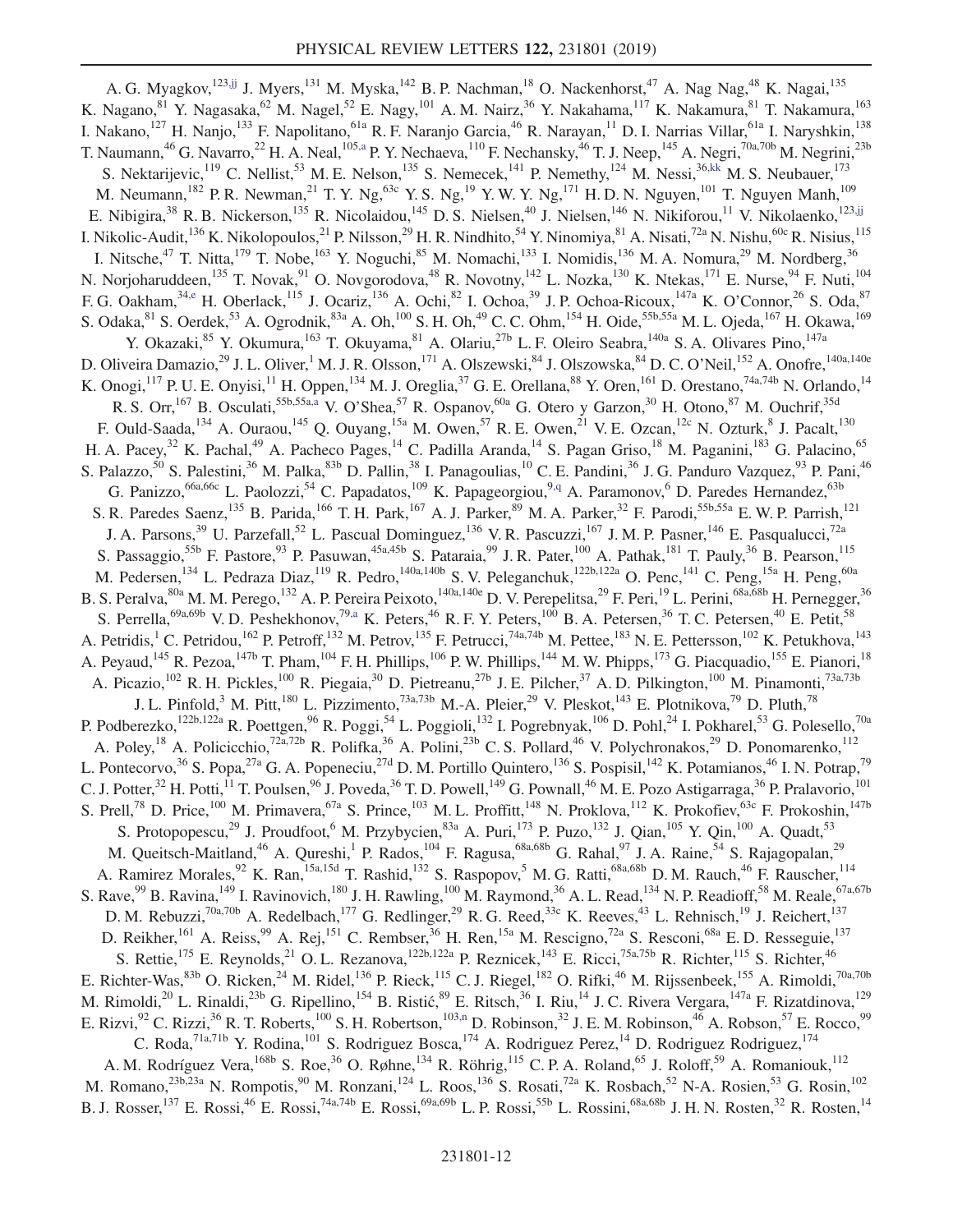<span id="page-11-1"></span><span id="page-11-0"></span>A. G. Myagkov,<sup>123[,jj](#page-18-35)</sup> J. Myers,<sup>131</sup> M. Myska,<sup>142</sup> B. P. Nachman,<sup>18</sup> O. Nackenhorst,<sup>47</sup> A. Nag Nag,<sup>48</sup> K. Nagai,<sup>135</sup> K. Nagano, <sup>81</sup> Y. Nagasaka, <sup>62</sup> M. Nagel, <sup>52</sup> E. Nagy, <sup>101</sup> A. M. Nairz, <sup>36</sup> Y. Nakahama, <sup>117</sup> K. Nakamura, <sup>81</sup> T. Nakamura, <sup>163</sup> I. Nakano,<sup>127</sup> H. Nanjo,<sup>133</sup> F. Napolitano,<sup>61a</sup> R. F. Naranjo Garcia,<sup>46</sup> R. Narayan,<sup>11</sup> D. I. Narrias Villar,<sup>61a</sup> I. Naryshkin,<sup>138</sup> T. Naumann,<sup>46</sup> G. Navarro,<sup>22</sup> H. A. Neal,<sup>10[5,a](#page-18-0)</sup> P. Y. Nechaeva,<sup>110</sup> F. Nechansky,<sup>46</sup> T. J. Neep,<sup>145</sup> A. Negri,<sup>70a,70b</sup> M. Negrini,<sup>23b</sup> S. Nektarijevic,<sup>119</sup> C. Nellist,<sup>53</sup> M. E. Nelson,<sup>135</sup> S. Nemecek,<sup>141</sup> P. Nemethy,<sup>124</sup> M. Nessi,<sup>36[,kk](#page-18-36)</sup> M. S. Neubauer,<sup>173</sup> M. Neumann,<sup>182</sup> P. R. Newman,<sup>21</sup> T. Y. Ng,<sup>63c</sup> Y. S. Ng,<sup>19</sup> Y. W. Y. Ng,<sup>171</sup> H. D. N. Nguyen,<sup>101</sup> T. Nguyen Manh,<sup>109</sup> E. Nibigira,<sup>38</sup> R. B. Nickerson,<sup>135</sup> R. Nicolaidou,<sup>145</sup> D. S. Nielsen,<sup>40</sup> J. Nielsen,<sup>146</sup> N. Nikiforou,<sup>11</sup> V. Nikolaenko,<sup>12[3,jj](#page-18-35)</sup> I. Nikolic-Audit,<sup>136</sup> K. Nikolopoulos,<sup>21</sup> P. Nilsson,<sup>29</sup> H. R. Nindhito,<sup>54</sup> Y. Ninomiya,<sup>81</sup> A. Nisati,<sup>72a</sup> N. Nishu,<sup>60c</sup> R. Nisius,<sup>115</sup> I. Nitsche,<sup>47</sup> T. Nitta,<sup>179</sup> T. Nobe,<sup>163</sup> Y. Noguchi,<sup>85</sup> M. Nomachi,<sup>133</sup> I. Nomidis,<sup>136</sup> M. A. Nomura,<sup>29</sup> M. Nordberg,<sup>36</sup> N. Norjoharuddeen,<sup>135</sup> T. Novak,<sup>91</sup> O. Novgorodova,<sup>48</sup> R. Novotny,<sup>142</sup> L. Nozka,<sup>130</sup> K. Ntekas,<sup>171</sup> E. Nurse,<sup>94</sup> F. Nuti,<sup>104</sup> F. G. Oakham,  $3^{3, e}$  H. Oberlack,  $115$  J. Ocariz,  $136$  A. Ochi,  $82$  I. Ochoa,  $39$  J. P. Ochoa-Ricoux,  $147a$  K. O'Connor,  $26$  S. Oda,  $87$ S. Odaka, <sup>81</sup> S. Oerdek, <sup>53</sup> A. Ogrodnik, <sup>83a</sup> A. Oh, <sup>100</sup> S. H. Oh, <sup>49</sup> C. C. Ohm, <sup>154</sup> H. Oide, <sup>55b, 55a</sup> M. L. Ojeda, <sup>167</sup> H. Okawa, <sup>169</sup> Y. Okazaki, <sup>85</sup> Y. Okumura, <sup>163</sup> T. Okuyama, <sup>81</sup> A. Olariu, <sup>27b</sup> L. F. Oleiro Seabra, <sup>140a</sup> S. A. Olivares Pino, <sup>147a</sup> D. Oliveira Damazio,<sup>29</sup> J. L. Oliver,<sup>1</sup> M. J. R. Olsson,<sup>171</sup> A. Olszewski,<sup>84</sup> J. Olszowska,<sup>84</sup> D. C. O'Neil,<sup>152</sup> A. Onofre,<sup>140a,140e</sup> K. Onogi,<sup>117</sup> P. U. E. Onyisi,<sup>11</sup> H. Oppen,<sup>134</sup> M. J. Oreglia,<sup>37</sup> G. E. Orellana,<sup>88</sup> Y. Oren,<sup>161</sup> D. Orestano,<sup>74a,74b</sup> N. Orlando,<sup>14</sup> R. S. Orr, <sup>167</sup> B. Osculati, <sup>55b, 55a, a</sup> V. O'Shea, <sup>57</sup> R. Ospanov, <sup>60a</sup> G. Otero y Garzon, <sup>30</sup> H. Otono, <sup>87</sup> M. Ouchrif, <sup>35d</sup> F. Ould-Saada,  $^{134}$  A. Ouraou,  $^{145}$  Q. Ouyang,  $^{15a}$  M. Owen,  $^{57}$  R. E. Owen,  $^{21}$  V. E. Ozcan,  $^{12c}$  N. Ozturk,  $^{8}$  J. Pacalt,  $^{130}$ H. A. Pacey,<sup>32</sup> K. Pachal,<sup>49</sup> A. Pacheco Pages,<sup>14</sup> C. Padilla Aranda,<sup>14</sup> S. Pagan Griso,<sup>18</sup> M. Paganini,<sup>183</sup> G. Palacino,<sup>65</sup> S. Palazzo,<sup>50</sup> S. Palestini,<sup>36</sup> M. Palka,<sup>83b</sup> D. Pallin,<sup>38</sup> I. Panagoulias,<sup>10</sup> C. E. Pandini,<sup>36</sup> J. G. Panduro Vazquez,<sup>93</sup> P. Pani,<sup>46</sup> G. Panizzo,<sup>66a,66c</sup> L. Paolozzi,<sup>54</sup> C. Papadatos,<sup>109</sup> K. Papageorgiou,<sup>[9,q](#page-18-16)</sup> A. Paramonov,<sup>6</sup> D. Paredes Hernandez,<sup>63b</sup> S. R. Paredes Saenz,<sup>135</sup> B. Parida,<sup>166</sup> T. H. Park,<sup>167</sup> A. J. Parker,<sup>89</sup> M. A. Parker,<sup>32</sup> F. Parodi,<sup>55b,55a</sup> E. W. P. Parrish,<sup>121</sup> J. A. Parsons,<sup>39</sup> U. Parzefall,<sup>52</sup> L. Pascual Dominguez,<sup>136</sup> V. R. Pascuzzi,<sup>167</sup> J. M. P. Pasner,<sup>146</sup> E. Pasqualucci,<sup>72a</sup> S. Passaggio,<sup>55b</sup> F. Pastore,<sup>93</sup> P. Pasuwan,<sup>45a,45b</sup> S. Pataraia,<sup>99</sup> J. R. Pater,<sup>100</sup> A. Pathak,<sup>181</sup> T. Pauly,<sup>36</sup> B. Pearson,<sup>115</sup> M. Pedersen,<sup>134</sup> L. Pedraza Diaz,<sup>119</sup> R. Pedro,<sup>140a,140b</sup> S. V. Peleganchuk,<sup>122b,122a</sup> O. Penc,<sup>141</sup> C. Peng,<sup>15a</sup> H. Peng,<sup>60a</sup> B. S. Peralva, <sup>80a</sup> M. M. Perego, <sup>132</sup> A. P. Pereira Peixoto, <sup>140a, 140e</sup> D. V. Perepelitsa, <sup>29</sup> F. Peri, <sup>19</sup> L. Perini, <sup>68a, 68b</sup> H. Pernegger, <sup>36</sup> S. Perrella,<sup>69a,69b</sup> V. D. Peshekhonov,<sup>7[9,a](#page-18-0)</sup> K. Peters,<sup>46</sup> R. F. Y. Peters,<sup>100</sup> B. A. Petersen,<sup>36</sup> T. C. Petersen,<sup>40</sup> E. Petit,<sup>58</sup> A. Petridis,<sup>1</sup> C. Petridou,<sup>162</sup> P. Petroff,<sup>132</sup> M. Petrov,<sup>135</sup> F. Petrucci,<sup>74a,74b</sup> M. Pettee,<sup>183</sup> N. E. Pettersson,<sup>102</sup> K. Petukhova,<sup>143</sup> A. Peyaud,<sup>145</sup> R. Pezoa,<sup>147b</sup> T. Pham,<sup>104</sup> F. H. Phillips,<sup>106</sup> P. W. Phillips,<sup>144</sup> M. W. Phipps,<sup>173</sup> G. Piacquadio,<sup>155</sup> E. Pianori,<sup>18</sup> A. Picazio, <sup>102</sup> R. H. Pickles, <sup>100</sup> R. Piegaia, <sup>30</sup> D. Pietreanu, <sup>27b</sup> J. E. Pilcher, <sup>37</sup> A. D. Pilkington, <sup>100</sup> M. Pinamonti, <sup>73a,73b</sup> J. L. Pinfold,<sup>3</sup> M. Pitt,<sup>180</sup> L. Pizzimento,<sup>73a,73b</sup> M.-A. Pleier,<sup>29</sup> V. Pleskot,<sup>143</sup> E. Plotnikova,<sup>79</sup> D. Pluth,<sup>78</sup> P. Podberezko,<sup>122b,122a</sup> R. Poettgen,<sup>96</sup> R. Poggi,<sup>54</sup> L. Poggioli,<sup>132</sup> I. Pogrebnyak,<sup>106</sup> D. Pohl,<sup>24</sup> I. Pokharel,<sup>53</sup> G. Polesello,<sup>70a</sup> A. Poley,<sup>18</sup> A. Policicchio,<sup>72a,72b</sup> R. Polifka,<sup>36</sup> A. Polini,<sup>23b</sup> C. S. Pollard,<sup>46</sup> V. Polychronakos,<sup>29</sup> D. Ponomarenko,<sup>112</sup> L. Pontecorvo,<sup>36</sup> S. Popa,<sup>27a</sup> G. A. Popeneciu,<sup>27d</sup> D. M. Portillo Quintero,<sup>136</sup> S. Pospisil,<sup>142</sup> K. Potamianos,<sup>46</sup> I. N. Potrap,<sup>79</sup> C. J. Potter,<sup>32</sup> H. Potti,<sup>11</sup> T. Poulsen,<sup>96</sup> J. Poveda,<sup>36</sup> T. D. Powell,<sup>149</sup> G. Pownall,<sup>46</sup> M. E. Pozo Astigarraga,<sup>36</sup> P. Pralavorio,<sup>101</sup> S. Prell,<sup>78</sup> D. Price,<sup>100</sup> M. Primavera,<sup>67a</sup> S. Prince,<sup>103</sup> M. L. Proffitt,<sup>148</sup> N. Proklova,<sup>112</sup> K. Prokofiev,<sup>63c</sup> F. Prokoshin,<sup>147b</sup> S. Protopopescu,<sup>29</sup> J. Proudfoot,<sup>6</sup> M. Przybycien,<sup>83a</sup> A. Puri,<sup>173</sup> P. Puzo,<sup>132</sup> J. Qian,<sup>105</sup> Y. Qin,<sup>100</sup> A. Quadt,<sup>53</sup> M. Queitsch-Maitland,<sup>46</sup> A. Qureshi,<sup>1</sup> P. Rados,<sup>104</sup> F. Ragusa,<sup>68a,68b</sup> G. Rahal,<sup>97</sup> J. A. Raine,<sup>54</sup> S. Rajagopalan,<sup>29</sup> A. Ramirez Morales, <sup>92</sup> K. Ran,<sup>15a,15d</sup> T. Rashid,<sup>132</sup> S. Raspopov,<sup>5</sup> M. G. Ratti,<sup>68a,68b</sup> D. M. Rauch,<sup>46</sup> F. Rauscher,<sup>114</sup> S. Rave, <sup>99</sup> B. Ravina, <sup>149</sup> I. Ravinovich, <sup>180</sup> J. H. Rawling, <sup>100</sup> M. Raymond, <sup>36</sup> A. L. Read, <sup>134</sup> N. P. Readioff, <sup>58</sup> M. Reale, <sup>67a, 67b</sup> D. M. Rebuzzi,<sup>70a,70b</sup> A. Redelbach,<sup>177</sup> G. Redlinger,<sup>29</sup> R. G. Reed,<sup>33c</sup> K. Reeves,<sup>43</sup> L. Rehnisch,<sup>19</sup> J. Reichert,<sup>137</sup> D. Reikher, <sup>161</sup> A. Reiss, <sup>99</sup> A. Rej, <sup>151</sup> C. Rembser, <sup>36</sup> H. Ren, <sup>15a</sup> M. Rescigno, <sup>72a</sup> S. Resconi, <sup>68a</sup> E. D. Resseguie, <sup>137</sup> S. Rettie,<sup>175</sup> E. Reynolds,<sup>21</sup> O. L. Rezanova,<sup>122b,122a</sup> P. Reznicek,<sup>143</sup> E. Ricci,<sup>75a,75b</sup> R. Richter,<sup>115</sup> S. Richter,<sup>46</sup> E. Richter-Was,  $83b$  O. Ricken,  $24$  M. Ridel,  $136$  P. Rieck,  $115$  C. J. Riegel,  $182$  O. Rifki,  $46$  M. Rijssenbeek,  $155$  A. Rimoldi,  $70a,70b$ M. Rimoldi,<sup>20</sup> L. Rinaldi,<sup>23b</sup> G. Ripellino,<sup>154</sup> B. Ristić,<sup>89</sup> E. Ritsch,<sup>36</sup> I. Riu,<sup>14</sup> J. C. Rivera Vergara,<sup>147a</sup> F. Rizatdinova,<sup>129</sup> E. Rizvi,  $92$  C. Rizzi,  $36$  R. T. Roberts,  $100$  S. H. Robertson,  $103,n$  $103,n$  D. Robinson,  $32$  J. E. M. Robinson,  $46$  A. Robson,  $57$  E. Rocco,  $99$ C. Roda,<sup>71a,71b</sup> Y. Rodina,<sup>101</sup> S. Rodriguez Bosca,<sup>174</sup> A. Rodriguez Perez,<sup>14</sup> D. Rodriguez Rodriguez,<sup>174</sup> A. M. Rodríguez Vera, <sup>168b</sup> S. Roe, <sup>36</sup> O. Røhne, <sup>134</sup> R. Röhrig, <sup>115</sup> C. P. A. Roland, <sup>65</sup> J. Roloff, <sup>59</sup> A. Romaniouk, <sup>112</sup> M. Romano,<sup>23b,23a</sup> N. Rompotis,<sup>90</sup> M. Ronzani,<sup>124</sup> L. Roos,<sup>136</sup> S. Rosati,<sup>72a</sup> K. Rosbach,<sup>52</sup> N-A. Rosien,<sup>53</sup> G. Rosin,<sup>102</sup> B. J. Rosser,<sup>137</sup> E. Rossi,<sup>46</sup> E. Rossi,<sup>74a,74b</sup> E. Rossi,<sup>69a,69b</sup> L. P. Rossi,<sup>55b</sup> L. Rossini,<sup>68a,68b</sup> J. H. N. Rosten,<sup>32</sup> R. Rosten,<sup>14</sup>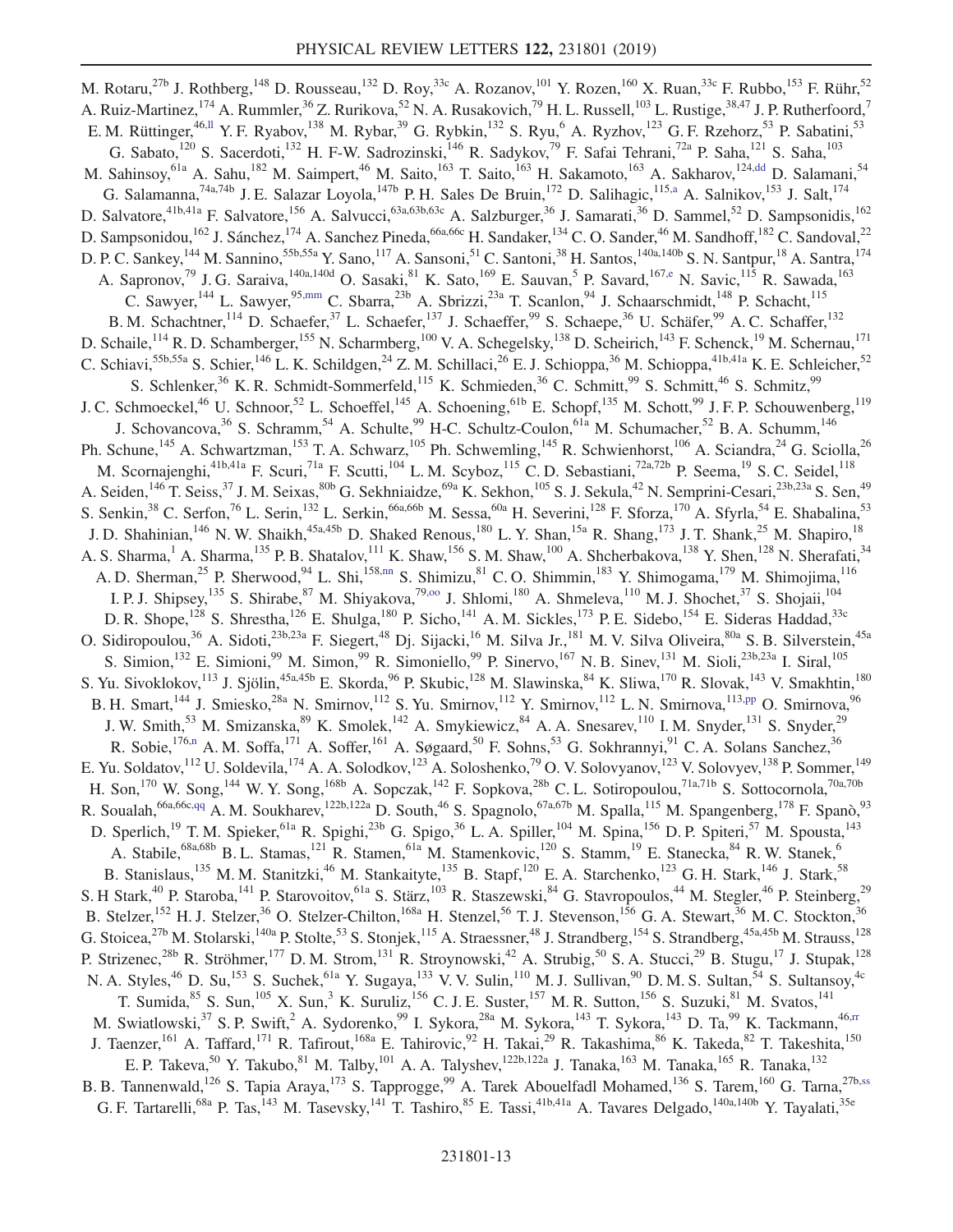<span id="page-12-7"></span><span id="page-12-6"></span><span id="page-12-5"></span><span id="page-12-4"></span><span id="page-12-3"></span><span id="page-12-2"></span><span id="page-12-1"></span><span id="page-12-0"></span>M. Rotaru,<sup>27b</sup> J. Rothberg,<sup>148</sup> D. Rousseau,<sup>132</sup> D. Roy,<sup>33c</sup> A. Rozanov,<sup>101</sup> Y. Rozen,<sup>160</sup> X. Ruan,<sup>33c</sup> F. Rubbo,<sup>153</sup> F. Rühr,<sup>52</sup> A. Ruiz-Martinez,<sup>174</sup> A. Rummler,<sup>36</sup> Z. Rurikova,<sup>52</sup> N. A. Rusakovich,<sup>79</sup> H. L. Russell,<sup>103</sup> L. Rustige,<sup>38,47</sup> J. P. Rutherfoord,<sup>7</sup> E. M. Rüttinger,<sup>46[,ll](#page-18-37)</sup> Y. F. Ryabov,<sup>138</sup> M. Rybar,<sup>39</sup> G. Rybkin,<sup>132</sup> S. Ryu,<sup>6</sup> A. Ryzhov,<sup>123</sup> G. F. Rzehorz,<sup>53</sup> P. Sabatini,<sup>53</sup> G. Sabato,<sup>120</sup> S. Sacerdoti,<sup>132</sup> H. F-W. Sadrozinski,<sup>146</sup> R. Sadykov,<sup>79</sup> F. Safai Tehrani,<sup>72a</sup> P. Saha,<sup>121</sup> S. Saha,<sup>103</sup> M. Sahinsoy,<sup>61a</sup> A. Sahu,<sup>182</sup> M. Saimpert,<sup>46</sup> M. Saito,<sup>163</sup> T. Saito,<sup>163</sup> H. Sakamoto,<sup>163</sup> A. Sakharov,<sup>12[4,dd](#page-18-29)</sup> D. Salamani,<sup>54</sup> G. Salamanna,<sup>74a,74b</sup> J. E. Salazar Loyola,<sup>147b</sup> P. H. Sales De Bruin,<sup>172</sup> D. Salihagic,<sup>115[,a](#page-18-0)</sup> A. Salnikov,<sup>153</sup> J. Salt,<sup>174</sup> D. Salvatore,<sup>41b,41a</sup> F. Salvatore,<sup>156</sup> A. Salvucci,<sup>63a,63b,63c</sup> A. Salzburger,<sup>36</sup> J. Samarati,<sup>36</sup> D. Sammel,<sup>52</sup> D. Sampsonidis,<sup>162</sup> D. Sampsonidou,<sup>162</sup> J. Sánchez,<sup>174</sup> A. Sanchez Pineda,<sup>66a,66c</sup> H. Sandaker,<sup>134</sup> C. O. Sander,<sup>46</sup> M. Sandhoff,<sup>182</sup> C. Sandoval,<sup>22</sup> D. P. C. Sankey,<sup>144</sup> M. Sannino,<sup>55b,55a</sup> Y. Sano,<sup>117</sup> A. Sansoni,<sup>51</sup> C. Santoni,<sup>38</sup> H. Santos,<sup>140a,140b</sup> S. N. Santpur,<sup>18</sup> A. Santra,<sup>174</sup><br>D. P. C. Sankey,<sup>144</sup> M. Sannino,<sup>55b,55a</sup> Y. Sano,<sup>117</sup> A. Sansoni,<sup>51</sup> C. A. Sapronov,<sup>79</sup> J. G. Saraiva, <sup>140a, 140d</sup> O. Sasaki, <sup>81</sup> K. Sato, <sup>169</sup> E. Sauvan, <sup>5</sup> P. Savard, <sup>167[,e](#page-18-4)</sup> N. Savic, <sup>115</sup> R. Sawada, <sup>163</sup> C. Sawyer,<sup>144</sup> L. Sawyer,<sup>9[5,mm](#page-18-38)</sup> C. Sbarra,<sup>23b</sup> A. Sbrizzi,<sup>23a</sup> T. Scanlon,<sup>94</sup> J. Schaarschmidt,<sup>148</sup> P. Schacht,<sup>115</sup> B. M. Schachtner, <sup>114</sup> D. Schaefer, <sup>37</sup> L. Schaefer, <sup>137</sup> J. Schaeffer, <sup>99</sup> S. Schaepe, <sup>36</sup> U. Schäfer, <sup>99</sup> A. C. Schaffer, <sup>132</sup> D. Schaile,<sup>114</sup> R. D. Schamberger,<sup>155</sup> N. Scharmberg,<sup>100</sup> V. A. Schegelsky,<sup>138</sup> D. Scheirich,<sup>143</sup> F. Schenck,<sup>19</sup> M. Schernau,<sup>171</sup> C. Schiavi,<sup>55b,55a</sup> S. Schier,<sup>146</sup> L. K. Schildgen,<sup>24</sup> Z. M. Schillaci,<sup>26</sup> E. J. Schioppa,<sup>36</sup> M. Schioppa,<sup>41b,41a</sup> K. E. Schleicher,<sup>52</sup> S. Schlenker,<sup>36</sup> K. R. Schmidt-Sommerfeld,<sup>115</sup> K. Schmieden,<sup>36</sup> C. Schmitt,<sup>99</sup> S. Schmitt,<sup>46</sup> S. Schmitz,<sup>99</sup> J. C. Schmoeckel,<sup>46</sup> U. Schnoor,<sup>52</sup> L. Schoeffel,<sup>145</sup> A. Schoening,<sup>61b</sup> E. Schopf,<sup>135</sup> M. Schott,<sup>99</sup> J. F. P. Schouwenberg,<sup>119</sup> J. Schovancova,<sup>36</sup> S. Schramm,<sup>54</sup> A. Schulte,<sup>99</sup> H-C. Schultz-Coulon,<sup>61a</sup> M. Schumacher,<sup>52</sup> B. A. Schumm,<sup>146</sup> Ph. Schune,<sup>145</sup> A. Schwartzman,<sup>153</sup> T. A. Schwarz,<sup>105</sup> Ph. Schwemling,<sup>145</sup> R. Schwienhorst,<sup>106</sup> A. Sciandra,<sup>24</sup> G. Sciolla,<sup>26</sup> M. Scornajenghi,<sup>41b,41a</sup> F. Scuri,<sup>71a</sup> F. Scutti,<sup>104</sup> L.M. Scyboz,<sup>115</sup> C.D. Sebastiani,<sup>72a,72b</sup> P. Seema,<sup>19</sup> S.C. Seidel,<sup>118</sup> A. Seiden,<sup>146</sup> T. Seiss,<sup>37</sup> J. M. Seixas,<sup>80b</sup> G. Sekhniaidze,<sup>69a</sup> K. Sekhon,<sup>105</sup> S. J. Sekula,<sup>42</sup> N. Semprini-Cesari,<sup>23b,23a</sup> S. Sen,<sup>49</sup> S. Senkin,<sup>38</sup> C. Serfon,<sup>76</sup> L. Serin,<sup>132</sup> L. Serkin,<sup>66a,66b</sup> M. Sessa,<sup>60a</sup> H. Severini,<sup>128</sup> F. Sforza,<sup>170</sup> A. Sfyrla,<sup>54</sup> E. Shabalina,<sup>53</sup> J. D. Shahinian,<sup>146</sup> N. W. Shaikh,<sup>45a,45b</sup> D. Shaked Renous,<sup>180</sup> L. Y. Shan,<sup>15a</sup> R. Shang,<sup>173</sup> J. T. Shank,<sup>25</sup> M. Shapiro,<sup>18</sup> A. S. Sharma,<sup>1</sup> A. Sharma,<sup>135</sup> P. B. Shatalov,<sup>111</sup> K. Shaw,<sup>156</sup> S. M. Shaw,<sup>100</sup> A. Shcherbakova,<sup>138</sup> Y. Shen,<sup>128</sup> N. Sherafati,<sup>34</sup> A. D. Sherman,<sup>25</sup> P. Sherwood,<sup>94</sup> L. Shi,<sup>15[8,nn](#page-18-39)</sup> S. Shimizu,<sup>81</sup> C. O. Shimmin,<sup>183</sup> Y. Shimogama,<sup>179</sup> M. Shimojima,<sup>116</sup> I. P. J. Shipsey,<sup>135</sup> S. Shirabe,<sup>87</sup> M. Shiyakova,<sup>79,00</sup> J. Shlomi,<sup>180</sup> A. Shmeleva,<sup>110</sup> M. J. Shochet,<sup>37</sup> S. Shojaii,<sup>104</sup> D. R. Shope,<sup>128</sup> S. Shrestha,<sup>126</sup> E. Shulga,<sup>180</sup> P. Sicho,<sup>141</sup> A. M. Sickles,<sup>173</sup> P. E. Sidebo,<sup>154</sup> E. Sideras Haddad,<sup>33c</sup> O. Sidiropoulou,<sup>36</sup> A. Sidoti,<sup>23b,23a</sup> F. Siegert,<sup>48</sup> Dj. Sijacki,<sup>16</sup> M. Silva Jr.,<sup>181</sup> M. V. Silva Oliveira,<sup>80a</sup> S. B. Silverstein,<sup>45a</sup> S. Simion,<sup>132</sup> E. Simioni,<sup>99</sup> M. Simon,<sup>99</sup> R. Simoniello,<sup>99</sup> P. Sinervo,<sup>167</sup> N. B. Sinev,<sup>131</sup> M. Sioli,<sup>23b,23a</sup> I. Siral,<sup>105</sup> S. Yu. Sivoklokov,<sup>113</sup> J. Sjölin,<sup>45a,45b</sup> E. Skorda,<sup>96</sup> P. Skubic,<sup>128</sup> M. Slawinska,<sup>84</sup> K. Sliwa,<sup>170</sup> R. Slovak,<sup>143</sup> V. Smakhtin,<sup>180</sup> B. H. Smart,<sup>144</sup> J. Smiesko,<sup>28a</sup> N. Smirnov,<sup>112</sup> S. Yu. Smirnov,<sup>112</sup> Y. Smirnov,<sup>112</sup> L. N. Smirnova,<sup>11[3,pp](#page-18-41)</sup> O. Smirnova,<sup>96</sup> J. W. Smith,<sup>53</sup> M. Smizanska,<sup>89</sup> K. Smolek,<sup>142</sup> A. Smykiewicz,<sup>84</sup> A. A. Snesarev,<sup>110</sup> I. M. Snyder,<sup>131</sup> S. Snyder,<sup>29</sup> R. Sobie,<sup>17[6,n](#page-18-13)</sup> A. M. Soffa,<sup>171</sup> A. Soffer,<sup>161</sup> A. Søgaard,<sup>50</sup> F. Sohns,<sup>53</sup> G. Sokhrannyi,<sup>91</sup> C. A. Solans Sanchez,<sup>36</sup> E. Yu. Soldatov,<sup>112</sup> U. Soldevila,<sup>174</sup> A. A. Solodkov,<sup>123</sup> A. Soloshenko,<sup>79</sup> O. V. Solovyanov,<sup>123</sup> V. Solovyev,<sup>138</sup> P. Sommer,<sup>149</sup> H. Son,<sup>170</sup> W. Song,<sup>144</sup> W. Y. Song,<sup>168b</sup> A. Sopczak,<sup>142</sup> F. Sopkova,<sup>28b</sup> C. L. Sotiropoulou,<sup>71a,71b</sup> S. Sottocornola,<sup>70a,70b</sup> R. Soualah, <sup>66a,66c[,qq](#page-18-42)</sup> A. M. Soukharev, <sup>122b,122a</sup> D. South, <sup>46</sup> S. Spagnolo, <sup>67a,67b</sup> M. Spalla, <sup>115</sup> M. Spangenberg, <sup>178</sup> F. Spanò, <sup>93</sup> D. Sperlich,<sup>19</sup> T.M. Spieker,<sup>61a</sup> R. Spighi,<sup>23b</sup> G. Spigo,<sup>36</sup> L.A. Spiller,<sup>104</sup> M. Spina,<sup>156</sup> D.P. Spiteri,<sup>57</sup> M. Spousta,<sup>143</sup> A. Stabile,<sup>68a,68b</sup> B. L. Stamas,<sup>121</sup> R. Stamen,<sup>61a</sup> M. Stamenkovic,<sup>120</sup> S. Stamm,<sup>19</sup> E. Stanecka,<sup>84</sup> R. W. Stanek,<sup>6</sup> B. Stanislaus,<sup>135</sup> M. M. Stanitzki,<sup>46</sup> M. Stankaityte,<sup>135</sup> B. Stapf,<sup>120</sup> E. A. Starchenko,<sup>123</sup> G. H. Stark,<sup>146</sup> J. Stark,<sup>58</sup> S. H Stark,<sup>40</sup> P. Staroba,<sup>141</sup> P. Starovoitov,<sup>61a</sup> S. Stärz,<sup>103</sup> R. Staszewski,<sup>84</sup> G. Stavropoulos,<sup>44</sup> M. Stegler,<sup>46</sup> P. Steinberg,<sup>29</sup> B. Stelzer,<sup>152</sup> H. J. Stelzer,<sup>36</sup> O. Stelzer-Chilton,<sup>168a</sup> H. Stenzel,<sup>56</sup> T. J. Stevenson,<sup>156</sup> G. A. Stewart,<sup>36</sup> M. C. Stockton,<sup>36</sup> G. Stoicea,<sup>27b</sup> M. Stolarski,<sup>140a</sup> P. Stolte,<sup>53</sup> S. Stonjek,<sup>115</sup> A. Straessner,<sup>48</sup> J. Strandberg,<sup>154</sup> S. Strandberg,<sup>45a,45b</sup> M. Strauss,<sup>128</sup> P. Strizenec,<sup>28b</sup> R. Ströhmer,<sup>177</sup> D. M. Strom,<sup>131</sup> R. Stroynowski,<sup>42</sup> A. Strubig,<sup>50</sup> S. A. Stucci,<sup>29</sup> B. Stugu,<sup>17</sup> J. Stupak,<sup>128</sup> N. A. Styles,<sup>46</sup> D. Su,<sup>153</sup> S. Suchek,<sup>61a</sup> Y. Sugaya,<sup>133</sup> V. V. Sulin,<sup>110</sup> M. J. Sullivan,<sup>90</sup> D. M. S. Sultan,<sup>54</sup> S. Sultansoy,<sup>4c</sup> T. Sumida, $85$  S. Sun,<sup>105</sup> X. Sun,<sup>3</sup> K. Suruliz,<sup>156</sup> C. J. E. Suster,<sup>157</sup> M. R. Sutton,<sup>156</sup> S. Suzuki,<sup>81</sup> M. Svatos,<sup>141</sup> M. Swiatlowski,<sup>37</sup> S. P. Swift,<sup>2</sup> A. Sydorenko,<sup>99</sup> I. Sykora,<sup>28a</sup> M. Sykora,<sup>143</sup> T. Sykora,<sup>143</sup> D. Ta,<sup>99</sup> K. Tackmann,<sup>46[,rr](#page-18-43)</sup> J. Taenzer,<sup>161</sup> A. Taffard,<sup>171</sup> R. Tafirout,<sup>168a</sup> E. Tahirovic,<sup>92</sup> H. Takai,<sup>29</sup> R. Takashima,<sup>86</sup> K. Takeda,<sup>82</sup> T. Takeshita,<sup>150</sup> E. P. Takeva,<sup>50</sup> Y. Takubo,<sup>81</sup> M. Talby,<sup>101</sup> A. A. Talyshev,<sup>122b,122a</sup> J. Tanaka,<sup>163</sup> M. Tanaka,<sup>165</sup> R. Tanaka,<sup>132</sup> B. B. Tannenwald,<sup>126</sup> S. Tapia Araya,<sup>173</sup> S. Tapprogge,<sup>99</sup> A. Tarek Abouelfadl Mohamed,<sup>136</sup> S. Tarem,<sup>160</sup> G. Tarna,<sup>27b[,ss](#page-18-44)</sup> G. F. Tartarelli,<sup>68a</sup> P. Tas,<sup>143</sup> M. Tasevsky,<sup>141</sup> T. Tashiro,<sup>85</sup> E. Tassi,<sup>41b,41a</sup> A. Tavares Delgado,<sup>140a,140b</sup> Y. Tayalati,<sup>35e</sup>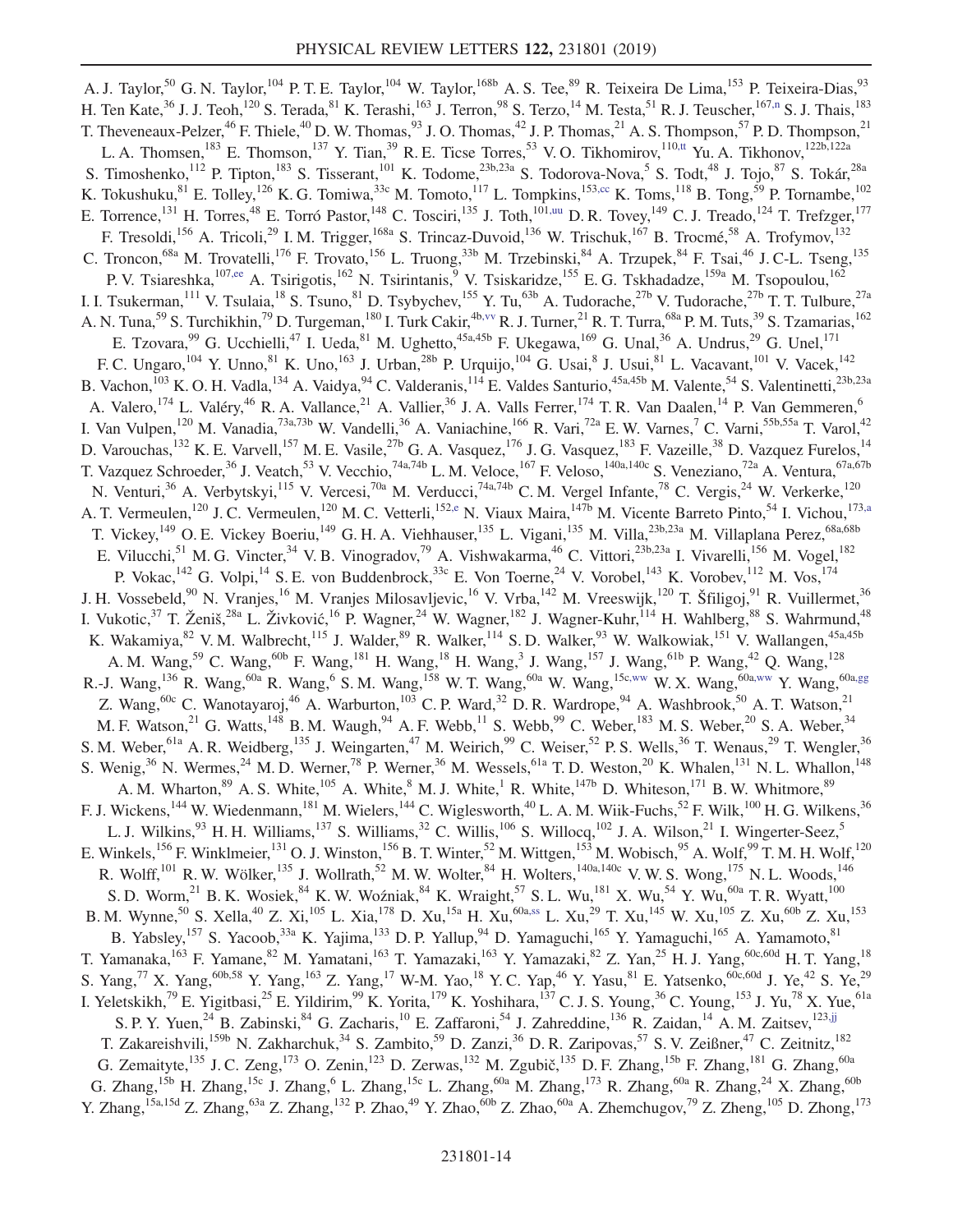<span id="page-13-3"></span><span id="page-13-2"></span><span id="page-13-1"></span><span id="page-13-0"></span>A. J. Taylor,<sup>50</sup> G. N. Taylor,<sup>104</sup> P. T. E. Taylor,<sup>104</sup> W. Taylor,<sup>168b</sup> A. S. Tee,<sup>89</sup> R. Teixeira De Lima,<sup>153</sup> P. Teixeira-Dias,<sup>93</sup> H. Ten Kate,<sup>36</sup> J. J. Teoh,<sup>120</sup> S. Terada,<sup>81</sup> K. Terashi,<sup>163</sup> J. Terron,<sup>98</sup> S. Terzo,<sup>14</sup> M. Testa,<sup>51</sup> R. J. Teuscher,<sup>167[,n](#page-18-13)</sup> S. J. Thais,<sup>183</sup> T. Theveneaux-Pelzer,<sup>46</sup> F. Thiele,<sup>40</sup> D. W. Thomas,<sup>93</sup> J. O. Thomas,<sup>42</sup> J. P. Thomas,<sup>21</sup> A. S. Thompson,<sup>57</sup> P. D. Thompson,<sup>21</sup> L. A. Thomsen,<sup>183</sup> E. Thomson,<sup>137</sup> Y. Tian,<sup>39</sup> R. E. Ticse Torres,<sup>53</sup> V. O. Tikhomirov,<sup>11[0,tt](#page-19-0)</sup> Yu. A. Tikhonov,<sup>122b,122a</sup> S. Timoshenko,<sup>112</sup> P. Tipton,<sup>183</sup> S. Tisserant,<sup>101</sup> K. Todome,<sup>23b,23a</sup> S. Todorova-Nova,<sup>5</sup> S. Todt,<sup>48</sup> J. Tojo,<sup>87</sup> S. Tokár,<sup>28a</sup> K. Tokushuku,  $81$  E. Tolley,  $126$  K. G. Tomiwa,  $33c$  M. Tomoto,  $117$  L. Tompkins,  $153,cc$  $153,cc$  K. Toms,  $118$  B. Tong,  $59$  P. Tornambe,  $102$ E. Torrence,<sup>131</sup> H. Torres,<sup>48</sup> E. Torró Pastor,<sup>148</sup> C. Tosciri,<sup>135</sup> J. Toth,<sup>101[,uu](#page-19-1)</sup> D. R. Tovey,<sup>149</sup> C. J. Treado,<sup>124</sup> T. Trefzger,<sup>177</sup> F. Tresoldi, <sup>156</sup> A. Tricoli, <sup>29</sup> I. M. Trigger, <sup>168a</sup> S. Trincaz-Duvoid, <sup>136</sup> W. Trischuk, <sup>167</sup> B. Trocmé, <sup>58</sup> A. Trofymov, <sup>132</sup> C. Troncon,<sup>68a</sup> M. Trovatelli,<sup>176</sup> F. Trovato,<sup>156</sup> L. Truong,<sup>33b</sup> M. Trzebinski,<sup>84</sup> A. Trzupek,<sup>84</sup> F. Tsai,<sup>46</sup> J. C-L. Tseng,<sup>135</sup> P. V. Tsiareshka,<sup>107[,ee](#page-18-30)</sup> A. Tsirigotis,<sup>162</sup> N. Tsirintanis,<sup>9</sup> V. Tsiskaridze,<sup>155</sup> E. G. Tskhadadze,<sup>159a</sup> M. Tsopoulou,<sup>162</sup> I. I. Tsukerman,<sup>111</sup> V. Tsulaia,<sup>18</sup> S. Tsuno,<sup>81</sup> D. Tsybychev,<sup>155</sup> Y. Tu,<sup>63b</sup> A. Tudorache,<sup>27b</sup> V. Tudorache,<sup>27b</sup> T. T. Tulbure,<sup>27a</sup> A. N. Tuna,<sup>59</sup> S. Turchikhin,<sup>79</sup> D. Turgeman,<sup>180</sup> I. Turk Cakir,<sup>4b[,vv](#page-19-2)</sup> R. J. Turner,<sup>21</sup> R. T. Turra,<sup>68a</sup> P. M. Tuts,<sup>39</sup> S. Tzamarias,<sup>162</sup> E. Tzovara,  $99$  G. Ucchielli,  $47$  I. Ueda,  $81$  M. Ughetto,  $45a,45b$  F. Ukegawa,  $169$  G. Unal,  $36$  A. Undrus,  $29$  G. Unel,  $171$ F. C. Ungaro,<sup>104</sup> Y. Unno,<sup>81</sup> K. Uno,<sup>163</sup> J. Urban,<sup>28b</sup> P. Urquijo,<sup>104</sup> G. Usai,<sup>8</sup> J. Usui,<sup>81</sup> L. Vacavant,<sup>101</sup> V. Vacek,<sup>142</sup> B. Vachon,<sup>103</sup> K. O. H. Vadla,<sup>134</sup> A. Vaidya,<sup>94</sup> C. Valderanis,<sup>114</sup> E. Valdes Santurio,<sup>45a,45b</sup> M. Valente,<sup>54</sup> S. Valentinetti,<sup>23b,23a</sup> A. Valero,<sup>174</sup> L. Valéry,<sup>46</sup> R. A. Vallance,<sup>21</sup> A. Vallier,<sup>36</sup> J. A. Valls Ferrer,<sup>174</sup> T. R. Van Daalen,<sup>14</sup> P. Van Gemmeren,<sup>6</sup> I. Van Vulpen,<sup>120</sup> M. Vanadia,<sup>73a,73b</sup> W. Vandelli,<sup>36</sup> A. Vaniachine,<sup>166</sup> R. Vari,<sup>72a</sup> E. W. Varnes,<sup>7</sup> C. Varni,<sup>55b,55a</sup> T. Varol,<sup>42</sup> D. Varouchas, <sup>132</sup> K. E. Varvell, <sup>157</sup> M. E. Vasile, <sup>27b</sup> G. A. Vasquez, <sup>176</sup> J. G. Vasquez, <sup>183</sup> F. Vazeille, <sup>38</sup> D. Vazquez Furelos, <sup>14</sup> T. Vazquez Schroeder,<sup>36</sup> J. Veatch,<sup>53</sup> V. Vecchio,<sup>74a,74b</sup> L. M. Veloce,<sup>167</sup> F. Veloso,<sup>140a,140c</sup> S. Veneziano,<sup>72a</sup> A. Ventura,<sup>67a,67b</sup> N. Venturi,<sup>36</sup> A. Verbytskyi,<sup>115</sup> V. Vercesi,<sup>70a</sup> M. Verducci,<sup>74a,74b</sup> C. M. Vergel Infante,<sup>78</sup> C. Vergis,<sup>24</sup> W. Verkerke,<sup>120</sup> A. T. Vermeulen,<sup>120</sup> J. C. Vermeulen,<sup>120</sup> M. C. Vetterli,<sup>15[2,e](#page-18-4)</sup> N. Viaux Maira,<sup>147b</sup> M. Vicente Barreto Pinto,<sup>54</sup> I. Vichou,<sup>17[3,a](#page-18-0)</sup> T. Vickey,<sup>149</sup> O. E. Vickey Boeriu,<sup>149</sup> G. H. A. Viehhauser,<sup>135</sup> L. Vigani,<sup>135</sup> M. Villa,<sup>23b,23a</sup> M. Villaplana Perez,<sup>68a,68b</sup> E. Vilucchi,<sup>51</sup> M. G. Vincter,<sup>34</sup> V. B. Vinogradov,<sup>79</sup> A. Vishwakarma,<sup>46</sup> C. Vittori,<sup>23b,23a</sup> I. Vivarelli,<sup>156</sup> M. Vogel,<sup>182</sup> P. Vokac,  $^{142}$  G. Volpi,  $^{14}$  S. E. von Buddenbrock,  $^{33c}$  E. Von Toerne,  $^{24}$  V. Vorobel,  $^{143}$  K. Vorobev,  $^{112}$  M. Vos,  $^{174}$ J. H. Vossebeld,<sup>90</sup> N. Vranjes,<sup>16</sup> M. Vranjes Milosavljevic,<sup>16</sup> V. Vrba,<sup>142</sup> M. Vreeswijk,<sup>120</sup> T. Šfiligoj,<sup>91</sup> R. Vuillermet,<sup>36</sup> I. Vukotic,<sup>37</sup> T. Ženiš,<sup>28a</sup> L. Živković,<sup>16</sup> P. Wagner,<sup>24</sup> W. Wagner,<sup>182</sup> J. Wagner-Kuhr,<sup>114</sup> H. Wahlberg,<sup>88</sup> S. Wahrmund,<sup>48</sup> K. Wakamiya,  $82$  V. M. Walbrecht,  $115$  J. Walder,  $89$  R. Walker,  $114$  S. D. Walker,  $93$  W. Walkowiak,  $151$  V. Wallangen,  $45$ a,  $45$ b A. M. Wang,<sup>59</sup> C. Wang,<sup>60b</sup> F. Wang,<sup>181</sup> H. Wang,<sup>18</sup> H. Wang,<sup>3</sup> J. Wang,<sup>157</sup> J. Wang,<sup>61b</sup> P. Wang,<sup>42</sup> Q. Wang,<sup>128</sup> R.-J. Wang,<sup>136</sup> R. Wang,<sup>60a</sup> R. Wang,<sup>6</sup> S. M. Wang,<sup>158</sup> W. T. Wang,<sup>60a</sup> W. Wang,<sup>15[c,ww](#page-19-3)</sup> W. X. Wang,<sup>60[a,ww](#page-19-3)</sup> Y. Wang,<sup>60a[,gg](#page-18-32)</sup> Z. Wang,  $60c$  C. Wanotayaroj,  $46$  A. Warburton,  $103$  C. P. Ward,  $32$  D. R. Wardrope,  $94$  A. Washbrook,  $50$  A. T. Watson,  $21$ M. F. Watson,<sup>21</sup> G. Watts,<sup>148</sup> B. M. Waugh,<sup>94</sup> A. F. Webb,<sup>11</sup> S. Webb,<sup>99</sup> C. Weber,<sup>183</sup> M. S. Weber,<sup>20</sup> S. A. Weber,<sup>34</sup> S. M. Weber, <sup>61a</sup> A. R. Weidberg, <sup>135</sup> J. Weingarten, <sup>47</sup> M. Weirich, <sup>99</sup> C. Weiser, <sup>52</sup> P. S. Wells, <sup>36</sup> T. Wenaus, <sup>29</sup> T. Wengler, <sup>36</sup> S. Wenig,<sup>36</sup> N. Wermes,<sup>24</sup> M. D. Werner,<sup>78</sup> P. Werner,<sup>36</sup> M. Wessels,<sup>61a</sup> T. D. Weston,<sup>20</sup> K. Whalen,<sup>131</sup> N. L. Whallon,<sup>148</sup> A. M. Wharton,  $89\text{ A}$ . S. White, $105\text{ A}$ . White, $8\text{ M}$ . J. White, $1\text{ R}$ . White, $147\text{ b}$  D. Whiteson, $171\text{ B}$ . W. Whitmore,  $89\text{ A}$ F. J. Wickens,<sup>144</sup> W. Wiedenmann,<sup>181</sup> M. Wielers,<sup>144</sup> C. Wiglesworth,<sup>40</sup> L. A. M. Wiik-Fuchs,<sup>52</sup> F. Wilk,<sup>100</sup> H. G. Wilkens,<sup>36</sup> L. J. Wilkins,  $93$  H. H. Williams,  $137$  S. Williams,  $32$  C. Willis,  $106$  S. Willocq,  $102$  J. A. Wilson,  $21$  I. Wingerter-Seez,  $5$ E. Winkels,<sup>156</sup> F. Winklmeier,<sup>131</sup> O. J. Winston,<sup>156</sup> B. T. Winter,<sup>52</sup> M. Wittgen,<sup>153</sup> M. Wobisch,<sup>95</sup> A. Wolf,<sup>99</sup> T. M. H. Wolf,<sup>120</sup> R. Wolff,<sup>101</sup> R. W. Wölker,<sup>135</sup> J. Wollrath,<sup>52</sup> M. W. Wolter,<sup>84</sup> H. Wolters,<sup>140a,140c</sup> V. W. S. Wong,<sup>175</sup> N. L. Woods,<sup>146</sup> S. D. Worm,<sup>21</sup> B. K. Wosiek,  $84$  K. W. Woźniak,  $84$  K. Wraight,  $57$  S. L. Wu,  $181$  X. Wu,  $54$  Y. Wu,  $60a$  T. R. Wyatt,  $100$ B. M. Wynne,<sup>50</sup> S. Xella,<sup>40</sup> Z. Xi,<sup>105</sup> L. Xia,<sup>178</sup> D. Xu,<sup>15a</sup> H. Xu,<sup>60a[,ss](#page-18-44)</sup> L. Xu,<sup>29</sup> T. Xu,<sup>145</sup> W. Xu,<sup>105</sup> Z. Xu,<sup>60b</sup> Z. Xu,<sup>153</sup> B. Yabsley, <sup>157</sup> S. Yacoob, <sup>33a</sup> K. Yajima, <sup>133</sup> D. P. Yallup, <sup>94</sup> D. Yamaguchi, <sup>165</sup> Y. Yamaguchi, <sup>165</sup> A. Yamamoto, <sup>81</sup> T. Yamanaka,<sup>163</sup> F. Yamane,<sup>82</sup> M. Yamatani,<sup>163</sup> T. Yamazaki,<sup>163</sup> Y. Yamazaki,<sup>82</sup> Z. Yan,<sup>25</sup> H. J. Yang,<sup>60c,60d</sup> H. T. Yang,<sup>18</sup> S. Yang,<sup>77</sup> X. Yang,<sup>60b,58</sup> Y. Yang,<sup>163</sup> Z. Yang,<sup>17</sup> W-M. Yao,<sup>18</sup> Y. C. Yap,<sup>46</sup> Y. Yasu,<sup>81</sup> E. Yatsenko,<sup>60c,60d</sup> J. Ye,<sup>42</sup> S. Ye,<sup>29</sup> I. Yeletskikh,<sup>79</sup> E. Yigitbasi,<sup>25</sup> E. Yildirim,<sup>99</sup> K. Yorita,<sup>179</sup> K. Yoshihara,<sup>137</sup> C. J. S. Young,<sup>36</sup> C. Young,<sup>153</sup> J. Yu,<sup>78</sup> X. Yue,<sup>61a</sup> S. P. Y. Yuen,<sup>24</sup> B. Zabinski,<sup>84</sup> G. Zacharis,<sup>10</sup> E. Zaffaroni,<sup>54</sup> J. Zahreddine,<sup>136</sup> R. Zaidan,<sup>14</sup> A. M. Zaitsev,<sup>12[3,jj](#page-18-35)</sup> T. Zakareishvili,<sup>159b</sup> N. Zakharchuk,<sup>34</sup> S. Zambito,<sup>59</sup> D. Zanzi,<sup>36</sup> D. R. Zaripovas,<sup>57</sup> S. V. Zeißner,<sup>47</sup> C. Zeitnitz,<sup>182</sup> G. Zemaityte,  $^{135}$  J. C. Zeng,  $^{173}$  O. Zenin,  $^{123}$  D. Zerwas,  $^{132}$  M. Zgubič,  $^{135}$  D. F. Zhang,  $^{15b}$  F. Zhang,  $^{181}$  G. Zhang,  $^{60a}$ G. Zhang,<sup>15b</sup> H. Zhang,<sup>15c</sup> J. Zhang,<sup>6</sup> L. Zhang,<sup>15c</sup> L. Zhang,<sup>60a</sup> M. Zhang,<sup>173</sup> R. Zhang,<sup>60a</sup> R. Zhang,<sup>24</sup> X. Zhang,<sup>60b</sup> Y. Zhang, <sup>15a,15d</sup> Z. Zhang,<sup>63a</sup> Z. Zhang,<sup>132</sup> P. Zhao,<sup>49</sup> Y. Zhao,<sup>60b</sup> Z. Zhao,<sup>60a</sup> A. Zhemchugov,<sup>79</sup> Z. Zheng,<sup>105</sup> D. Zhong,<sup>173</sup>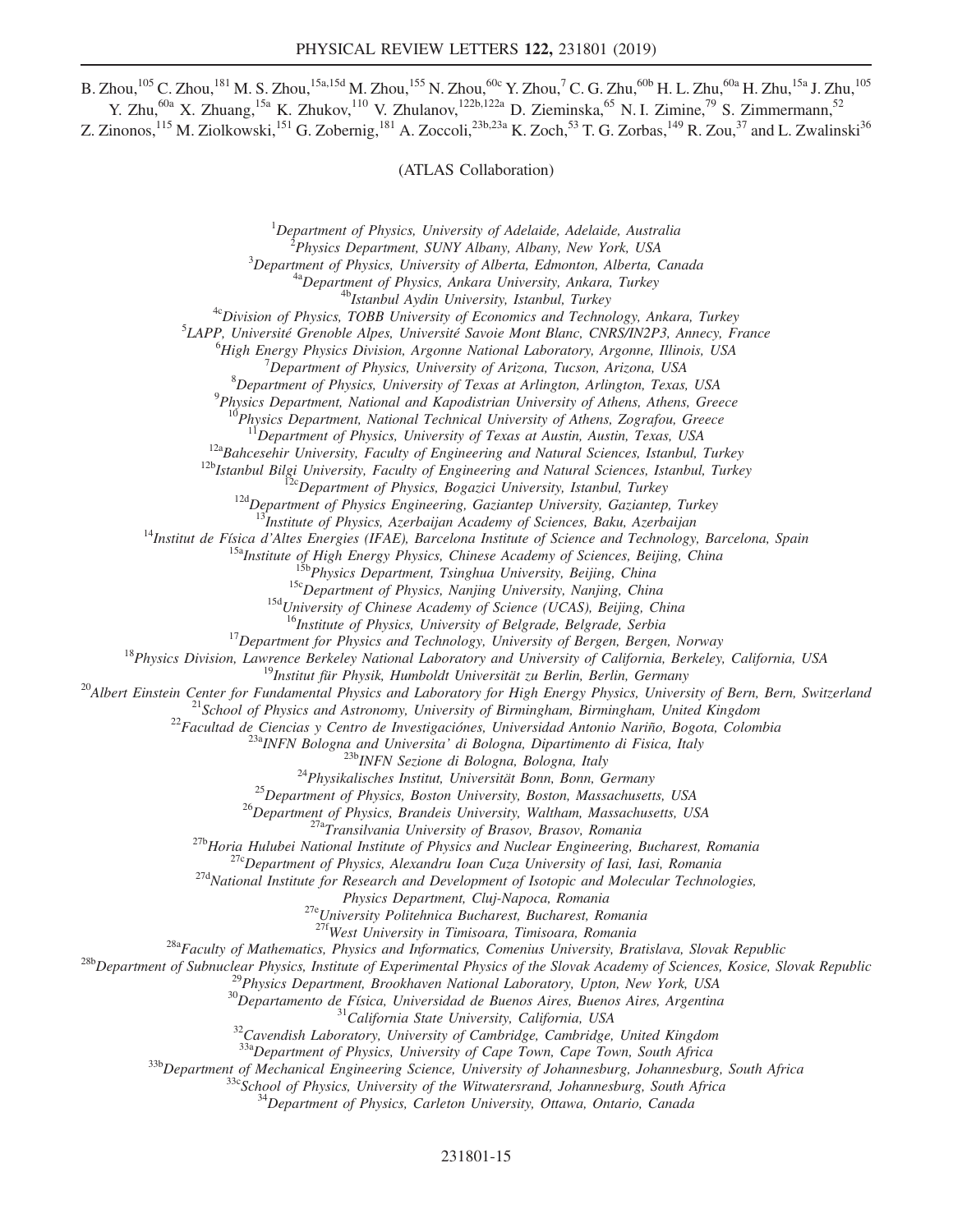B. Zhou, $^{105}$  C. Zhou, $^{181}$  M. S. Zhou, $^{15a,15d}$  M. Zhou, $^{155}$  N. Zhou, $^{60c}$  Y. Zhou, $^7$  C. G. Zhu, $^{60b}$  H. L. Zhu, $^{60a}$  H. Zhu, $^{15a}$  J. Zhu, $^{105}$ Y. Zhu,<sup>60a</sup> X. Zhuang,<sup>15a</sup> K. Zhukov,<sup>110</sup> V. Zhulanov,<sup>122b,122a</sup> D. Zieminska,<sup>65</sup> N. I. Zimine,<sup>79</sup> S. Zimmermann,<sup>52</sup>

Z. Zinonos,  $^{115}$  M. Ziolkowski,  $^{151}$  G. Zobernig,  $^{181}$  A. Zoccoli,  $^{23b,23a}$  K. Zoch,  $^{53}$  T. G. Zorbas,  $^{149}$  R. Zou,  $^{37}$  and L. Zwalinski $^{36}$ 

(ATLAS Collaboration)

<sup>1</sup>Department of Physics, University of Adelaide, Adelaide, Australia<br><sup>2</sup> Physics Department, SUNY Albany, Albany, New York, USA

<sup>2</sup>Physics Department, SUNY Albany, Albany, New York, USA<br><sup>3</sup>Department of Physics, University of Alberta, Edmonton, Alberta, Canada

<sup>4a</sup>Department of Physics, Ankara University, Ankara, Turkey<br><sup>4b</sup>Istanbul Aydin University, Istanbul, Turkey<br><sup>4c</sup>Division of Physics, TOBB University of Economics and Technology, Ankara, Turkey

 ${}^{5}$ LAPP, Université Grenoble Alpes, Université Savoie Mont Blanc, CNRS/IN2P3, Annecy, France

<sup>6</sup>High Energy Physics Division, Argonne National Laboratory, Argonne, Illinois, USA

 $^7$ Department of Physics, University of Arizona, Tucson, Arizona, USA

 ${}^{8}$ Department of Physics, University of Texas at Arlington, Arlington, Texas, USA

 $^{9}$ Physics Department, National and Kapodistrian University of Athens, Athens, Greece

 $10^1$ Physics Department, National Technical University of Athens, Zografou, Greece<br> $11$ Department of Physics, University of Texas at Austin, Austin, Texas, USA

<sup>12a</sup>Bahcesehir University, Faculty of Engineering and Natural Sciences, Istanbul, Turkey<br><sup>12b</sup>Istanbul Bilgi University, Faculty of Engineering and Natural Sciences, Istanbul, Turkey<br><sup>12b</sup>Istanbul Bilgi University, Facul

<sup>14</sup>Institut de Física d'Altes Energies (IFAE), Barcelona Institute of Sciences, Baku, Azerbaijan<br><sup>14</sup>Institut de Física d'Altes Energies (IFAE), Barcelona Institute of Science and Technology, Barcelona, Spain<br><sup>15a</sup>Instit

<sup>16</sup>Institute of Physics, University of Belgrade, Serbia<br><sup>16</sup>Institute of Physics and Technology, University of Bergen, Norway<br><sup>18</sup>Physics Division, Lawrence Berkeley National Laboratory and University of California, Berk

Physics Department, Cluj-Napoca, Romania<br><sup>27e</sup>University Politehnica Bucharest, Bucharest, Romania<br><sup>27f</sup>West University in Timisoara, Timisoara, Romania

<sup>28b</sup>Department of Subnuclear Physics, Institute of Experimental Physics of the Slovak Academy of Sciences, Kosice, Slovak Republic<br><sup>28b</sup>Department of Subnuclear Physics, Institute of Experimental Physics of the Slovak Ac

 $^{33b}$ Department of Mechanical Engineering Science, University of Johannesburg, Johannesburg, South Africa<br> $^{33c}$ School of Physics, University of the Witwatersrand, Johannesburg, South Africa<br> $^{34}$ Department of Physics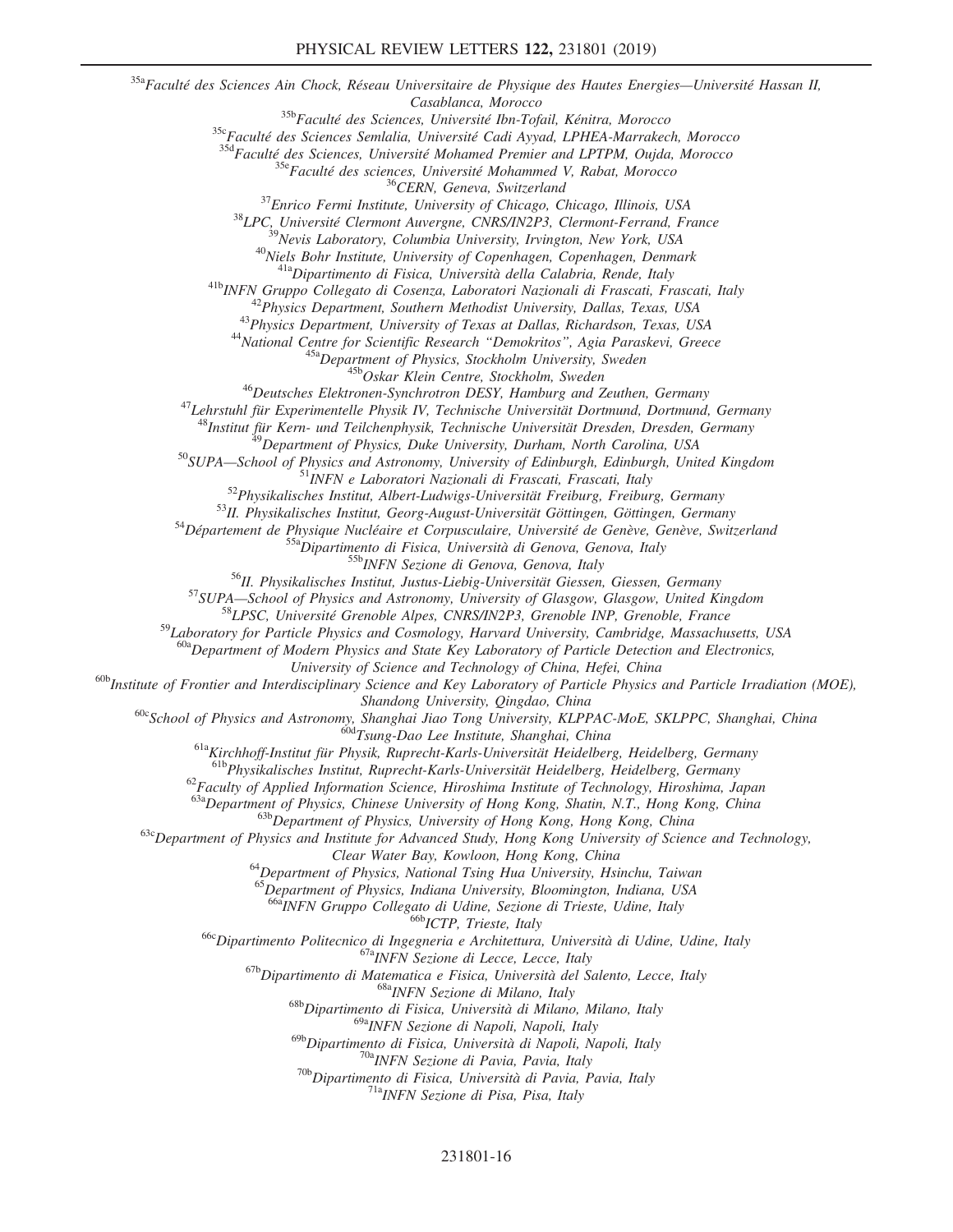<sup>35a</sup>Faculté des Sciences Ain Chock, Réseau Universitaire de Physique des Hautes Energies—Université Hassan II,  $\begin{tabular}{c} & Casablanca, Morocco \\ \text{ $\begin{aligned} $^{358}$} \textit{Facult\'e des Sciences Semlalia, Université Bn-Fogial, Kénitra, Morocco \\ $^{358}$} \textit{Facult\'e des Sciences Semlalia, Université Cadi Ayval, LPHEA-Marnakech, Morocco \\ $^{354} \textit{Facult\'e des Sciences, Université Mohamed Premier and LPTPM, Oujda, Morocco \\ $^{356} \textit{Facult\'e des Sciences, Université Mohamed V, Rabat, Morocco \\ $^{36} \textit{Facut\'e des sciences, University of Chicago, Chicago, Illinois, USA \\ $^{37} \textit{Enrico Fermi Institute, University of Chicago, Chicago, Illinois, USA \\ $$ <sup>48</sup>Institut für Kern- und Teilchenphysik, Technische Universität Dresden, Dresden, Germany<br><sup>49</sup>Department of Physics, Duke University, Durham, North Carolina, USA<br><sup>50</sup>SUPA—School of Physics and Astronomy, University of E <sup>59</sup>Laboratory for Particle Physics and Cosmology, Harvard University, Cambridge, Massachusetts, USA  $^{60a}$ Department of Modern Physics and State Key Laboratory of Particle Detection and Electronics,<br>University of Science and Technology of China, Hefei, China  $^{60b}$ Institute of Frontier and Interdisciplinary Science and Key Laboratory of Particle Physics and Particle Irradiation (MOE), Shandong University, Qingdao, China<br><sup>60c</sup>School of Physics and Astronomy, Shanghai Jiao Tong University, KLPPAC-MoE, SKLPPC, Shanghai, China<br><sup>60d</sup>Tsung-Dao Lee Institute, Shanghai, China<br><sup>61a</sup>Kirchhoff-Institut für Physik, <sup>62</sup> Faculty of Applied Information Science, Hiroshima Institute of Technology, Hiroshima, Japan<br><sup>63a</sup> Department of Physics, Chinese University of Hong Kong, Shatin, N.T., Hong Kong, China  $^{636}$ Department of Physics, University of Hong Kong, Hong Kong, China<br><sup>63c</sup>Department of Physics and Institute for Advanced Study, Hong Kong University of Science and Technology, Clear Water Bay, Kowloon, Hong Kong, China<br><sup>64</sup>Department of Physics, National Tsing Hua University, Hsinchu, Taiwan  $^{65}$ Department of Physics, Indiana University, Bloomington, Indiana, USA<br> $^{66a}$ INFN Gruppo Collegato di Udine, Sezione di Trieste, Udine, Italy <sup>666</sup> ICTP, Trieste, Italy<br>
<sup>666</sup> Dipartimento Politecnico di Ingegneria e Architettura, Università di Udine, Udine, Italy<br>
<sup>678</sup> INFN Sezione di Lecce, Lecce, Italy<br>
<sup>678</sup> Dipartimento di Matematica e Fisica, Università 69aINFN Sezione di Napoli, Napoli, Italy <sup>69b</sup>Dipartimento di Fisica, Università di Napoli, Napoli, Italy <sup>70a</sup>INFN Sezione di Pavia, Pavia, Italy <sup>70b</sup>Dipartimento di Fisica, Università di Pavia, Pavia, Italy <sup>71a</sup>INFN Sezione di Pisa, Pisa, Italy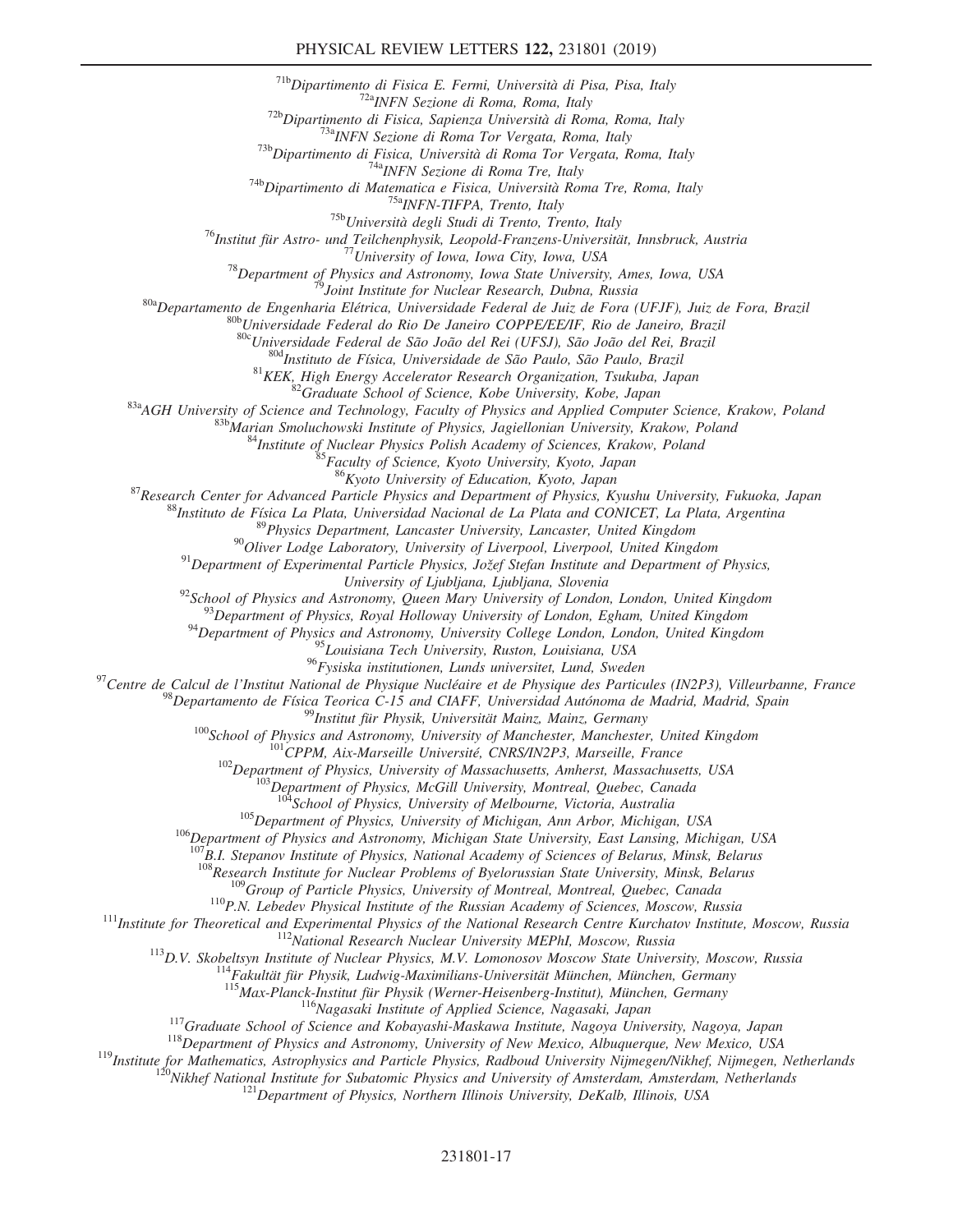<sup>71b</sup>Dipartimento di Fisica E. Fermi, Università di Pisa, Pisa, Italy<br><sup>72b</sup>Dipartimento di Fisica, Sapiera di Roma, Roma, Italy<br><sup>72b</sup>Dipartimento di Fisica, Sapiera Università di Roma, Roma, Italy<br><sup>73b</sup>Dipartimento di Fis <sup>804</sup>Instituto de Física, Universidade de São Paulo, São Paulo, Brazil<br><sup>81</sup>KEK, High Energy Accelerator Research Organization, Tsukuba, Japan<br><sup>82</sup>Graduate School of Science, Kobe University, Kobe, Japan<br><sup>83</sup>AGH University <sup>87</sup>Research Center for Advanced Particle Physics and Department of Physics, Kyushu University, Fukuoka, Japan<br><sup>88</sup>Instituto de Física La Plata, Universidad Nacional de La Plata and CONICET, La Plata, Argentina<br><sup>89</sup>Physic University of Ljubljana, Ljubljana, Slovenia<br><sup>92</sup>School of Physics and Astronomy, Queen Mary University of London, London, United Kingdom<br><sup>93</sup>Department of Physics, Royal Holloway University of London, Egham, United Kingdo <sup>95</sup>Louisiana Tech University, Ruston, Louisiana, USA<br><sup>96</sup>Fysiska institutionen, Lunds universitet, Lund, Sweden

<sup>97</sup>Centre de Calcul de l'Institut National de Physique Nucléaire et de Physique des Particules (IN2P3), Villeurbanne, France<br><sup>98</sup>Departamento de Física Teorica C-15 and CIAFF, Universitäd Autónoma de Madrid, Madrid, Spai

 $^{105}$ Department of Physics, University of Michigan, Ann Arbor, Michigan, USA<br><sup>106</sup>Department of Physics and Astronomy, Michigan State University, East Lansing, Michigan, USA

 $^{107}$ B.I. Stepanov Institute of Physics, National Academy of Sciences of Belarus, Minsk, Belarus<br> $^{108}$ Research Institute for Nuclear Problems of Byelorussian State University, Minsk, Belarus

<sup>109</sup>Group of Particle Physics, University of Montreal, Montreal, Quebec, Canada<br><sup>110</sup>P.N. Lebedev Physical Institute of the Russian Academy of Sciences, Moscow, Russia<br><sup>111</sup>Institute for Theoretical and Experimental Phys

<sup>116</sup>Nagasaki Institute of Applied Science, Nagasaki, Japan<br><sup>117</sup>Graduate School of Science and Kobayashi-Maskawa Institute, Nagoya University, Nagoya, Japan<br><sup>118</sup>Department of Physics and Astronomy, University of New Mex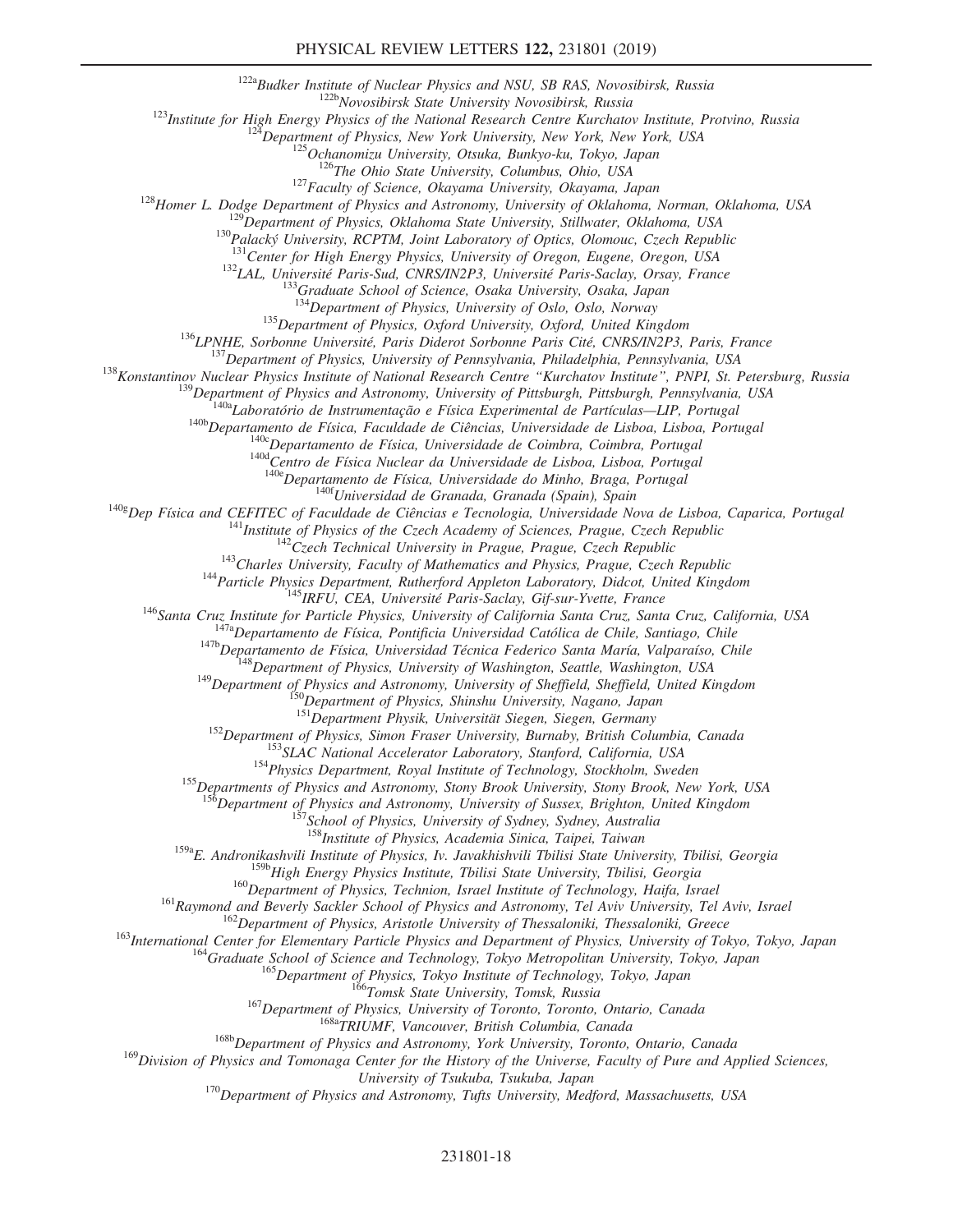## PHYSICAL REVIEW LETTERS 122, 231801 (2019)

<sup>122a</sup>Budker Institute of Nuclear Physics and NSU, SB RAS, Novosibirsk, Russia<br><sup>122b</sup>Novosibirsk State University Novosibirsk, Russia<br><sup>122</sup>Institute for High Energy Physics of the National Research Centre Kurchatov Instit

<sup>132</sup>CAL, Université Paris-Sud, CNRS/IN2P3, Université Paris-Saclay, Orsay, France<br><sup>133</sup>Graduate School of Science, Osaka University, Osaka, Japan<br><sup>134</sup>Department of Physics, University of Oslo, Oslo, Norway

<sup>135</sup> Department of Physics, Oxford University, Oxford, United Kingdom<br><sup>136</sup> LPNHE, Sorbonne Université, Paris Diderot Sorbonne Paris Cité, CNRS/IN2P3, Paris, France<br><sup>137</sup> Department of Physics, University of Pennsylvania

<sup>140e</sup>Departamento de Física, Universidade do Minho, Braga, Portugal<br><sup>140g</sup>Dep Física and CEFITEC of Faculdade de Ciências e Tecnologia, Universidade Nova de Lisboa, Caparica, Portugal

<sup>141</sup>Institute of Physics of the Czech Academy of Sciences, Prague, Czech Republic<br><sup>142</sup>Czech Technical University in Prague, Prague, Czech Republic<br><sup>143</sup>Charles University, Faculty of Mathematics and Physics, Prague, Cze

<sup>152</sup>Department of Physics, Simon Fraser University, Burnaby, British Columbia, Canada<br><sup>153</sup>SLAC National Accelerator Laboratory, Stanford, California, USA<br><sup>154</sup>Physics Department, Royal Institute of Technology, Stockholm

<sup>156</sup>Department of Physics and Astronomy, University of Sussex, Brighton, United Kingdom <sup>157</sup>School of Physics, University of Sydney, Sydney, Australia

<sup>158</sup>Institute of Physics, Academia Sinica, Taipei, Taiwan

<sup>159a</sup>E. Andronikashvili Institute of Physics, Iv. Javakhishvili Tbilisi State University, Tbilisi, Georgia<br><sup>159b</sup>High Energy Physics Institute, Tbilisi State University, Tbilisi, Georgia

<sup>159b</sup> High Energy Physics Institute, Tbilisi State University, Tbilisi, Georgia<br><sup>160</sup>Department of Physics, Technion, Israel Institute of Technology, Haifa, Israel<br><sup>161</sup>Raymond and Beverly Sackler School of Physics and As

<sup>168b</sup>Department of Physics and Astronomy, York University, Toronto, Ontario, Canada<br><sup>169</sup>Division of Physics and Tomonaga Center for the History of the Universe, Faculty of Pure and Applied Sciences,<br>University of Tsukuba

 $^{170}$ Department of Physics and Astronomy, Tufts University, Medford, Massachusetts, USA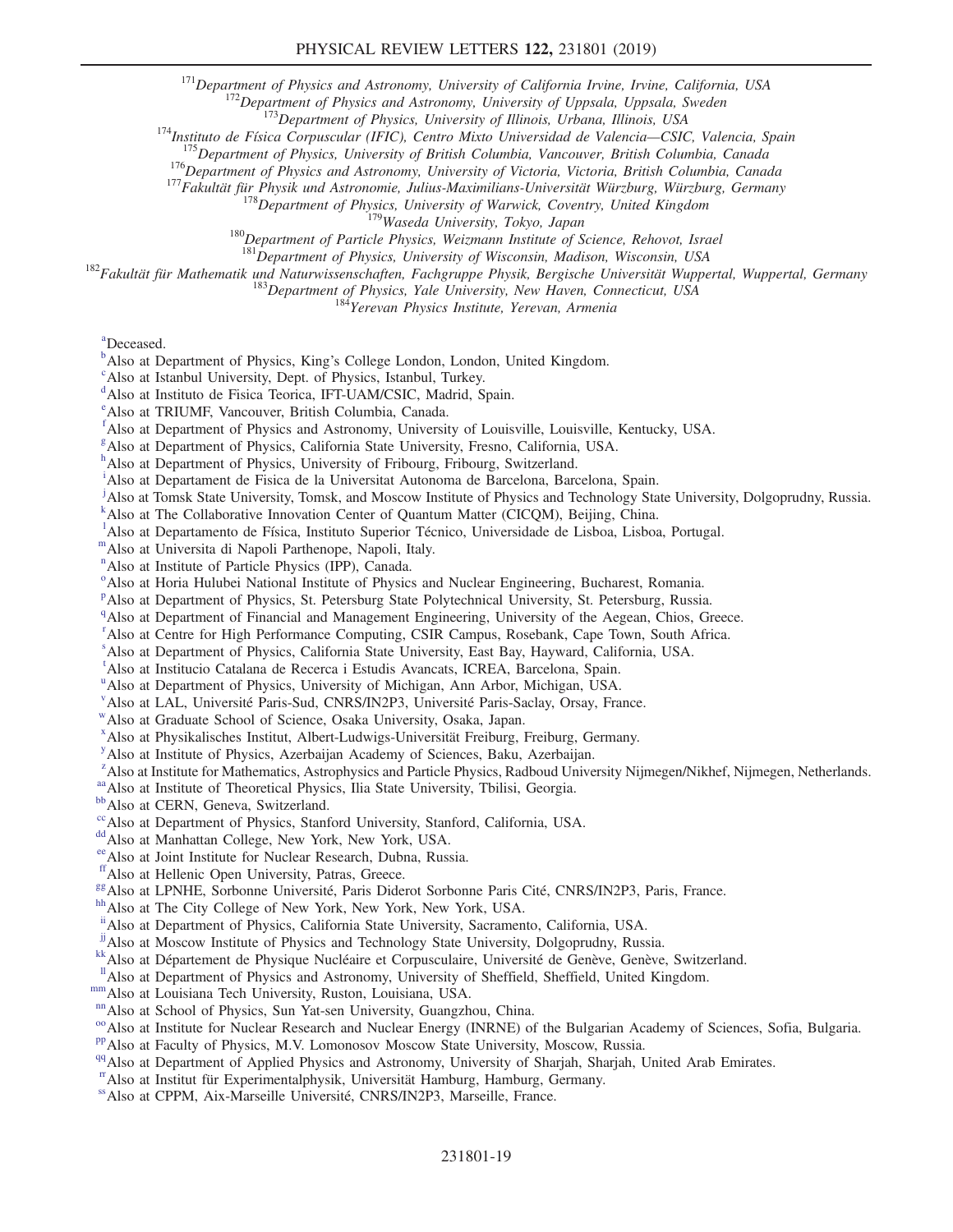<sup>171</sup>Department of Physics and Astronomy, University of California Irvine, Irvine, California, USA<br><sup>172</sup>Department of Physics and Astronomy, University of Uppsala, Uppsala, Sweden<br><sup>173</sup>Department of Physics, University of

<sup>182</sup>Fakultät für Mathematik und Naturwissenschaften, Fachgruppe Physik, Bergische Universität Wuppertal, Wuppertal, Germany<br><sup>183</sup>Department of Physics, Yale University, New Haven, Connecticut, USA<br><sup>184</sup>Yerevan Physics In

<span id="page-18-0"></span>[a](#page-6-0) Deceased.

- <span id="page-18-1"></span> $\mu^b$  $\mu^b$ Also at Department of Physi[c](#page-6-2)s, King's College London, London, United Kingdom.
- <span id="page-18-2"></span><sup>c</sup>Also at Istanbul University, Dept. of Physics, Istanbul, Turkey.
- <span id="page-18-3"></span><sup>[d](#page-6-3)</sup>Also at Instituto de Fisica Teorica, IFT-UAM/CSIC, Madrid, Spain.
- <span id="page-18-4"></span>[e](#page-6-4) Also at TRIUMF, Vancouver, British Columbia, Canada.
- <span id="page-18-5"></span>[f](#page-6-5) Also at Department of Physics and Astronomy, University of Louisville, Louisville, Kentucky, USA.
- <span id="page-18-6"></span>[g](#page-6-6) Also at Department of Physics, California State University, Fresno, California, USA.
- <span id="page-18-7"></span>[h](#page-6-7) Also at Department of Physics, University of Fribourg, Fribourg, Switzerland.
- <span id="page-18-8"></span>[i](#page-7-0) Also at Departament de Fisica de la Universitat Autonoma de Barcelona, Barcelona, Spain.
- <span id="page-18-9"></span>[j](#page-7-1) Also at Tomsk State University, Tomsk, and Moscow Institute of Physics and Technology State University, Dolgoprudny, Russia.
- <span id="page-18-10"></span><sup>[k](#page-7-2)</sup> Also at The Collaborative Innovation Center of Quantum Matter (CICQM), Beijing, China.
- <span id="page-18-11"></span><sup>1</sup>A[l](#page-7-3)so at Departa[m](#page-7-4)ento de Física, Instituto Superior Técnico, Universidade de Lisboa, Lisboa, Portugal. <sup>m</sup>Also at Universita di Napoli Parthenope, Napoli, Italy.
- <span id="page-18-13"></span><span id="page-18-12"></span>
- <sup>[n](#page-7-5)</sup>Also at Institute of Particle Physics (IPP), Canada.
- <span id="page-18-14"></span><sup>[o](#page-7-6)</sup> Also at Horia Hulubei National Institute of Physics and Nuclear Engineering, Bucharest, Romania.
- <span id="page-18-15"></span><su[p](#page-8-0)>p</sup>Also at Department of Physics, St. Petersburg State Polytechnical University, St. Petersburg, Russia.
- <span id="page-18-16"></span><sup>[q](#page-8-1)</sup>Also at Department of Financial and Management Engineering, University of the Aegean, Chios, Greece.
- <span id="page-18-17"></span><sup>[r](#page-8-2)</sup> Also at Centre for High Performance Computing, CSIR Campus, Rosebank, Cape Town, South Africa.
- <span id="page-18-18"></span>[s](#page-8-3) Also at Department of Physics, California State University, East Bay, Hayward, California, USA.

<span id="page-18-19"></span>[t](#page-8-3) Also at Institucio Catalana de Recerca i Estudis Avancats, ICREA, Barcelona, Spain.

- <span id="page-18-20"></span><s[u](#page-8-4)p>u</sup>Also at Department of Physics, University of Michigan, Ann Arbor, Michigan, USA.
- <span id="page-18-21"></span><sup>[v](#page-8-5)</sup>Also at LAL, Université Paris-Sud, CNRS/IN2P3, Université Paris-Saclay, Orsay, France.
- <span id="page-18-22"></span><sup>W</sup>Also at Graduate School of Science, Osaka University, Osaka, Japan.
- <span id="page-18-23"></span>[x](#page-8-7) Also at Physikalisches Institut, Albert-Ludwigs-Universität Freiburg, Freiburg, Germany.
- <span id="page-18-24"></span><sup>[y](#page-9-0)</sup> Also at Institute of Physics, Azerbaijan Academy of Sciences, Baku, Azerbaijan.
- <span id="page-18-25"></span><sup>[z](#page-9-1)</sup> Also at Institute for Mathematics, Astrophysics and Particle Physics, Radboud University Nijmegen/Nikhef, Nijmegen, Netherlands.
- <span id="page-18-26"></span>[aa](#page-9-2) Also at Institute of Theoretical Physics, Ilia State University, Tbilisi, Georgia. [bb](#page-9-2) Also at CERN, Geneva, Switzerland.
- <span id="page-18-27"></span>
- <span id="page-18-28"></span><sup>[cc](#page-9-3)</sup>Also at Department of Physics, Stanford University, Stanford, California, USA. <sup>[dd](#page-9-4)</sup>Also at Manhattan College, New York, New York, USA.
- <span id="page-18-29"></span>
- <span id="page-18-30"></span>[ee](#page-9-5) Also at Joint Institute for Nuclear Research, Dubna, Russia. fr Also at Hellenic Open University, Patras, Greece.
- <span id="page-18-31"></span>
- <span id="page-18-32"></span><sup>[gg](#page-10-1)</sup>Also at LPNHE, Sorbonne Université, Paris Diderot Sorbonne Paris Cité, CNRS/IN2P3, Paris, France. [hh](#page-10-2)<br>Also at The City College of New York, New York, New York, USA.
- <span id="page-18-33"></span>
- <span id="page-18-35"></span>
- <span id="page-18-34"></span>[ii](#page-10-3) Also at Department of Physics, California State University, Sacramento, California, USA.<br>
<sup>ji</sup> Also at Moscow Institute of Physics and Technology State University, Dolgoprudny, Russia.
- <span id="page-18-37"></span>
- 
- <span id="page-18-39"></span><span id="page-18-38"></span>
- <span id="page-18-40"></span>
- <span id="page-18-36"></span><sup>[kk](#page-11-1)</sup> Also at Département de Physique Nucléaire et Corpusculaire, Université de Genève, Genève, Switzerland.<br><sup>11</sup>Also at Department of Physics and Astronomy, University of Sheffield, Sheffield, United Kingdom.<br><sup>nm</sup> Also at
- <span id="page-18-42"></span><span id="page-18-41"></span>
- <span id="page-18-43"></span>
- [rr](#page-12-6)Also at Institut für Experimentalphysik, Universität Hamburg, Hamburg, Germany.
- <span id="page-18-44"></span>[ss](#page-12-7) Also at CPPM, Aix-Marseille Université, CNRS/IN2P3, Marseille, France.